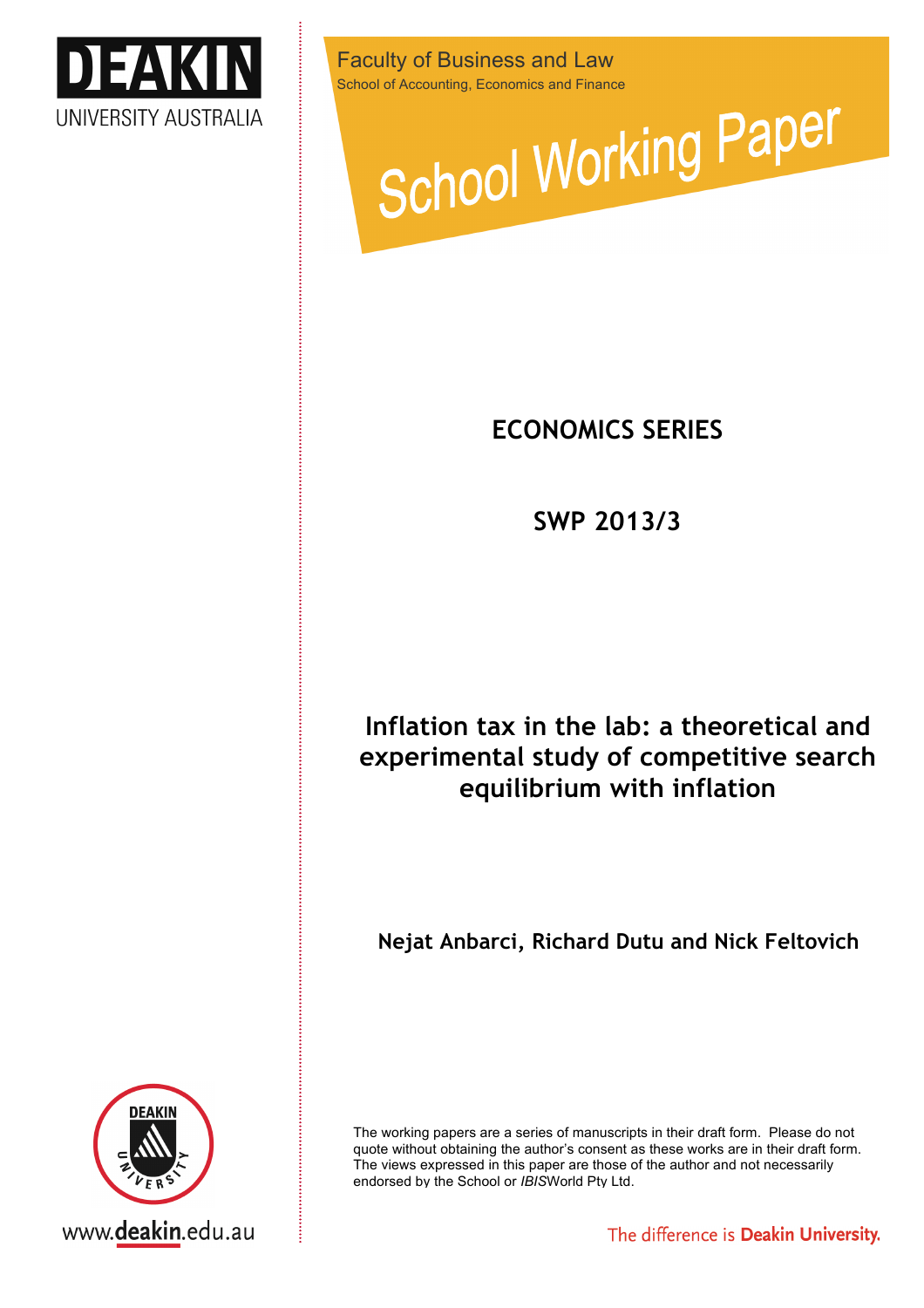

Faculty of Business and Law



## **ECONOMICS SERIES**

**SWP 2013/3**

# **Inflation tax in the lab: a theoretical and experimental study of competitive search equilibrium with inflation**

**Nejat Anbarci, Richard Dutu and Nick Feltovich**

The working papers are a series of manuscripts in their draft form. Please do not quote without obtaining the author's consent as these works are in their draft form. The views expressed in this paper are those of the author and not necessarily endorsed by the School or *IBIS*World Pty Ltd.

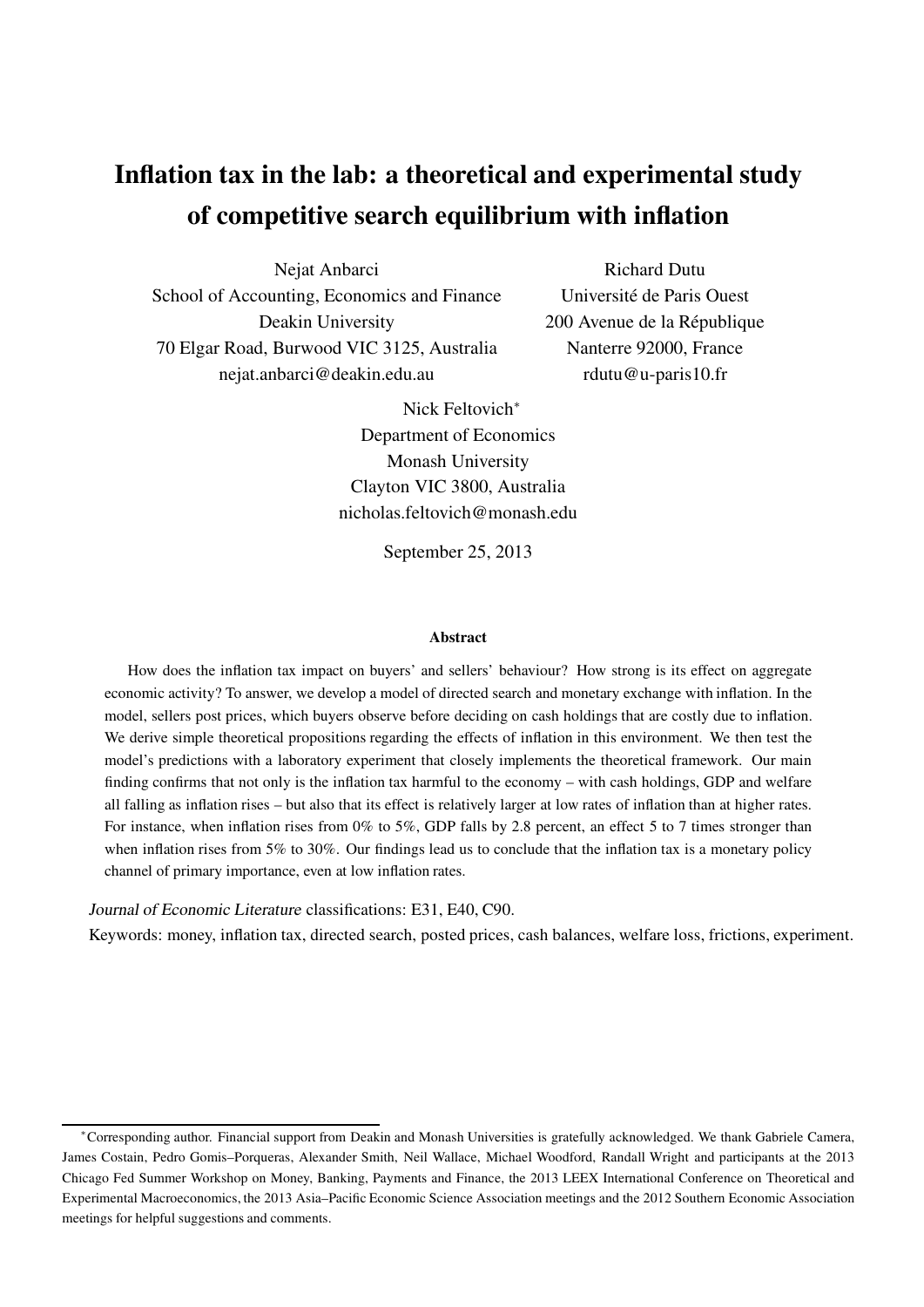# Inflation tax in the lab: a theoretical and experimental study of competitive search equilibrium with inflation

Nejat Anbarci School of Accounting, Economics and Finance Deakin University 70 Elgar Road, Burwood VIC 3125, Australia nejat.anbarci@deakin.edu.au

Richard Dutu Université de Paris Ouest 200 Avenue de la République Nanterre 92000, France rdutu@u-paris10.fr

Nick Feltovich<sup>∗</sup> Department of Economics Monash University Clayton VIC 3800, Australia nicholas.feltovich@monash.edu

September 25, 2013

#### Abstract

How does the inflation tax impact on buyers' and sellers' behaviour? How strong is its effect on aggregate economic activity? To answer, we develop a model of directed search and monetary exchange with inflation. In the model, sellers post prices, which buyers observe before deciding on cash holdings that are costly due to inflation. We derive simple theoretical propositions regarding the effects of inflation in this environment. We then test the model's predictions with a laboratory experiment that closely implements the theoretical framework. Our main finding confirms that not only is the inflation tax harmful to the economy – with cash holdings, GDP and welfare all falling as inflation rises – but also that its effect is relatively larger at low rates of inflation than at higher rates. For instance, when inflation rises from 0% to 5%, GDP falls by 2.8 percent, an effect 5 to 7 times stronger than when inflation rises from 5% to 30%. Our findings lead us to conclude that the inflation tax is a monetary policy channel of primary importance, even at low inflation rates.

Journal of Economic Literature classifications: E31, E40, C90.

Keywords: money, inflation tax, directed search, posted prices, cash balances, welfare loss, frictions, experiment.

<sup>∗</sup>Corresponding author. Financial support from Deakin and Monash Universities is gratefully acknowledged. We thank Gabriele Camera, James Costain, Pedro Gomis–Porqueras, Alexander Smith, Neil Wallace, Michael Woodford, Randall Wright and participants at the 2013 Chicago Fed Summer Workshop on Money, Banking, Payments and Finance, the 2013 LEEX International Conference on Theoretical and Experimental Macroeconomics, the 2013 Asia–Pacific Economic Science Association meetings and the 2012 Southern Economic Association meetings for helpful suggestions and comments.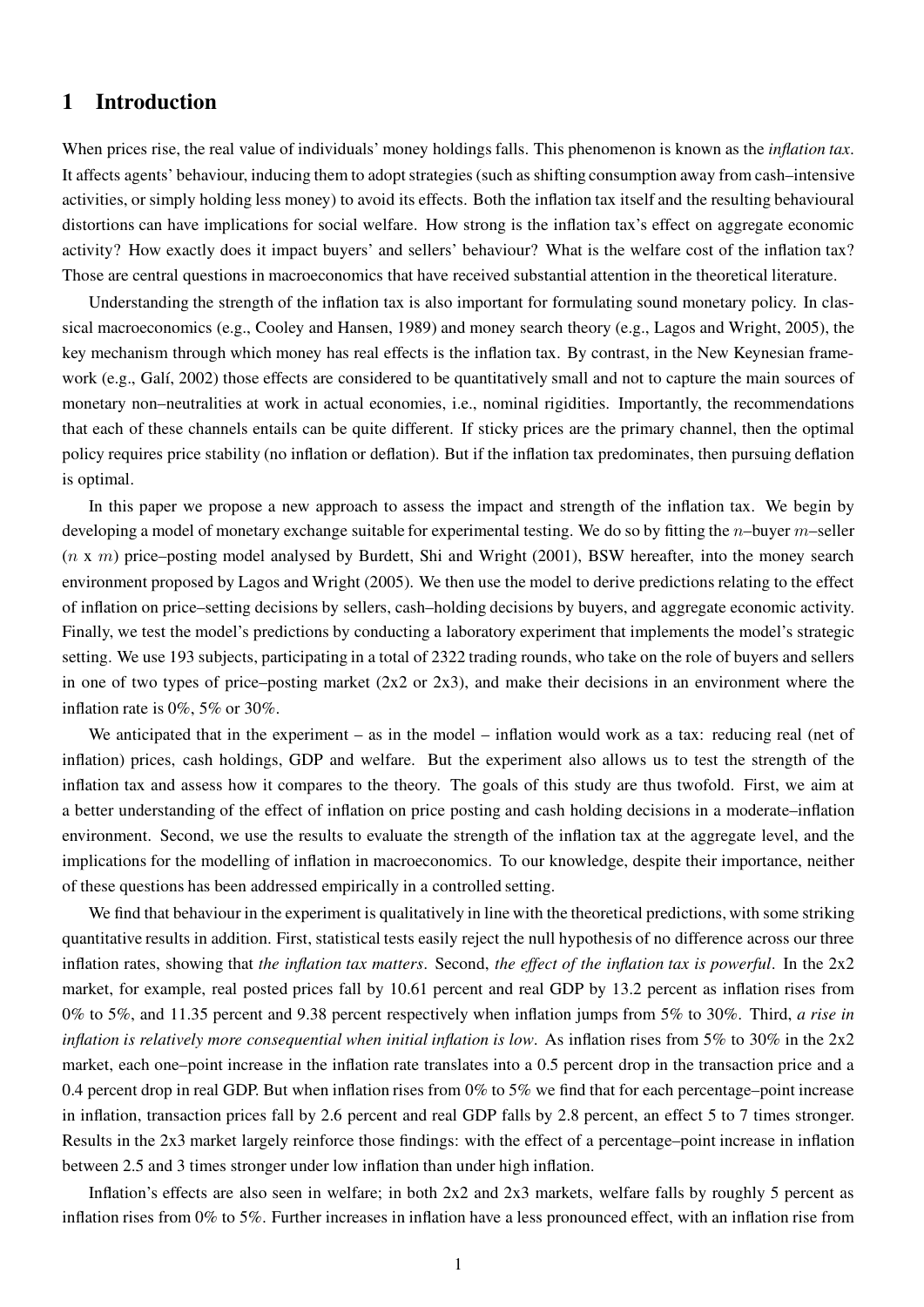### 1 Introduction

When prices rise, the real value of individuals' money holdings falls. This phenomenon is known as the *inflation tax*. It affects agents' behaviour, inducing them to adopt strategies (such as shifting consumption away from cash–intensive activities, or simply holding less money) to avoid its effects. Both the inflation tax itself and the resulting behavioural distortions can have implications for social welfare. How strong is the inflation tax's effect on aggregate economic activity? How exactly does it impact buyers' and sellers' behaviour? What is the welfare cost of the inflation tax? Those are central questions in macroeconomics that have received substantial attention in the theoretical literature.

Understanding the strength of the inflation tax is also important for formulating sound monetary policy. In classical macroeconomics (e.g., Cooley and Hansen, 1989) and money search theory (e.g., Lagos and Wright, 2005), the key mechanism through which money has real effects is the inflation tax. By contrast, in the New Keynesian framework (e.g., Galí, 2002) those effects are considered to be quantitatively small and not to capture the main sources of monetary non–neutralities at work in actual economies, i.e., nominal rigidities. Importantly, the recommendations that each of these channels entails can be quite different. If sticky prices are the primary channel, then the optimal policy requires price stability (no inflation or deflation). But if the inflation tax predominates, then pursuing deflation is optimal.

In this paper we propose a new approach to assess the impact and strength of the inflation tax. We begin by developing a model of monetary exchange suitable for experimental testing. We do so by fitting the  $n$ –buyer  $m$ –seller  $(n \times m)$  price–posting model analysed by Burdett, Shi and Wright (2001), BSW hereafter, into the money search environment proposed by Lagos and Wright (2005). We then use the model to derive predictions relating to the effect of inflation on price–setting decisions by sellers, cash–holding decisions by buyers, and aggregate economic activity. Finally, we test the model's predictions by conducting a laboratory experiment that implements the model's strategic setting. We use 193 subjects, participating in a total of 2322 trading rounds, who take on the role of buyers and sellers in one of two types of price–posting market  $(2x2 \text{ or } 2x3)$ , and make their decisions in an environment where the inflation rate is 0%, 5% or 30%.

We anticipated that in the experiment – as in the model – inflation would work as a tax: reducing real (net of inflation) prices, cash holdings, GDP and welfare. But the experiment also allows us to test the strength of the inflation tax and assess how it compares to the theory. The goals of this study are thus twofold. First, we aim at a better understanding of the effect of inflation on price posting and cash holding decisions in a moderate–inflation environment. Second, we use the results to evaluate the strength of the inflation tax at the aggregate level, and the implications for the modelling of inflation in macroeconomics. To our knowledge, despite their importance, neither of these questions has been addressed empirically in a controlled setting.

We find that behaviour in the experiment is qualitatively in line with the theoretical predictions, with some striking quantitative results in addition. First, statistical tests easily reject the null hypothesis of no difference across our three inflation rates, showing that the inflation tax matters. Second, the effect of the inflation tax is powerful. In the  $2x2$ market, for example, real posted prices fall by 10.61 percent and real GDP by 13.2 percent as inflation rises from 0% to 5%, and 11.35 percent and 9.38 percent respectively when inflation jumps from 5% to 30%. Third, a rise in inflation is relatively more consequential when initial inflation is low. As inflation rises from  $5\%$  to  $30\%$  in the  $2x2$ market, each one–point increase in the inflation rate translates into a 0.5 percent drop in the transaction price and a 0.4 percent drop in real GDP. But when inflation rises from 0% to 5% we find that for each percentage–point increase in inflation, transaction prices fall by 2.6 percent and real GDP falls by 2.8 percent, an effect 5 to 7 times stronger. Results in the 2x3 market largely reinforce those findings: with the effect of a percentage–point increase in inflation between 2.5 and 3 times stronger under low inflation than under high inflation.

Inflation's effects are also seen in welfare; in both 2x2 and 2x3 markets, welfare falls by roughly 5 percent as inflation rises from 0% to 5%. Further increases in inflation have a less pronounced effect, with an inflation rise from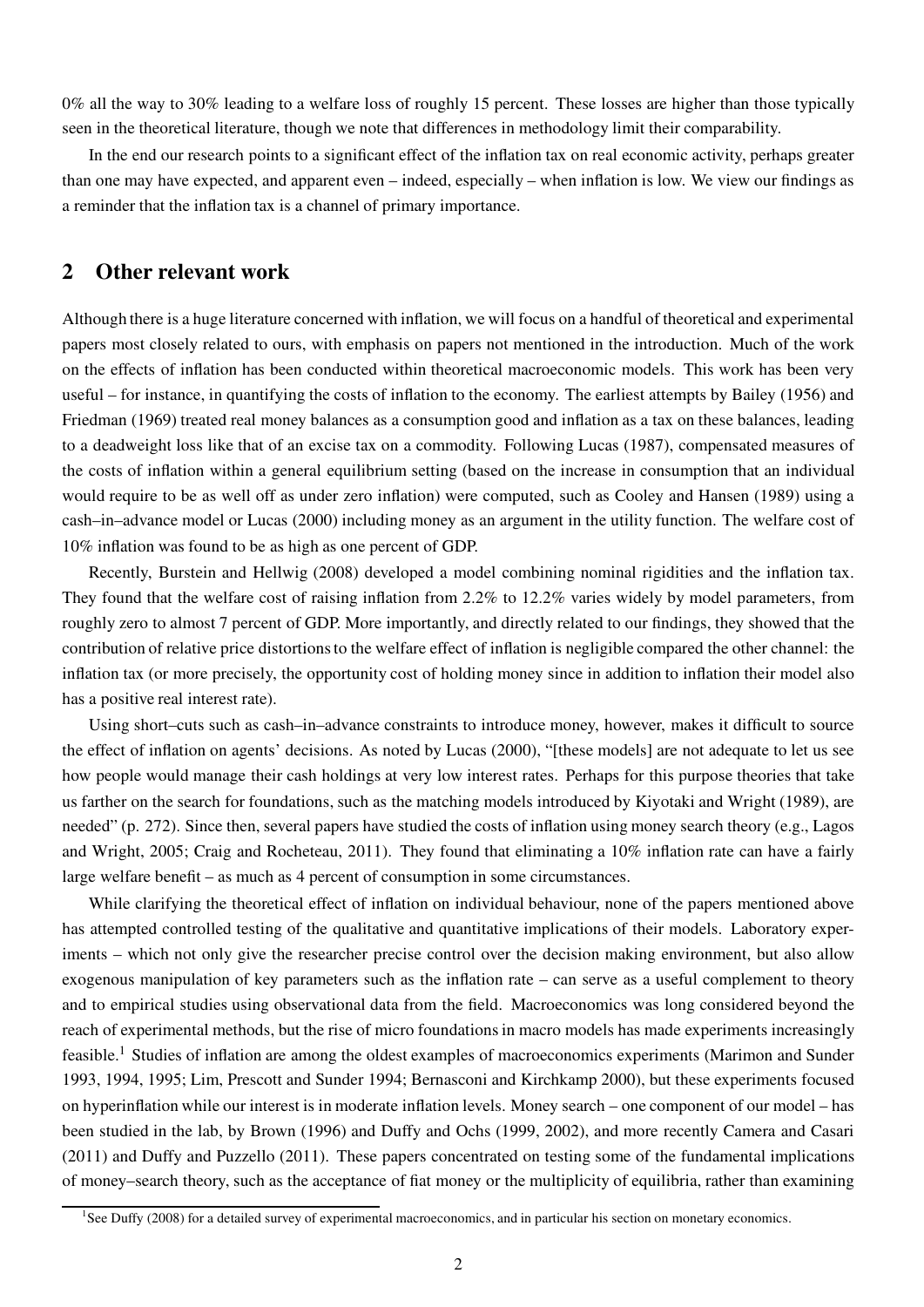0% all the way to 30% leading to a welfare loss of roughly 15 percent. These losses are higher than those typically seen in the theoretical literature, though we note that differences in methodology limit their comparability.

In the end our research points to a significant effect of the inflation tax on real economic activity, perhaps greater than one may have expected, and apparent even – indeed, especially – when inflation is low. We view our findings as a reminder that the inflation tax is a channel of primary importance.

### 2 Other relevant work

Although there is a huge literature concerned with inflation, we will focus on a handful of theoretical and experimental papers most closely related to ours, with emphasis on papers not mentioned in the introduction. Much of the work on the effects of inflation has been conducted within theoretical macroeconomic models. This work has been very useful – for instance, in quantifying the costs of inflation to the economy. The earliest attempts by Bailey (1956) and Friedman (1969) treated real money balances as a consumption good and inflation as a tax on these balances, leading to a deadweight loss like that of an excise tax on a commodity. Following Lucas (1987), compensated measures of the costs of inflation within a general equilibrium setting (based on the increase in consumption that an individual would require to be as well off as under zero inflation) were computed, such as Cooley and Hansen (1989) using a cash–in–advance model or Lucas (2000) including money as an argument in the utility function. The welfare cost of 10% inflation was found to be as high as one percent of GDP.

Recently, Burstein and Hellwig (2008) developed a model combining nominal rigidities and the inflation tax. They found that the welfare cost of raising inflation from 2.2% to 12.2% varies widely by model parameters, from roughly zero to almost 7 percent of GDP. More importantly, and directly related to our findings, they showed that the contribution of relative price distortions to the welfare effect of inflation is negligible compared the other channel: the inflation tax (or more precisely, the opportunity cost of holding money since in addition to inflation their model also has a positive real interest rate).

Using short–cuts such as cash–in–advance constraints to introduce money, however, makes it difficult to source the effect of inflation on agents' decisions. As noted by Lucas (2000), "[these models] are not adequate to let us see how people would manage their cash holdings at very low interest rates. Perhaps for this purpose theories that take us farther on the search for foundations, such as the matching models introduced by Kiyotaki and Wright (1989), are needed" (p. 272). Since then, several papers have studied the costs of inflation using money search theory (e.g., Lagos and Wright, 2005; Craig and Rocheteau, 2011). They found that eliminating a 10% inflation rate can have a fairly large welfare benefit – as much as 4 percent of consumption in some circumstances.

While clarifying the theoretical effect of inflation on individual behaviour, none of the papers mentioned above has attempted controlled testing of the qualitative and quantitative implications of their models. Laboratory experiments – which not only give the researcher precise control over the decision making environment, but also allow exogenous manipulation of key parameters such as the inflation rate – can serve as a useful complement to theory and to empirical studies using observational data from the field. Macroeconomics was long considered beyond the reach of experimental methods, but the rise of micro foundations in macro models has made experiments increasingly feasible.<sup>1</sup> Studies of inflation are among the oldest examples of macroeconomics experiments (Marimon and Sunder 1993, 1994, 1995; Lim, Prescott and Sunder 1994; Bernasconi and Kirchkamp 2000), but these experiments focused on hyperinflation while our interest is in moderate inflation levels. Money search – one component of our model – has been studied in the lab, by Brown (1996) and Duffy and Ochs (1999, 2002), and more recently Camera and Casari (2011) and Duffy and Puzzello (2011). These papers concentrated on testing some of the fundamental implications of money–search theory, such as the acceptance of fiat money or the multiplicity of equilibria, rather than examining

<sup>&</sup>lt;sup>1</sup>See Duffy (2008) for a detailed survey of experimental macroeconomics, and in particular his section on monetary economics.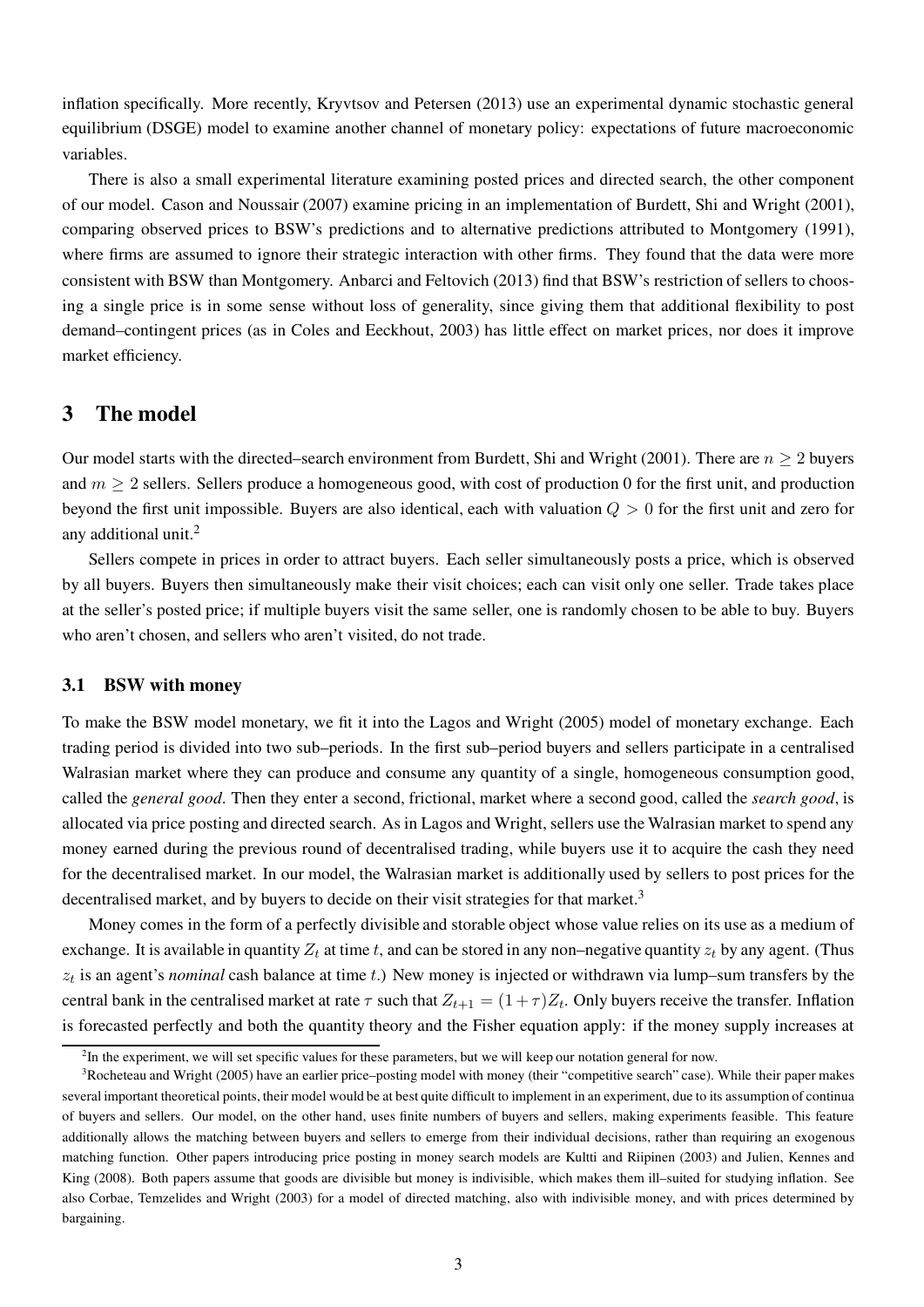inflation specifically. More recently, Kryvtsov and Petersen (2013) use an experimental dynamic stochastic general equilibrium (DSGE) model to examine another channel of monetary policy: expectations of future macroeconomic variables.

There is also a small experimental literature examining posted prices and directed search, the other component of our model. Cason and Noussair (2007) examine pricing in an implementation of Burdett, Shi and Wright (2001), comparing observed prices to BSW's predictions and to alternative predictions attributed to Montgomery (1991), where firms are assumed to ignore their strategic interaction with other firms. They found that the data were more consistent with BSW than Montgomery. Anbarci and Feltovich (2013) find that BSW's restriction of sellers to choosing a single price is in some sense without loss of generality, since giving them that additional flexibility to post demand–contingent prices (as in Coles and Eeckhout, 2003) has little effect on market prices, nor does it improve market efficiency.

#### 3 The model

Our model starts with the directed–search environment from Burdett, Shi and Wright (2001). There are  $n > 2$  buyers and  $m > 2$  sellers. Sellers produce a homogeneous good, with cost of production 0 for the first unit, and production beyond the first unit impossible. Buyers are also identical, each with valuation  $Q > 0$  for the first unit and zero for any additional unit.<sup>2</sup>

Sellers compete in prices in order to attract buyers. Each seller simultaneously posts a price, which is observed by all buyers. Buyers then simultaneously make their visit choices; each can visit only one seller. Trade takes place at the seller's posted price; if multiple buyers visit the same seller, one is randomly chosen to be able to buy. Buyers who aren't chosen, and sellers who aren't visited, do not trade.

#### 3.1 BSW with money

To make the BSW model monetary, we fit it into the Lagos and Wright (2005) model of monetary exchange. Each trading period is divided into two sub–periods. In the first sub–period buyers and sellers participate in a centralised Walrasian market where they can produce and consume any quantity of a single, homogeneous consumption good, called the *general good*. Then they enter a second, frictional, market where a second good, called the *search good*, is allocated via price posting and directed search. As in Lagos and Wright, sellers use the Walrasian market to spend any money earned during the previous round of decentralised trading, while buyers use it to acquire the cash they need for the decentralised market. In our model, the Walrasian market is additionally used by sellers to post prices for the decentralised market, and by buyers to decide on their visit strategies for that market.<sup>3</sup>

Money comes in the form of a perfectly divisible and storable object whose value relies on its use as a medium of exchange. It is available in quantity  $Z_t$  at time t, and can be stored in any non–negative quantity  $z_t$  by any agent. (Thus  $z_t$  is an agent's *nominal* cash balance at time t.) New money is injected or withdrawn via lump–sum transfers by the central bank in the centralised market at rate  $\tau$  such that  $Z_{t+1} = (1+\tau)Z_t$ . Only buyers receive the transfer. Inflation is forecasted perfectly and both the quantity theory and the Fisher equation apply: if the money supply increases at

<sup>&</sup>lt;sup>2</sup>In the experiment, we will set specific values for these parameters, but we will keep our notation general for now.

<sup>3</sup>Rocheteau and Wright (2005) have an earlier price–posting model with money (their "competitive search" case). While their paper makes several important theoretical points, their model would be at best quite difficult to implement in an experiment, due to its assumption of continua of buyers and sellers. Our model, on the other hand, uses finite numbers of buyers and sellers, making experiments feasible. This feature additionally allows the matching between buyers and sellers to emerge from their individual decisions, rather than requiring an exogenous matching function. Other papers introducing price posting in money search models are Kultti and Riipinen (2003) and Julien, Kennes and King (2008). Both papers assume that goods are divisible but money is indivisible, which makes them ill-suited for studying inflation. See also Corbae, Temzelides and Wright (2003) for a model of directed matching, also with indivisible money, and with prices determined by bargaining.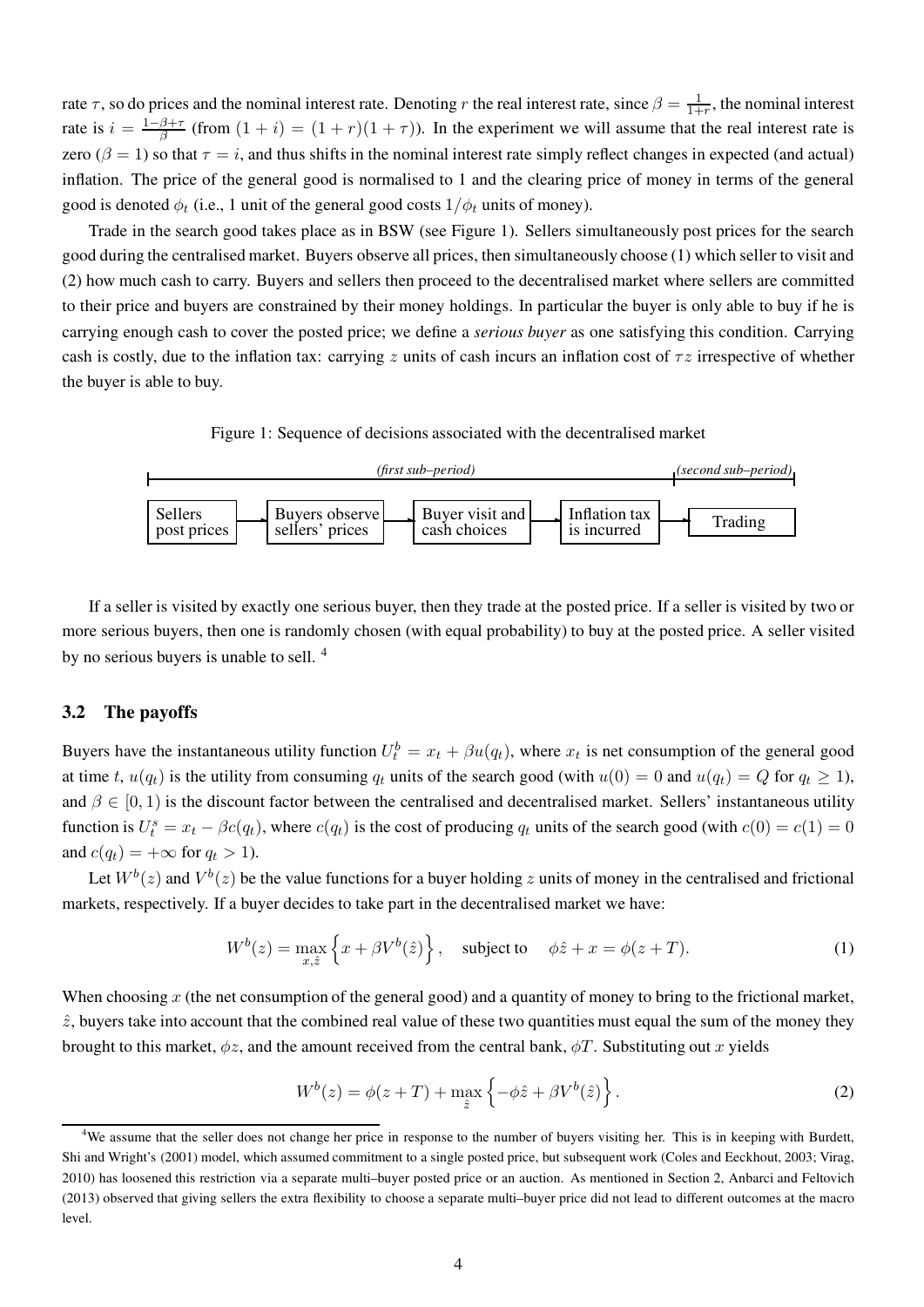rate  $\tau$ , so do prices and the nominal interest rate. Denoting r the real interest rate, since  $\beta = \frac{1}{1+r}$ , the nominal interest rate is  $i = \frac{1-\beta+\tau}{\beta}$  $\frac{\beta+\tau}{\beta}$  (from  $(1+i) = (1+r)(1+\tau)$ ). In the experiment we will assume that the real interest rate is zero ( $\beta = 1$ ) so that  $\tau = i$ , and thus shifts in the nominal interest rate simply reflect changes in expected (and actual) inflation. The price of the general good is normalised to 1 and the clearing price of money in terms of the general good is denoted  $\phi_t$  (i.e., 1 unit of the general good costs  $1/\phi_t$  units of money).

Trade in the search good takes place as in BSW (see Figure 1). Sellers simultaneously post prices for the search good during the centralised market. Buyers observe all prices, then simultaneously choose (1) which seller to visit and (2) how much cash to carry. Buyers and sellers then proceed to the decentralised market where sellers are committed to their price and buyers are constrained by their money holdings. In particular the buyer is only able to buy if he is carrying enough cash to cover the posted price; we define a *serious buyer* as one satisfying this condition. Carrying cash is costly, due to the inflation tax: carrying z units of cash incurs an inflation cost of  $\tau z$  irrespective of whether the buyer is able to buy.

Figure 1: Sequence of decisions associated with the decentralised market



If a seller is visited by exactly one serious buyer, then they trade at the posted price. If a seller is visited by two or more serious buyers, then one is randomly chosen (with equal probability) to buy at the posted price. A seller visited by no serious buyers is unable to sell.<sup>4</sup>

#### 3.2 The payoffs

Buyers have the instantaneous utility function  $U_t^b = x_t + \beta u(q_t)$ , where  $x_t$  is net consumption of the general good at time t,  $u(q_t)$  is the utility from consuming  $q_t$  units of the search good (with  $u(0) = 0$  and  $u(q_t) = Q$  for  $q_t \ge 1$ ), and  $\beta \in [0, 1)$  is the discount factor between the centralised and decentralised market. Sellers' instantaneous utility function is  $U_t^s = x_t - \beta c(q_t)$ , where  $c(q_t)$  is the cost of producing  $q_t$  units of the search good (with  $c(0) = c(1) = 0$ and  $c(q_t) = +\infty$  for  $q_t > 1$ ).

Let  $W^b(z)$  and  $V^b(z)$  be the value functions for a buyer holding z units of money in the centralised and frictional markets, respectively. If a buyer decides to take part in the decentralised market we have:

$$
W^{b}(z) = \max_{x,\hat{z}} \left\{ x + \beta V^{b}(\hat{z}) \right\}, \quad \text{subject to} \quad \phi\hat{z} + x = \phi(z+T). \tag{1}
$$

When choosing x (the net consumption of the general good) and a quantity of money to bring to the frictional market,  $\hat{z}$ , buyers take into account that the combined real value of these two quantities must equal the sum of the money they brought to this market,  $\phi z$ , and the amount received from the central bank,  $\phi T$ . Substituting out x yields

$$
W^{b}(z) = \phi(z+T) + \max_{\hat{z}} \left\{-\phi \hat{z} + \beta V^{b}(\hat{z})\right\}.
$$
 (2)

<sup>&</sup>lt;sup>4</sup>We assume that the seller does not change her price in response to the number of buyers visiting her. This is in keeping with Burdett, Shi and Wright's (2001) model, which assumed commitment to a single posted price, but subsequent work (Coles and Eeckhout, 2003; Virag, 2010) has loosened this restriction via a separate multi–buyer posted price or an auction. As mentioned in Section 2, Anbarci and Feltovich (2013) observed that giving sellers the extra flexibility to choose a separate multi–buyer price did not lead to different outcomes at the macro level.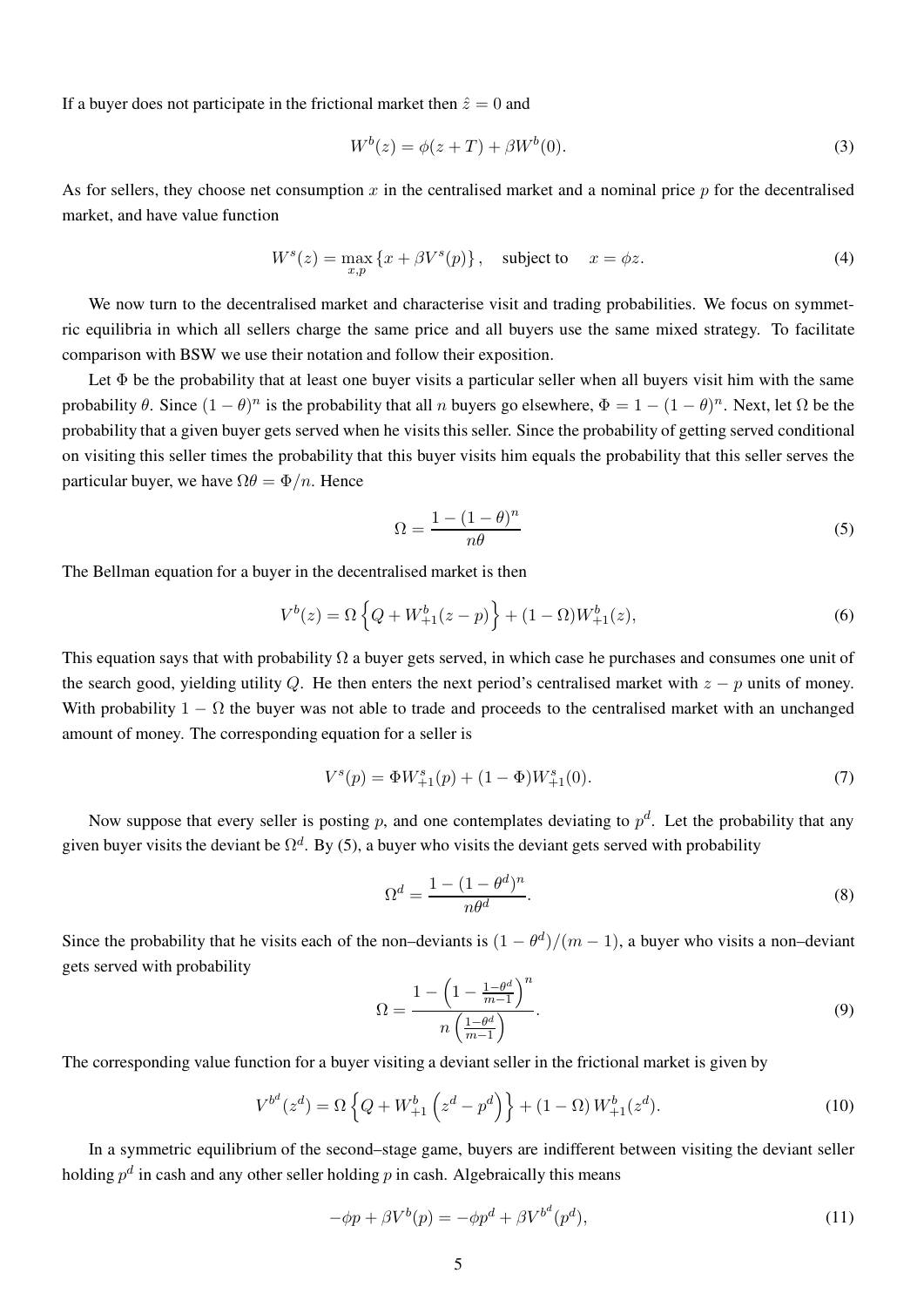If a buyer does not participate in the frictional market then  $\hat{z} = 0$  and

$$
W^{b}(z) = \phi(z+T) + \beta W^{b}(0).
$$
 (3)

As for sellers, they choose net consumption x in the centralised market and a nominal price  $p$  for the decentralised market, and have value function

$$
W^{s}(z) = \max_{x,p} \{x + \beta V^{s}(p)\}, \quad \text{subject to} \quad x = \phi z. \tag{4}
$$

We now turn to the decentralised market and characterise visit and trading probabilities. We focus on symmetric equilibria in which all sellers charge the same price and all buyers use the same mixed strategy. To facilitate comparison with BSW we use their notation and follow their exposition.

Let  $\Phi$  be the probability that at least one buyer visits a particular seller when all buyers visit him with the same probability  $\theta$ . Since  $(1 - \theta)^n$  is the probability that all n buyers go elsewhere,  $\Phi = 1 - (1 - \theta)^n$ . Next, let  $\Omega$  be the probability that a given buyer gets served when he visits this seller. Since the probability of getting served conditional on visiting this seller times the probability that this buyer visits him equals the probability that this seller serves the particular buyer, we have  $\Omega \theta = \Phi/n$ . Hence

$$
\Omega = \frac{1 - (1 - \theta)^n}{n\theta} \tag{5}
$$

The Bellman equation for a buyer in the decentralised market is then

$$
V^{b}(z) = \Omega \left\{ Q + W^{b}_{+1}(z - p) \right\} + (1 - \Omega) W^{b}_{+1}(z), \tag{6}
$$

This equation says that with probability  $\Omega$  a buyer gets served, in which case he purchases and consumes one unit of the search good, yielding utility Q. He then enters the next period's centralised market with  $z - p$  units of money. With probability  $1 - \Omega$  the buyer was not able to trade and proceeds to the centralised market with an unchanged amount of money. The corresponding equation for a seller is

$$
V^{s}(p) = \Phi W^{s}_{+1}(p) + (1 - \Phi)W^{s}_{+1}(0). \tag{7}
$$

Now suppose that every seller is posting p, and one contemplates deviating to  $p^d$ . Let the probability that any given buyer visits the deviant be  $\Omega^d$ . By (5), a buyer who visits the deviant gets served with probability

$$
\Omega^d = \frac{1 - (1 - \theta^d)^n}{n\theta^d}.\tag{8}
$$

Since the probability that he visits each of the non–deviants is  $(1 - \theta^d)/(m - 1)$ , a buyer who visits a non–deviant gets served with probability n.

$$
\Omega = \frac{1 - \left(1 - \frac{1 - \theta^d}{m - 1}\right)^n}{n\left(\frac{1 - \theta^d}{m - 1}\right)}.\tag{9}
$$

The corresponding value function for a buyer visiting a deviant seller in the frictional market is given by

$$
V^{b^d}(z^d) = \Omega \left\{ Q + W_{+1}^b \left( z^d - p^d \right) \right\} + (1 - \Omega) W_{+1}^b(z^d). \tag{10}
$$

In a symmetric equilibrium of the second–stage game, buyers are indifferent between visiting the deviant seller holding  $p^d$  in cash and any other seller holding  $p$  in cash. Algebraically this means

$$
-\phi p + \beta V^b(p) = -\phi p^d + \beta V^{b^d}(p^d),\tag{11}
$$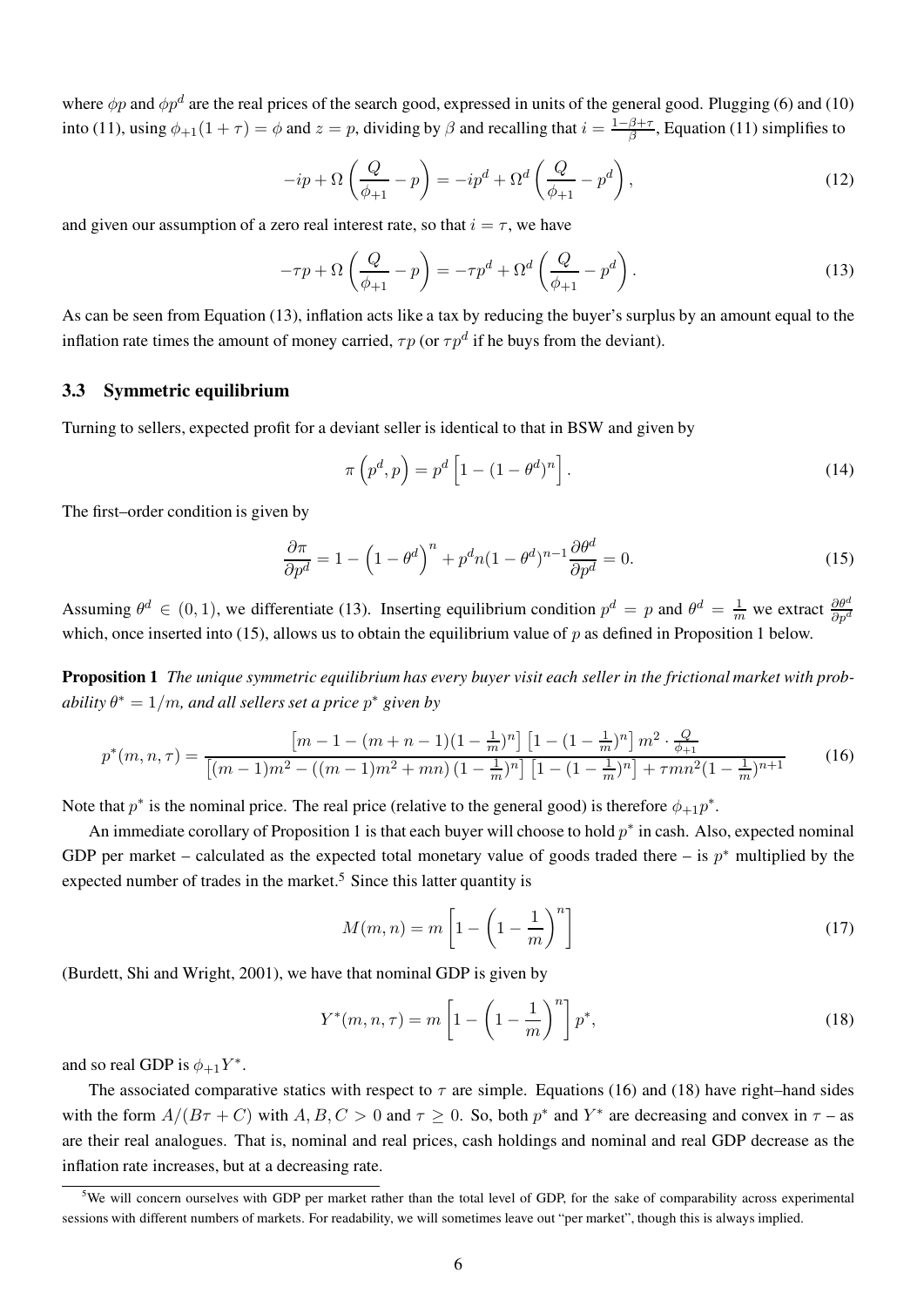where  $\phi p$  and  $\phi p^d$  are the real prices of the search good, expressed in units of the general good. Plugging (6) and (10) into (11), using  $\phi_{+1}(1+\tau) = \phi$  and  $z = p$ , dividing by  $\beta$  and recalling that  $i = \frac{1-\beta+\tau}{\beta}$  $\frac{\beta+\tau}{\beta}$ , Equation (11) simplifies to

$$
-ip + \Omega\left(\frac{Q}{\phi_{+1}} - p\right) = -ip^d + \Omega^d\left(\frac{Q}{\phi_{+1}} - p^d\right),\tag{12}
$$

and given our assumption of a zero real interest rate, so that  $i = \tau$ , we have

$$
-\tau p + \Omega \left(\frac{Q}{\phi_{+1}} - p\right) = -\tau p^d + \Omega^d \left(\frac{Q}{\phi_{+1}} - p^d\right). \tag{13}
$$

As can be seen from Equation (13), inflation acts like a tax by reducing the buyer's surplus by an amount equal to the inflation rate times the amount of money carried,  $\tau p$  (or  $\tau p^d$  if he buys from the deviant).

#### 3.3 Symmetric equilibrium

Turning to sellers, expected profit for a deviant seller is identical to that in BSW and given by

$$
\pi\left(p^d, p\right) = p^d \left[1 - (1 - \theta^d)^n\right].\tag{14}
$$

The first–order condition is given by

$$
\frac{\partial \pi}{\partial p^d} = 1 - \left(1 - \theta^d\right)^n + p^d n (1 - \theta^d)^{n-1} \frac{\partial \theta^d}{\partial p^d} = 0.
$$
 (15)

Assuming  $\theta^d \in (0, 1)$ , we differentiate (13). Inserting equilibrium condition  $p^d = p$  and  $\theta^d = \frac{1}{m}$  we extract  $\frac{\partial \theta^d}{\partial p^d}$ which, once inserted into (15), allows us to obtain the equilibrium value of  $p$  as defined in Proposition 1 below.

Proposition 1 The unique symmetric equilibrium has every buyer visit each seller in the frictional market with probability  $\theta^*=1/m$ , and all sellers set a price  $p^*$  given by

$$
p^*(m, n, \tau) = \frac{\left[m - 1 - (m + n - 1)(1 - \frac{1}{m})^n\right] \left[1 - (1 - \frac{1}{m})^n\right] m^2 \cdot \frac{Q}{\phi + 1}}{\left[(m - 1)m^2 - ((m - 1)m^2 + mn)(1 - \frac{1}{m})^n\right] \left[1 - (1 - \frac{1}{m})^n\right] + \tau mn^2 (1 - \frac{1}{m})^{n+1}}\tag{16}
$$

Note that  $p^*$  is the nominal price. The real price (relative to the general good) is therefore  $\phi_{+1}p^*$ .

An immediate corollary of Proposition 1 is that each buyer will choose to hold  $p^*$  in cash. Also, expected nominal GDP per market – calculated as the expected total monetary value of goods traded there – is  $p^*$  multiplied by the expected number of trades in the market.<sup>5</sup> Since this latter quantity is

$$
M(m,n) = m \left[ 1 - \left( 1 - \frac{1}{m} \right)^n \right] \tag{17}
$$

(Burdett, Shi and Wright, 2001), we have that nominal GDP is given by

$$
Y^*(m, n, \tau) = m \left[ 1 - \left( 1 - \frac{1}{m} \right)^n \right] p^*,
$$
 (18)

and so real GDP is  $\phi_{+1}Y^*$ .

The associated comparative statics with respect to  $\tau$  are simple. Equations (16) and (18) have right–hand sides with the form  $A/(B\tau + C)$  with  $A, B, C > 0$  and  $\tau \ge 0$ . So, both  $p^*$  and  $Y^*$  are decreasing and convex in  $\tau$  – as are their real analogues. That is, nominal and real prices, cash holdings and nominal and real GDP decrease as the inflation rate increases, but at a decreasing rate.

 $5$ We will concern ourselves with GDP per market rather than the total level of GDP, for the sake of comparability across experimental sessions with different numbers of markets. For readability, we will sometimes leave out "per market", though this is always implied.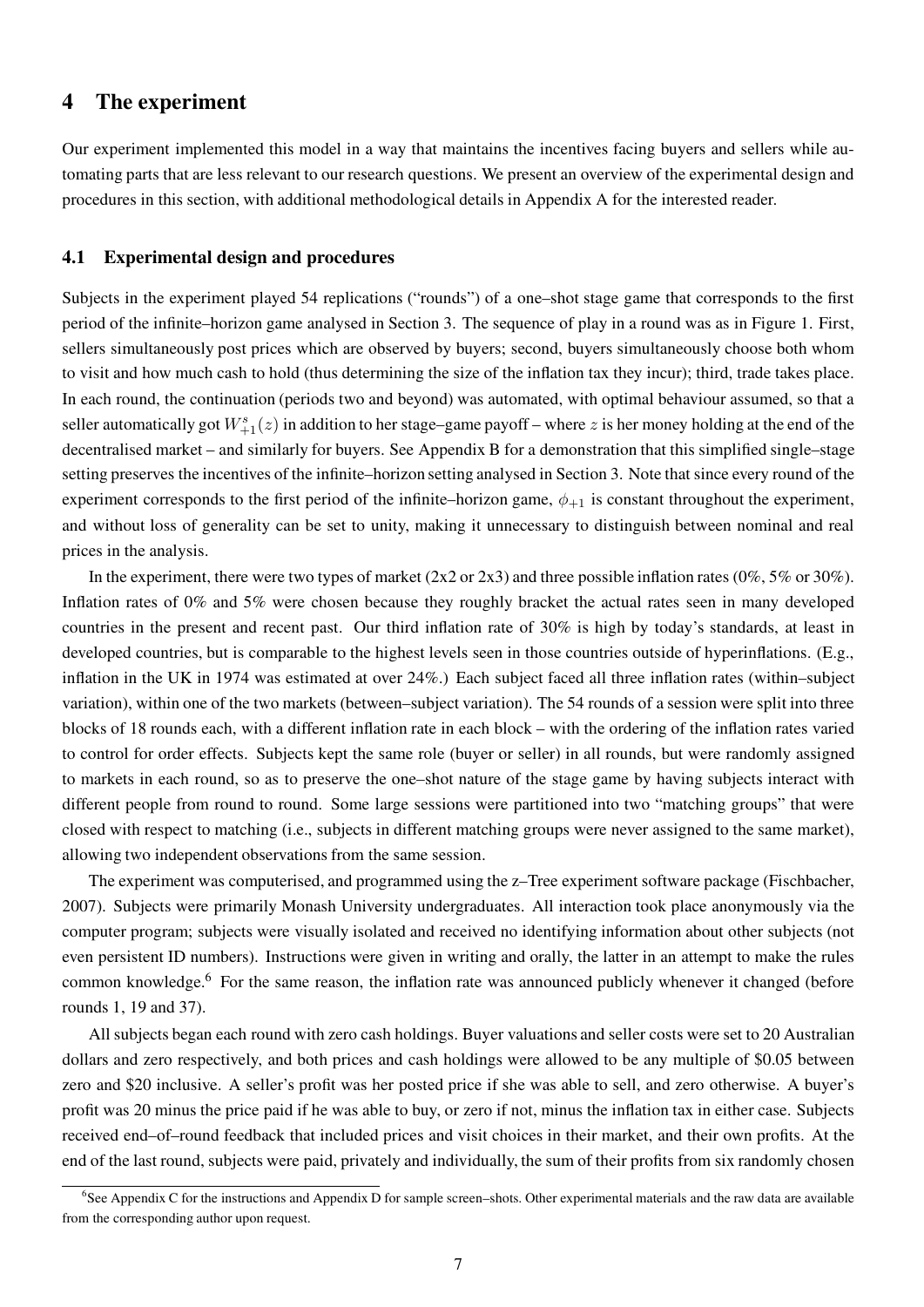### 4 The experiment

Our experiment implemented this model in a way that maintains the incentives facing buyers and sellers while automating parts that are less relevant to our research questions. We present an overview of the experimental design and procedures in this section, with additional methodological details in Appendix A for the interested reader.

#### 4.1 Experimental design and procedures

Subjects in the experiment played 54 replications ("rounds") of a one–shot stage game that corresponds to the first period of the infinite–horizon game analysed in Section 3. The sequence of play in a round was as in Figure 1. First, sellers simultaneously post prices which are observed by buyers; second, buyers simultaneously choose both whom to visit and how much cash to hold (thus determining the size of the inflation tax they incur); third, trade takes place. In each round, the continuation (periods two and beyond) was automated, with optimal behaviour assumed, so that a seller automatically got  $W_{+1}^s(z)$  in addition to her stage–game payoff – where z is her money holding at the end of the decentralised market – and similarly for buyers. See Appendix B for a demonstration that this simplified single–stage setting preserves the incentives of the infinite–horizon setting analysed in Section 3. Note that since every round of the experiment corresponds to the first period of the infinite–horizon game,  $\phi_{+1}$  is constant throughout the experiment, and without loss of generality can be set to unity, making it unnecessary to distinguish between nominal and real prices in the analysis.

In the experiment, there were two types of market ( $2x2$  or  $2x3$ ) and three possible inflation rates ( $0\%$ ,  $5\%$  or  $30\%$ ). Inflation rates of 0% and 5% were chosen because they roughly bracket the actual rates seen in many developed countries in the present and recent past. Our third inflation rate of 30% is high by today's standards, at least in developed countries, but is comparable to the highest levels seen in those countries outside of hyperinflations. (E.g., inflation in the UK in 1974 was estimated at over 24%.) Each subject faced all three inflation rates (within–subject variation), within one of the two markets (between–subject variation). The 54 rounds of a session were split into three blocks of 18 rounds each, with a different inflation rate in each block – with the ordering of the inflation rates varied to control for order effects. Subjects kept the same role (buyer or seller) in all rounds, but were randomly assigned to markets in each round, so as to preserve the one–shot nature of the stage game by having subjects interact with different people from round to round. Some large sessions were partitioned into two "matching groups" that were closed with respect to matching (i.e., subjects in different matching groups were never assigned to the same market), allowing two independent observations from the same session.

The experiment was computerised, and programmed using the z–Tree experiment software package (Fischbacher, 2007). Subjects were primarily Monash University undergraduates. All interaction took place anonymously via the computer program; subjects were visually isolated and received no identifying information about other subjects (not even persistent ID numbers). Instructions were given in writing and orally, the latter in an attempt to make the rules common knowledge.<sup>6</sup> For the same reason, the inflation rate was announced publicly whenever it changed (before rounds 1, 19 and 37).

All subjects began each round with zero cash holdings. Buyer valuations and seller costs were set to 20 Australian dollars and zero respectively, and both prices and cash holdings were allowed to be any multiple of \$0.05 between zero and \$20 inclusive. A seller's profit was her posted price if she was able to sell, and zero otherwise. A buyer's profit was 20 minus the price paid if he was able to buy, or zero if not, minus the inflation tax in either case. Subjects received end–of–round feedback that included prices and visit choices in their market, and their own profits. At the end of the last round, subjects were paid, privately and individually, the sum of their profits from six randomly chosen

<sup>&</sup>lt;sup>6</sup>See Appendix C for the instructions and Appendix D for sample screen–shots. Other experimental materials and the raw data are available from the corresponding author upon request.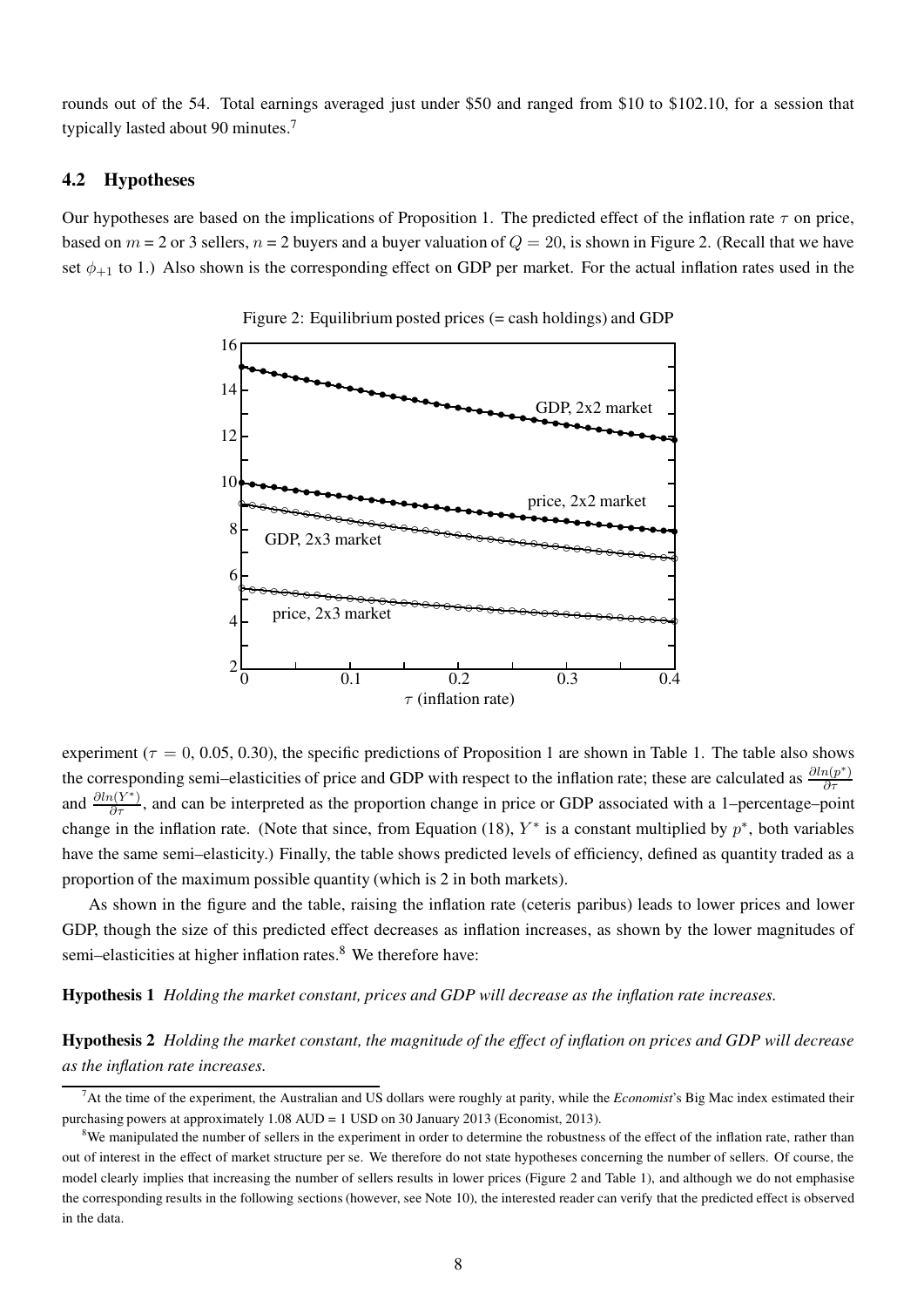rounds out of the 54. Total earnings averaged just under \$50 and ranged from \$10 to \$102.10, for a session that typically lasted about 90 minutes.<sup>7</sup>

#### 4.2 Hypotheses

Our hypotheses are based on the implications of Proposition 1. The predicted effect of the inflation rate  $\tau$  on price, based on  $m = 2$  or 3 sellers,  $n = 2$  buyers and a buyer valuation of  $Q = 20$ , is shown in Figure 2. (Recall that we have set  $\phi_{+1}$  to 1.) Also shown is the corresponding effect on GDP per market. For the actual inflation rates used in the



Figure 2: Equilibrium posted prices (= cash holdings) and GDP

experiment ( $\tau = 0, 0.05, 0.30$ ), the specific predictions of Proposition 1 are shown in Table 1. The table also shows the corresponding semi–elasticities of price and GDP with respect to the inflation rate; these are calculated as  $\frac{\partial ln(p^*)}{\partial \tau}$  $\theta$  pointing semi-erasticities of price and GDT with respect to the mination rate, these are calculated as  $\theta_t$ and  $\frac{\partial ln(Y^*)}{\partial \tau}$ , and can be interpreted as the proportion change in price or GDP associated with a 1–percentage–point change in the inflation rate. (Note that since, from Equation (18),  $Y^*$  is a constant multiplied by  $p^*$ , both variables have the same semi–elasticity.) Finally, the table shows predicted levels of efficiency, defined as quantity traded as a proportion of the maximum possible quantity (which is 2 in both markets).

As shown in the figure and the table, raising the inflation rate (ceteris paribus) leads to lower prices and lower GDP, though the size of this predicted effect decreases as inflation increases, as shown by the lower magnitudes of semi–elasticities at higher inflation rates.<sup>8</sup> We therefore have:

Hypothesis 1 Holding the market constant, prices and GDP will decrease as the inflation rate increases.

Hypothesis 2 Holding the market constant, the magnitude of the effect of inflation on prices and GDP will decrease as the inflation rate increases.

 $<sup>7</sup>$ At the time of the experiment, the Australian and US dollars were roughly at parity, while the *Economist*'s Big Mac index estimated their</sup> purchasing powers at approximately 1.08 AUD = 1 USD on 30 January 2013 (Economist, 2013).

<sup>&</sup>lt;sup>8</sup>We manipulated the number of sellers in the experiment in order to determine the robustness of the effect of the inflation rate, rather than out of interest in the effect of market structure per se. We therefore do not state hypotheses concerning the number of sellers. Of course, the model clearly implies that increasing the number of sellers results in lower prices (Figure 2 and Table 1), and although we do not emphasise the corresponding results in the following sections (however, see Note 10), the interested reader can verify that the predicted effect is observed in the data.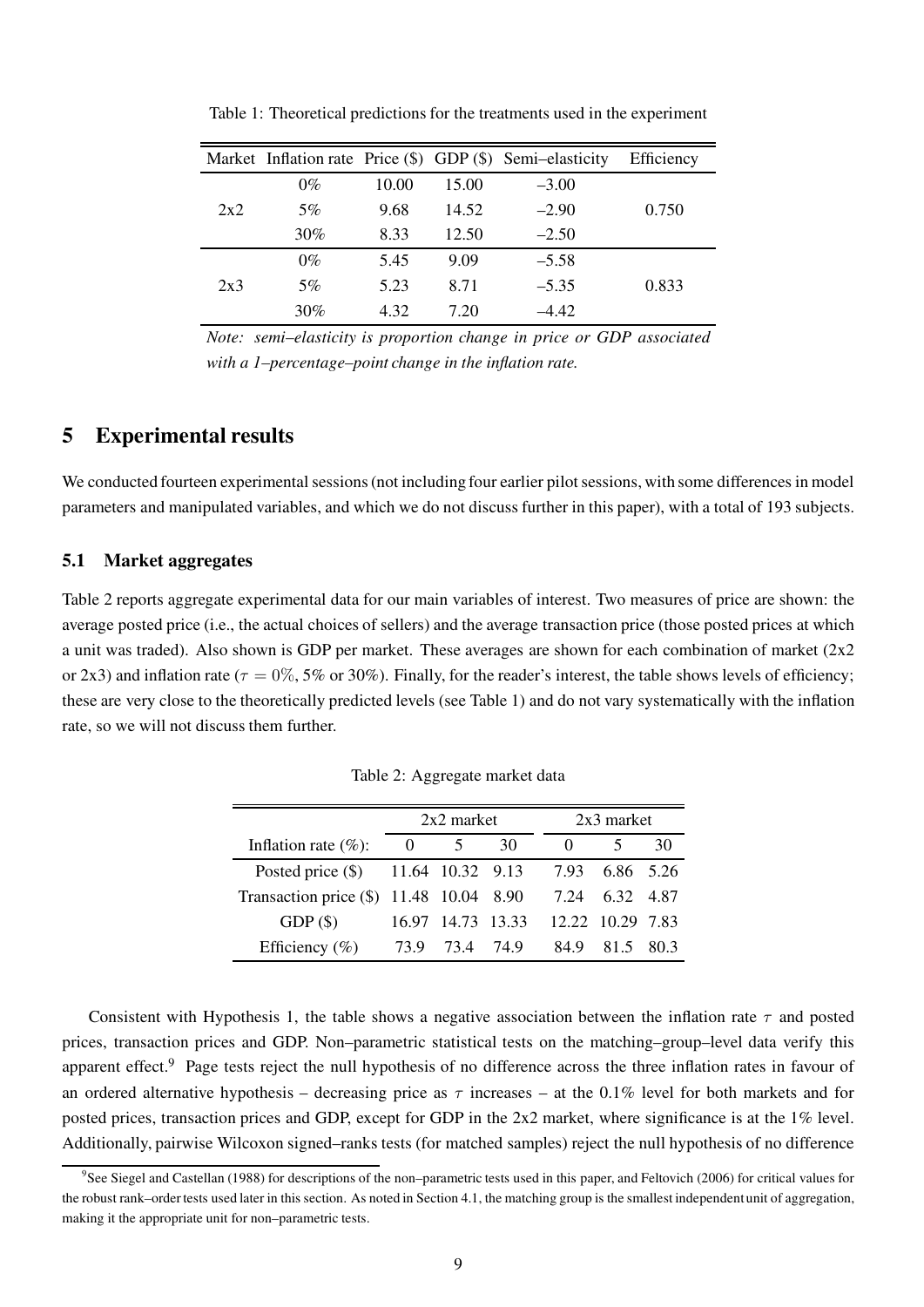|     |       |       |       | Market Inflation rate Price $(\$)$ GDP $(\$)$ Semi-elasticity | Efficiency |
|-----|-------|-------|-------|---------------------------------------------------------------|------------|
|     | $0\%$ | 10.00 | 15.00 | $-3.00$                                                       |            |
| 2x2 | 5%    | 9.68  | 14.52 | $-2.90$                                                       | 0.750      |
|     | 30%   | 8.33  | 12.50 | $-2.50$                                                       |            |
| 2x3 | $0\%$ | 5.45  | 9.09  | $-5.58$                                                       |            |
|     | 5%    | 5.23  | 8.71  | $-5.35$                                                       | 0.833      |
|     | 30%   | 4.32  | 7.20  | $-4.42$                                                       |            |

Table 1: Theoretical predictions for the treatments used in the experiment

Note: semi–elasticity is proportion change in price or GDP associated with a 1–percentage–point change in the inflation rate.

### 5 Experimental results

We conducted fourteen experimental sessions (not including four earlier pilot sessions, with some differences in model parameters and manipulated variables, and which we do not discuss further in this paper), with a total of 193 subjects.

#### 5.1 Market aggregates

Table 2 reports aggregate experimental data for our main variables of interest. Two measures of price are shown: the average posted price (i.e., the actual choices of sellers) and the average transaction price (those posted prices at which a unit was traded). Also shown is GDP per market. These averages are shown for each combination of market (2x2 or 2x3) and inflation rate ( $\tau = 0\%$ , 5% or 30%). Finally, for the reader's interest, the table shows levels of efficiency; these are very close to the theoretically predicted levels (see Table 1) and do not vary systematically with the inflation rate, so we will not discuss them further.

|                                         | $2x2$ market |                   |    | $2x3$ market |                  |       |  |
|-----------------------------------------|--------------|-------------------|----|--------------|------------------|-------|--|
| Inflation rate $(\%):$                  | $\theta$     |                   | 30 |              |                  | 30    |  |
| Posted price (\$) 11.64 10.32 9.13      |              |                   |    | 7.93         | 6.86 5.26        |       |  |
| Transaction price (\$) 11.48 10.04 8.90 |              |                   |    | 7.24         | 6.32             | -4.87 |  |
| GDP(S)                                  |              | 16.97 14.73 13.33 |    |              | 12.22 10.29 7.83 |       |  |
| Efficiency $(\%)$                       | 73.9         | 73.4 74.9         |    | 84.9         | 815              | 80.3  |  |

Table 2: Aggregate market data

Consistent with Hypothesis 1, the table shows a negative association between the inflation rate  $\tau$  and posted prices, transaction prices and GDP. Non–parametric statistical tests on the matching–group–level data verify this apparent effect.<sup>9</sup> Page tests reject the null hypothesis of no difference across the three inflation rates in favour of an ordered alternative hypothesis – decreasing price as  $\tau$  increases – at the 0.1% level for both markets and for posted prices, transaction prices and GDP, except for GDP in the 2x2 market, where significance is at the 1% level. Additionally, pairwise Wilcoxon signed–ranks tests (for matched samples) reject the null hypothesis of no difference

<sup>&</sup>lt;sup>9</sup>See Siegel and Castellan (1988) for descriptions of the non–parametric tests used in this paper, and Feltovich (2006) for critical values for the robust rank–order tests used later in this section. As noted in Section 4.1, the matching group is the smallest independent unit of aggregation, making it the appropriate unit for non–parametric tests.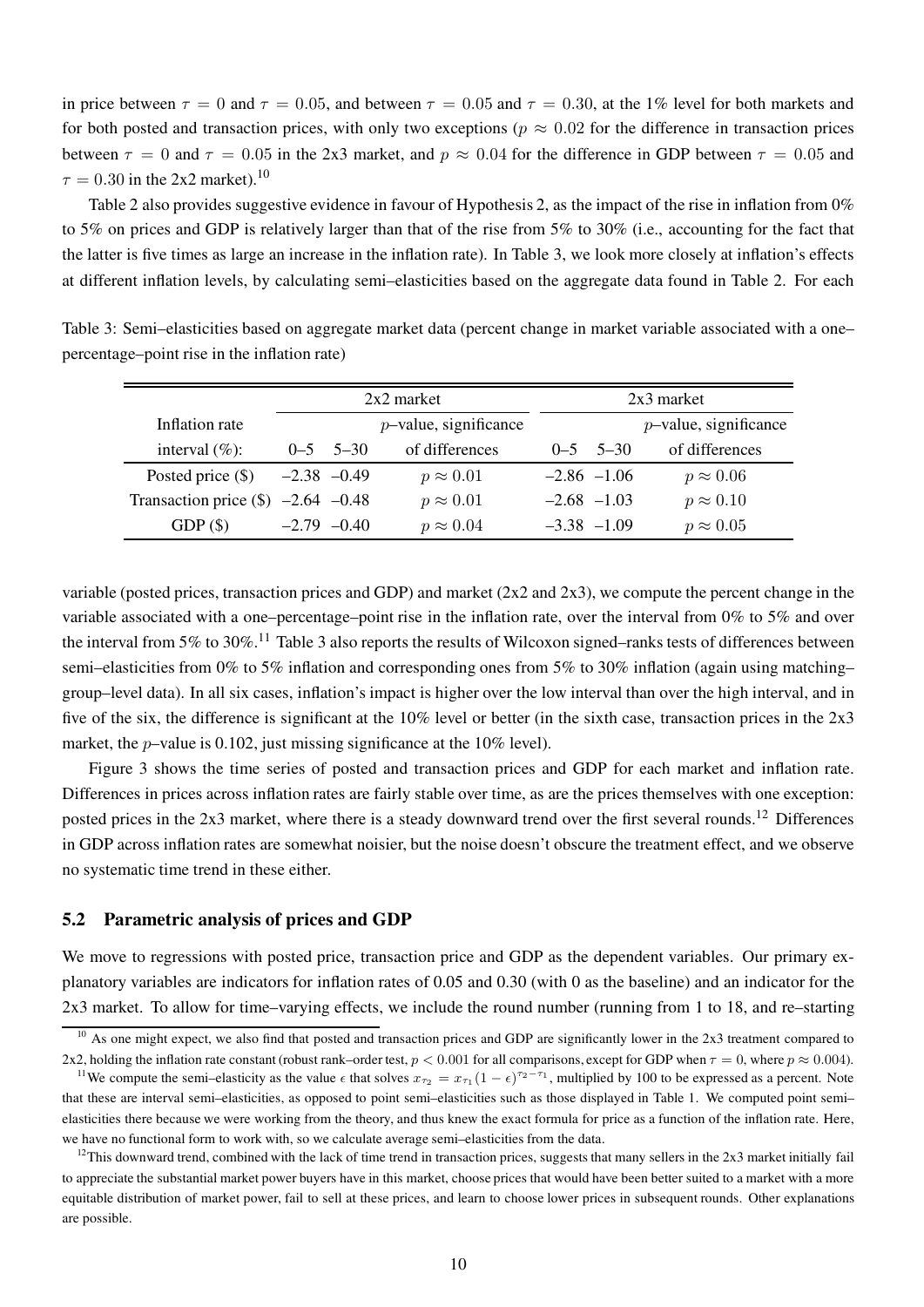in price between  $\tau = 0$  and  $\tau = 0.05$ , and between  $\tau = 0.05$  and  $\tau = 0.30$ , at the 1% level for both markets and for both posted and transaction prices, with only two exceptions ( $p \approx 0.02$  for the difference in transaction prices between  $\tau = 0$  and  $\tau = 0.05$  in the 2x3 market, and  $p \approx 0.04$  for the difference in GDP between  $\tau = 0.05$  and  $\tau = 0.30$  in the 2x2 market).<sup>10</sup>

Table 2 also provides suggestive evidence in favour of Hypothesis 2, as the impact of the rise in inflation from 0% to 5% on prices and GDP is relatively larger than that of the rise from 5% to 30% (i.e., accounting for the fact that the latter is five times as large an increase in the inflation rate). In Table 3, we look more closely at inflation's effects at different inflation levels, by calculating semi–elasticities based on the aggregate data found in Table 2. For each

|                                      | $2x2$ market    |                 |                          |                 | $2x3$ market |                          |  |
|--------------------------------------|-----------------|-----------------|--------------------------|-----------------|--------------|--------------------------|--|
| Inflation rate                       |                 |                 | $p$ -value, significance |                 |              | $p$ -value, significance |  |
| interval $(\%)$ :                    |                 | $0 - 5$ 5-30    | of differences           |                 | $0 - 5$ 5-30 | of differences           |  |
| Posted price $(\$)$                  | $-2.38$ $-0.49$ |                 | $p \approx 0.01$         | $-2.86$ $-1.06$ |              | $p \approx 0.06$         |  |
| Transaction price $(\$)$ -2.64 -0.48 |                 |                 | $p \approx 0.01$         | $-2.68$ $-1.03$ |              | $p \approx 0.10$         |  |
| GDP(S)                               |                 | $-2.79$ $-0.40$ | $p \approx 0.04$         | $-3.38$ $-1.09$ |              | $p \approx 0.05$         |  |

Table 3: Semi–elasticities based on aggregate market data (percent change in market variable associated with a one– percentage–point rise in the inflation rate)

variable (posted prices, transaction prices and GDP) and market (2x2 and 2x3), we compute the percent change in the variable associated with a one–percentage–point rise in the inflation rate, over the interval from 0% to 5% and over the interval from 5% to 30%.<sup>11</sup> Table 3 also reports the results of Wilcoxon signed–ranks tests of differences between semi–elasticities from 0% to 5% inflation and corresponding ones from 5% to 30% inflation (again using matching– group–level data). In all six cases, inflation's impact is higher over the low interval than over the high interval, and in five of the six, the difference is significant at the 10% level or better (in the sixth case, transaction prices in the 2x3 market, the *p*-value is 0.102, just missing significance at the 10% level).

Figure 3 shows the time series of posted and transaction prices and GDP for each market and inflation rate. Differences in prices across inflation rates are fairly stable over time, as are the prices themselves with one exception: posted prices in the  $2x3$  market, where there is a steady downward trend over the first several rounds.<sup>12</sup> Differences in GDP across inflation rates are somewhat noisier, but the noise doesn't obscure the treatment effect, and we observe no systematic time trend in these either.

#### 5.2 Parametric analysis of prices and GDP

We move to regressions with posted price, transaction price and GDP as the dependent variables. Our primary explanatory variables are indicators for inflation rates of 0.05 and 0.30 (with 0 as the baseline) and an indicator for the 2x3 market. To allow for time–varying effects, we include the round number (running from 1 to 18, and re–starting

 $10$  As one might expect, we also find that posted and transaction prices and GDP are significantly lower in the 2x3 treatment compared to 2x2, holding the inflation rate constant (robust rank–order test,  $p < 0.001$  for all comparisons, except for GDP when  $\tau = 0$ , where  $p \approx 0.004$ ).

<sup>&</sup>lt;sup>11</sup>We compute the semi–elasticity as the value  $\epsilon$  that solves  $x_{\tau_2} = x_{\tau_1} (1 - \epsilon)^{\tau_2 - \tau_1}$ , multiplied by 100 to be expressed as a percent. Note that these are interval semi–elasticities, as opposed to point semi–elasticities such as those displayed in Table 1. We computed point semi– elasticities there because we were working from the theory, and thus knew the exact formula for price as a function of the inflation rate. Here, we have no functional form to work with, so we calculate average semi–elasticities from the data.

 $12$ This downward trend, combined with the lack of time trend in transaction prices, suggests that many sellers in the 2x3 market initially fail to appreciate the substantial market power buyers have in this market, choose prices that would have been better suited to a market with a more equitable distribution of market power, fail to sell at these prices, and learn to choose lower prices in subsequent rounds. Other explanations are possible.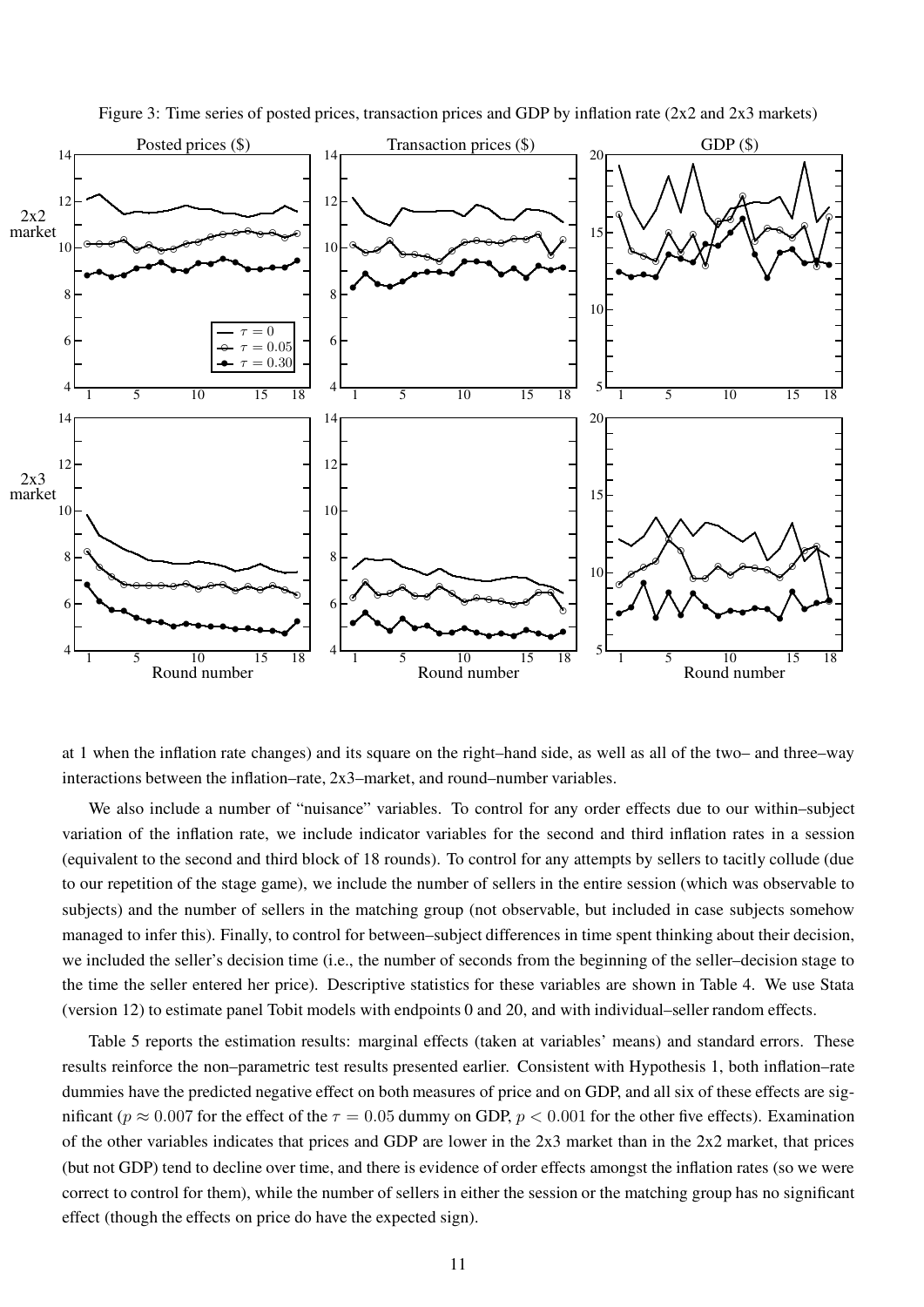

Figure 3: Time series of posted prices, transaction prices and GDP by inflation rate  $(2x2 \text{ and } 2x3 \text{ markets})$ 

at 1 when the inflation rate changes) and its square on the right–hand side, as well as all of the two– and three–way interactions between the inflation–rate, 2x3–market, and round–number variables.

We also include a number of "nuisance" variables. To control for any order effects due to our within–subject variation of the inflation rate, we include indicator variables for the second and third inflation rates in a session (equivalent to the second and third block of 18 rounds). To control for any attempts by sellers to tacitly collude (due to our repetition of the stage game), we include the number of sellers in the entire session (which was observable to subjects) and the number of sellers in the matching group (not observable, but included in case subjects somehow managed to infer this). Finally, to control for between–subject differences in time spent thinking about their decision, we included the seller's decision time (i.e., the number of seconds from the beginning of the seller–decision stage to the time the seller entered her price). Descriptive statistics for these variables are shown in Table 4. We use Stata (version 12) to estimate panel Tobit models with endpoints 0 and 20, and with individual–seller random effects.

Table 5 reports the estimation results: marginal effects (taken at variables' means) and standard errors. These results reinforce the non–parametric test results presented earlier. Consistent with Hypothesis 1, both inflation–rate dummies have the predicted negative effect on both measures of price and on GDP, and all six of these effects are significant ( $p \approx 0.007$  for the effect of the  $\tau = 0.05$  dummy on GDP,  $p < 0.001$  for the other five effects). Examination of the other variables indicates that prices and GDP are lower in the 2x3 market than in the 2x2 market, that prices (but not GDP) tend to decline over time, and there is evidence of order effects amongst the inflation rates (so we were correct to control for them), while the number of sellers in either the session or the matching group has no significant effect (though the effects on price do have the expected sign).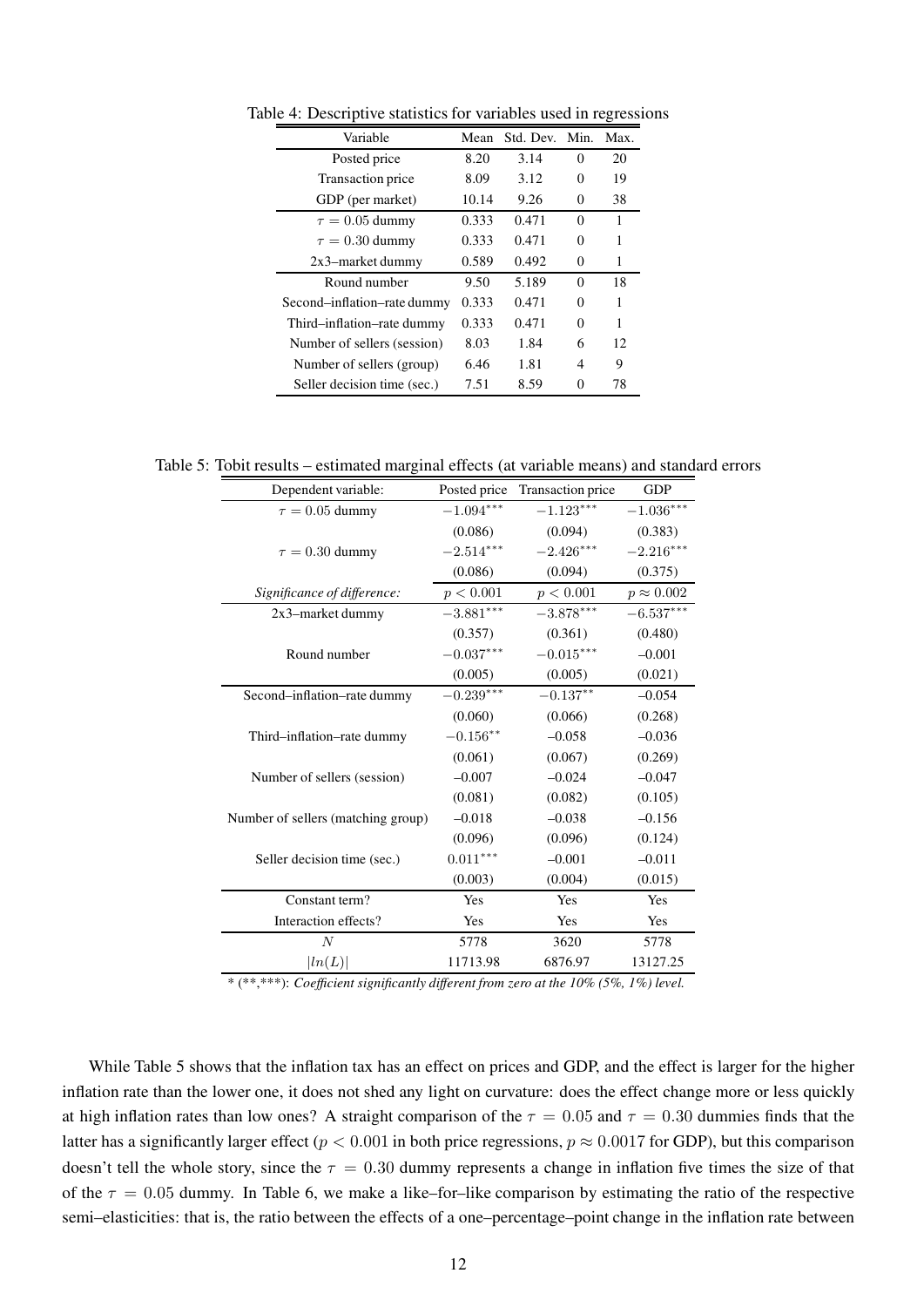| Variable                    | Mean  | Std. Dev. Min. |          | Max. |
|-----------------------------|-------|----------------|----------|------|
| Posted price                | 8.20  | 3.14           | 0        | 20   |
| Transaction price           | 8.09  | 3.12           | 0        | 19   |
| GDP (per market)            | 10.14 | 9.26           | 0        | 38   |
| $\tau = 0.05$ dummy         | 0.333 | 0.471          | 0        | 1    |
| $\tau = 0.30$ dummy         | 0.333 | 0.471          | 0        | 1    |
| $2x3$ -market dummy         | 0.589 | 0.492          | 0        | 1    |
| Round number                | 9.50  | 5.189          | $\theta$ | 18   |
| Second-inflation-rate dummy | 0.333 | 0.471          | 0        | 1    |
| Third-inflation-rate dummy  | 0.333 | 0.471          | 0        | 1    |
| Number of sellers (session) | 8.03  | 1.84           | 6        | 12   |
| Number of sellers (group)   | 6.46  | 1.81           | 4        | 9    |
| Seller decision time (sec.) | 7.51  | 8.59           | 0        | 78   |

Table 4: Descriptive statistics for variables used in regressions

Table 5: Tobit results – estimated marginal effects (at variable means) and standard errors

| Dependent variable:                | Posted price | Transaction price | <b>GDP</b>        |
|------------------------------------|--------------|-------------------|-------------------|
| $\tau = 0.05$ dummy                | $-1.094***$  | $-1.123***$       | $-1.036***$       |
|                                    | (0.086)      | (0.094)           | (0.383)           |
| $\tau = 0.30$ dummy                | $-2.514***$  | $-2.426***$       | $-2.216***$       |
|                                    | (0.086)      | (0.094)           | (0.375)           |
| Significance of difference:        | p < 0.001    | p < 0.001         | $p \approx 0.002$ |
| 2x3-market dummy                   | $-3.881***$  | $-3.878***$       | $-6.537***$       |
|                                    | (0.357)      | (0.361)           | (0.480)           |
| Round number                       | $-0.037***$  | $-0.015***$       | $-0.001$          |
|                                    | (0.005)      | (0.005)           | (0.021)           |
| Second-inflation-rate dummy        | $-0.239***$  | $-0.137***$       | $-0.054$          |
|                                    | (0.060)      | (0.066)           | (0.268)           |
| Third-inflation-rate dummy         | $-0.156**$   | $-0.058$          | $-0.036$          |
|                                    | (0.061)      | (0.067)           | (0.269)           |
| Number of sellers (session)        | $-0.007$     | $-0.024$          | $-0.047$          |
|                                    | (0.081)      | (0.082)           | (0.105)           |
| Number of sellers (matching group) | $-0.018$     | $-0.038$          | $-0.156$          |
|                                    | (0.096)      | (0.096)           | (0.124)           |
| Seller decision time (sec.)        | $0.011***$   | $-0.001$          | $-0.011$          |
|                                    | (0.003)      | (0.004)           | (0.015)           |
| Constant term?                     | Yes          | Yes               | Yes               |
| Interaction effects?               | Yes          | Yes               | Yes               |
| $\boldsymbol{N}$                   | 5778         | 3620              | 5778              |
| ln(L)                              | 11713.98     | 6876.97           | 13127.25          |

\* (\*\*,\*\*\*): Coefficient significantly different from zero at the 10% (5%, 1%) level.

While Table 5 shows that the inflation tax has an effect on prices and GDP, and the effect is larger for the higher inflation rate than the lower one, it does not shed any light on curvature: does the effect change more or less quickly at high inflation rates than low ones? A straight comparison of the  $\tau = 0.05$  and  $\tau = 0.30$  dummies finds that the latter has a significantly larger effect ( $p < 0.001$  in both price regressions,  $p \approx 0.0017$  for GDP), but this comparison doesn't tell the whole story, since the  $\tau = 0.30$  dummy represents a change in inflation five times the size of that of the  $\tau = 0.05$  dummy. In Table 6, we make a like–for–like comparison by estimating the ratio of the respective semi–elasticities: that is, the ratio between the effects of a one–percentage–point change in the inflation rate between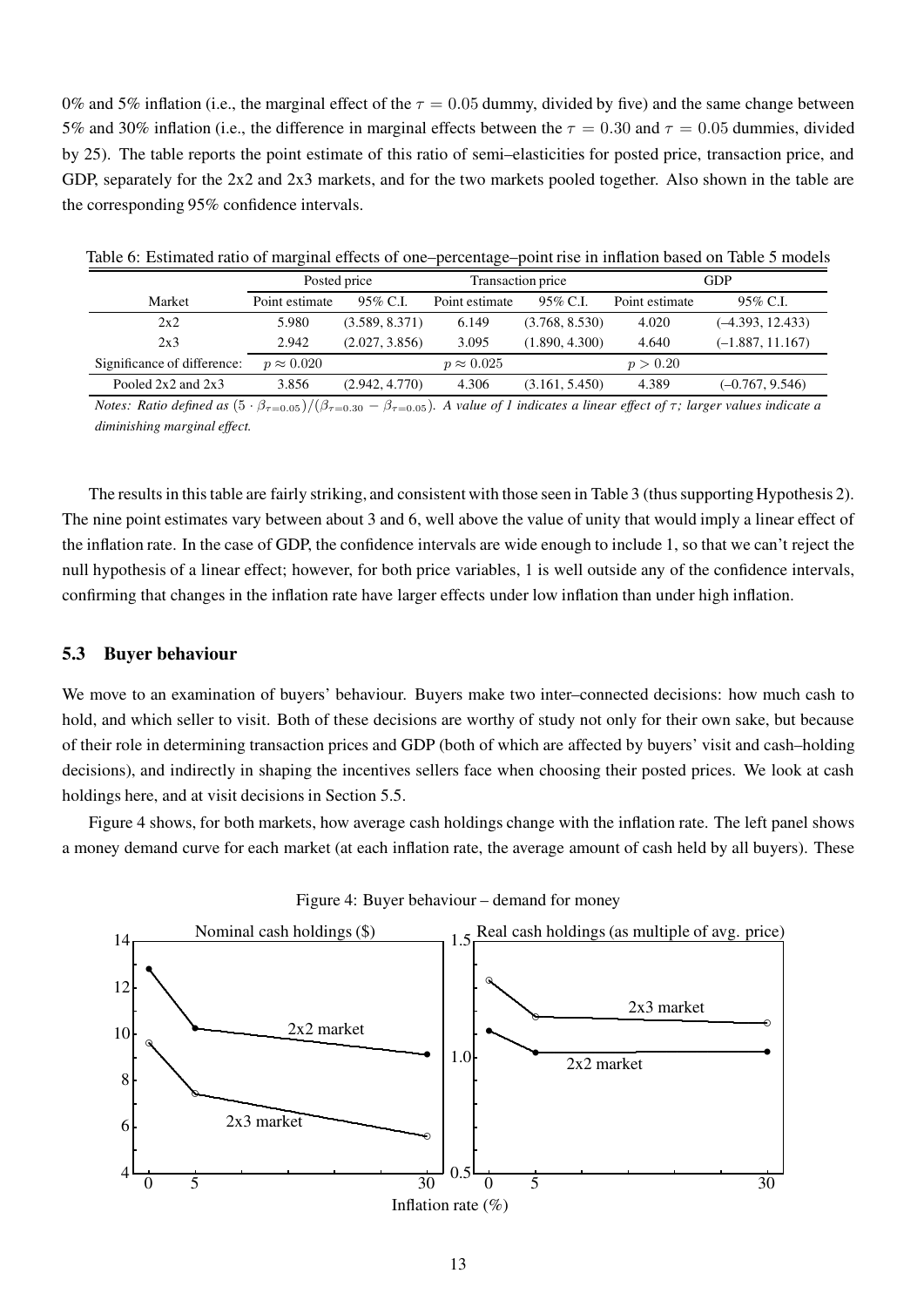0% and 5% inflation (i.e., the marginal effect of the  $\tau = 0.05$  dummy, divided by five) and the same change between 5% and 30% inflation (i.e., the difference in marginal effects between the  $\tau = 0.30$  and  $\tau = 0.05$  dummies, divided by 25). The table reports the point estimate of this ratio of semi–elasticities for posted price, transaction price, and GDP, separately for the 2x2 and 2x3 markets, and for the two markets pooled together. Also shown in the table are the corresponding 95% confidence intervals.

|                             |                   | Posted price   |                   | Transaction price | GDP            |                    |  |
|-----------------------------|-------------------|----------------|-------------------|-------------------|----------------|--------------------|--|
| Market                      | Point estimate    | 95% C.L        | Point estimate    | 95% C.I.          | Point estimate | $95\%$ C.I.        |  |
| 2x2                         | 5.980             | (3.589, 8.371) | 6.149             | (3.768, 8.530)    | 4.020          | $(-4.393, 12.433)$ |  |
| 2x3                         | 2.942             | (2.027, 3.856) | 3.095             | (1.890, 4.300)    | 4.640          | $(-1.887, 11.167)$ |  |
| Significance of difference: | $p \approx 0.020$ |                | $p \approx 0.025$ |                   | p > 0.20       |                    |  |
| Pooled $2x2$ and $2x3$      | 3.856             | (2.942, 4.770) | 4.306             | (3.161, 5.450)    | 4.389          | $(-0.767, 9.546)$  |  |

Table 6: Estimated ratio of marginal effects of one–percentage–point rise in inflation based on Table 5 models

Notes: Ratio defined as  $(5 \cdot \beta_{\tau=0.05})/(\beta_{\tau=0.30} - \beta_{\tau=0.05})$ . A value of 1 indicates a linear effect of  $\tau$ ; larger values indicate a diminishing marginal effect.

The results in this table are fairly striking, and consistent with those seen in Table 3 (thus supporting Hypothesis 2). The nine point estimates vary between about 3 and 6, well above the value of unity that would imply a linear effect of the inflation rate. In the case of GDP, the confidence intervals are wide enough to include 1, so that we can't reject the null hypothesis of a linear effect; however, for both price variables, 1 is well outside any of the confidence intervals, confirming that changes in the inflation rate have larger effects under low inflation than under high inflation.

#### 5.3 Buyer behaviour

We move to an examination of buyers' behaviour. Buyers make two inter–connected decisions: how much cash to hold, and which seller to visit. Both of these decisions are worthy of study not only for their own sake, but because of their role in determining transaction prices and GDP (both of which are affected by buyers' visit and cash–holding decisions), and indirectly in shaping the incentives sellers face when choosing their posted prices. We look at cash holdings here, and at visit decisions in Section 5.5.

Figure 4 shows, for both markets, how average cash holdings change with the inflation rate. The left panel shows a money demand curve for each market (at each inflation rate, the average amount of cash held by all buyers). These



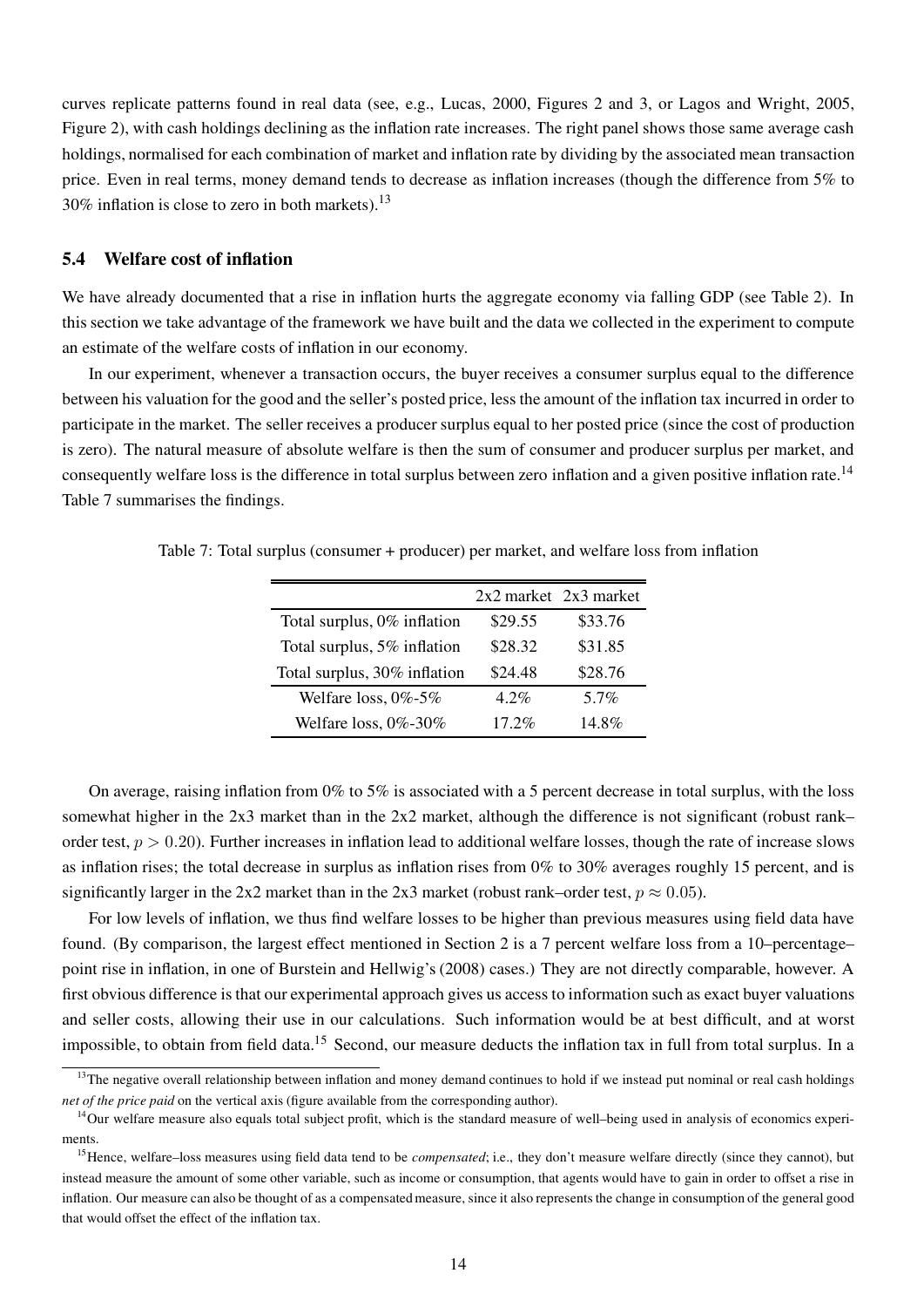curves replicate patterns found in real data (see, e.g., Lucas, 2000, Figures 2 and 3, or Lagos and Wright, 2005, Figure 2), with cash holdings declining as the inflation rate increases. The right panel shows those same average cash holdings, normalised for each combination of market and inflation rate by dividing by the associated mean transaction price. Even in real terms, money demand tends to decrease as inflation increases (though the difference from 5% to 30% inflation is close to zero in both markets).<sup>13</sup>

#### 5.4 Welfare cost of inflation

We have already documented that a rise in inflation hurts the aggregate economy via falling GDP (see Table 2). In this section we take advantage of the framework we have built and the data we collected in the experiment to compute an estimate of the welfare costs of inflation in our economy.

In our experiment, whenever a transaction occurs, the buyer receives a consumer surplus equal to the difference between his valuation for the good and the seller's posted price, less the amount of the inflation tax incurred in order to participate in the market. The seller receives a producer surplus equal to her posted price (since the cost of production is zero). The natural measure of absolute welfare is then the sum of consumer and producer surplus per market, and consequently welfare loss is the difference in total surplus between zero inflation and a given positive inflation rate.<sup>14</sup> Table 7 summarises the findings.

Table 7: Total surplus (consumer + producer) per market, and welfare loss from inflation

|                              |          | $2x2$ market $2x3$ market |
|------------------------------|----------|---------------------------|
| Total surplus, 0% inflation  | \$29.55  | \$33.76                   |
| Total surplus, 5% inflation  | \$28.32  | \$31.85                   |
| Total surplus, 30% inflation | \$24.48  | \$28.76                   |
| Welfare loss, $0\% - 5\%$    | 4.2%     | 5.7%                      |
| Welfare loss, 0%-30%         | $17.2\%$ | 14.8%                     |

On average, raising inflation from 0% to 5% is associated with a 5 percent decrease in total surplus, with the loss somewhat higher in the 2x3 market than in the 2x2 market, although the difference is not significant (robust rank– order test,  $p > 0.20$ ). Further increases in inflation lead to additional welfare losses, though the rate of increase slows as inflation rises; the total decrease in surplus as inflation rises from  $0\%$  to  $30\%$  averages roughly 15 percent, and is significantly larger in the 2x2 market than in the 2x3 market (robust rank–order test,  $p \approx 0.05$ ).

For low levels of inflation, we thus find welfare losses to be higher than previous measures using field data have found. (By comparison, the largest effect mentioned in Section 2 is a 7 percent welfare loss from a 10–percentage– point rise in inflation, in one of Burstein and Hellwig's (2008) cases.) They are not directly comparable, however. A first obvious difference is that our experimental approach gives us access to information such as exact buyer valuations and seller costs, allowing their use in our calculations. Such information would be at best difficult, and at worst impossible, to obtain from field data.<sup>15</sup> Second, our measure deducts the inflation tax in full from total surplus. In a

<sup>&</sup>lt;sup>13</sup>The negative overall relationship between inflation and money demand continues to hold if we instead put nominal or real cash holdings net of the price paid on the vertical axis (figure available from the corresponding author).

<sup>&</sup>lt;sup>14</sup>Our welfare measure also equals total subject profit, which is the standard measure of well-being used in analysis of economics experiments.

<sup>&</sup>lt;sup>15</sup> Hence, welfare–loss measures using field data tend to be *compensated*; i.e., they don't measure welfare directly (since they cannot), but instead measure the amount of some other variable, such as income or consumption, that agents would have to gain in order to offset a rise in inflation. Our measure can also be thought of as a compensated measure, since it also represents the change in consumption of the general good that would offset the effect of the inflation tax.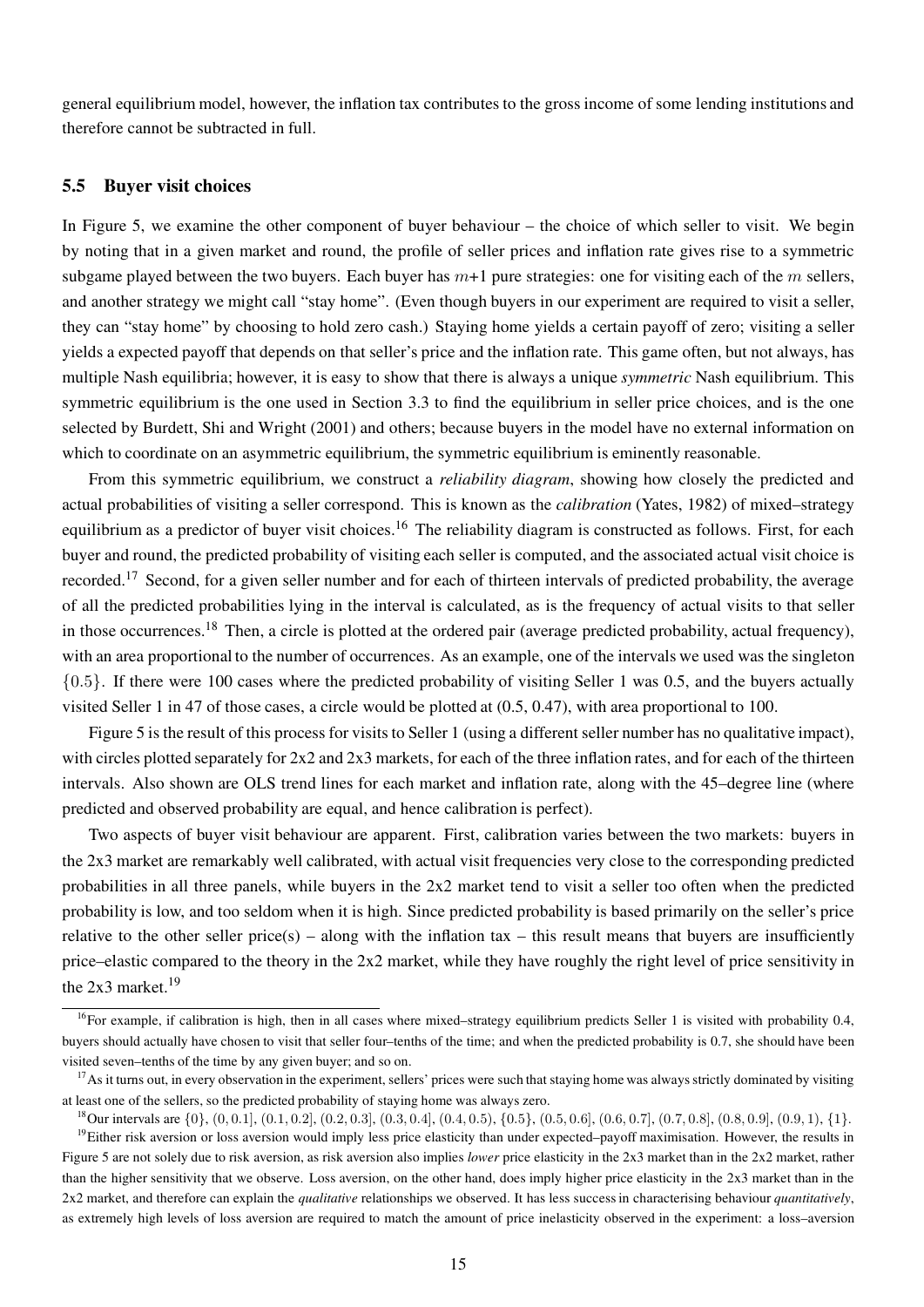general equilibrium model, however, the inflation tax contributes to the gross income of some lending institutions and therefore cannot be subtracted in full.

#### 5.5 Buyer visit choices

In Figure 5, we examine the other component of buyer behaviour – the choice of which seller to visit. We begin by noting that in a given market and round, the profile of seller prices and inflation rate gives rise to a symmetric subgame played between the two buyers. Each buyer has  $m+1$  pure strategies: one for visiting each of the m sellers, and another strategy we might call "stay home". (Even though buyers in our experiment are required to visit a seller, they can "stay home" by choosing to hold zero cash.) Staying home yields a certain payoff of zero; visiting a seller yields a expected payoff that depends on that seller's price and the inflation rate. This game often, but not always, has multiple Nash equilibria; however, it is easy to show that there is always a unique *symmetric* Nash equilibrium. This symmetric equilibrium is the one used in Section 3.3 to find the equilibrium in seller price choices, and is the one selected by Burdett, Shi and Wright (2001) and others; because buyers in the model have no external information on which to coordinate on an asymmetric equilibrium, the symmetric equilibrium is eminently reasonable.

From this symmetric equilibrium, we construct a *reliability diagram*, showing how closely the predicted and actual probabilities of visiting a seller correspond. This is known as the calibration (Yates, 1982) of mixed–strategy equilibrium as a predictor of buyer visit choices.<sup>16</sup> The reliability diagram is constructed as follows. First, for each buyer and round, the predicted probability of visiting each seller is computed, and the associated actual visit choice is recorded.<sup>17</sup> Second, for a given seller number and for each of thirteen intervals of predicted probability, the average of all the predicted probabilities lying in the interval is calculated, as is the frequency of actual visits to that seller in those occurrences.<sup>18</sup> Then, a circle is plotted at the ordered pair (average predicted probability, actual frequency), with an area proportional to the number of occurrences. As an example, one of the intervals we used was the singleton {0.5}. If there were 100 cases where the predicted probability of visiting Seller 1 was 0.5, and the buyers actually visited Seller 1 in 47 of those cases, a circle would be plotted at (0.5, 0.47), with area proportional to 100.

Figure 5 is the result of this process for visits to Seller 1 (using a different seller number has no qualitative impact), with circles plotted separately for  $2x2$  and  $2x3$  markets, for each of the three inflation rates, and for each of the thirteen intervals. Also shown are OLS trend lines for each market and inflation rate, along with the 45–degree line (where predicted and observed probability are equal, and hence calibration is perfect).

Two aspects of buyer visit behaviour are apparent. First, calibration varies between the two markets: buyers in the 2x3 market are remarkably well calibrated, with actual visit frequencies very close to the corresponding predicted probabilities in all three panels, while buyers in the 2x2 market tend to visit a seller too often when the predicted probability is low, and too seldom when it is high. Since predicted probability is based primarily on the seller's price relative to the other seller price(s) – along with the inflation tax – this result means that buyers are insufficiently price–elastic compared to the theory in the 2x2 market, while they have roughly the right level of price sensitivity in the  $2x3$  market.<sup>19</sup>

<sup>&</sup>lt;sup>16</sup>For example, if calibration is high, then in all cases where mixed–strategy equilibrium predicts Seller 1 is visited with probability 0.4, buyers should actually have chosen to visit that seller four–tenths of the time; and when the predicted probability is 0.7, she should have been visited seven–tenths of the time by any given buyer; and so on.

 $17$ As it turns out, in every observation in the experiment, sellers' prices were such that staying home was always strictly dominated by visiting at least one of the sellers, so the predicted probability of staying home was always zero.

<sup>&</sup>lt;sup>18</sup>Our intervals are {0}, (0, 0.1], (0.1, 0.2], (0.2, 0.3], (0.3, 0.4], (0.4, 0.5), {0.5}, (0.5, 0.6], (0.6, 0.7], (0.7, 0.8], (0.8, 0.9], (0.9, 1), {1}.

 $19$ Either risk aversion or loss aversion would imply less price elasticity than under expected–payoff maximisation. However, the results in Figure 5 are not solely due to risk aversion, as risk aversion also implies lower price elasticity in the 2x3 market than in the 2x2 market, rather than the higher sensitivity that we observe. Loss aversion, on the other hand, does imply higher price elasticity in the 2x3 market than in the 2x2 market, and therefore can explain the *qualitative* relationships we observed. It has less success in characterising behaviour *quantitatively*, as extremely high levels of loss aversion are required to match the amount of price inelasticity observed in the experiment: a loss–aversion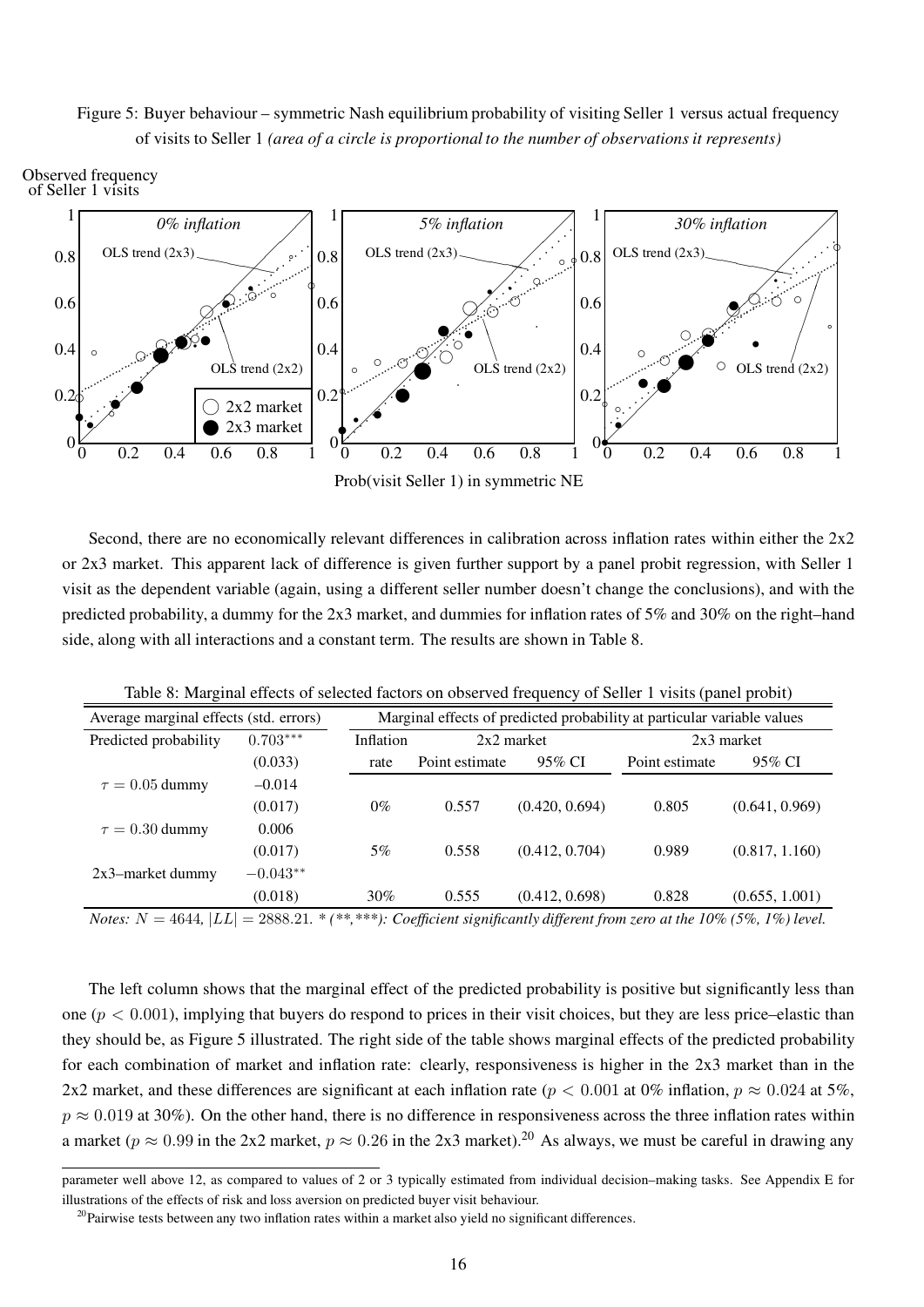### Figure 5: Buyer behaviour – symmetric Nash equilibrium probability of visiting Seller 1 versus actual frequency of visits to Seller 1 (area of a circle is proportional to the number of observations it represents)



Second, there are no economically relevant differences in calibration across inflation rates within either the  $2x2$ or 2x3 market. This apparent lack of difference is given further support by a panel probit regression, with Seller 1 visit as the dependent variable (again, using a different seller number doesn't change the conclusions), and with the predicted probability, a dummy for the 2x3 market, and dummies for inflation rates of 5% and 30% on the right–hand side, along with all interactions and a constant term. The results are shown in Table 8.

| Average marginal effects (std. errors)        | Marginal effects of predicted probability at particular variable values |           |                |                |                                                                                      |                |
|-----------------------------------------------|-------------------------------------------------------------------------|-----------|----------------|----------------|--------------------------------------------------------------------------------------|----------------|
| Predicted probability                         | $0.703***$                                                              | Inflation | $2x2$ market   |                | $2x3$ market                                                                         |                |
|                                               | (0.033)                                                                 | rate      | Point estimate | 95% CI         | Point estimate                                                                       | 95% CI         |
| $\tau = 0.05$ dummy                           | $-0.014$                                                                |           |                |                |                                                                                      |                |
|                                               | (0.017)                                                                 | $0\%$     | 0.557          | (0.420, 0.694) | 0.805                                                                                | (0.641, 0.969) |
| $\tau = 0.30$ dummy                           | 0.006                                                                   |           |                |                |                                                                                      |                |
|                                               | (0.017)                                                                 | $5\%$     | 0.558          | (0.412, 0.704) | 0.989                                                                                | (0.817, 1.160) |
| 2x3-market dummy                              | $-0.043**$                                                              |           |                |                |                                                                                      |                |
|                                               | (0.018)                                                                 | 30%       | 0.555          | (0.412, 0.698) | 0.828                                                                                | (0.655, 1.001) |
| <i>Notes:</i> $N = 4644$ , $ LL  = 2888.21$ . |                                                                         |           |                |                | * (**,***): Coefficient significantly different from zero at the 10% (5%, 1%) level. |                |

Table 8: Marginal effects of selected factors on observed frequency of Seller 1 visits (panel probit)

The left column shows that the marginal effect of the predicted probability is positive but significantly less than one ( $p < 0.001$ ), implying that buyers do respond to prices in their visit choices, but they are less price–elastic than they should be, as Figure 5 illustrated. The right side of the table shows marginal effects of the predicted probability for each combination of market and inflation rate: clearly, responsiveness is higher in the 2x3 market than in the 2x2 market, and these differences are significant at each inflation rate ( $p < 0.001$  at 0% inflation,  $p \approx 0.024$  at 5%,  $p \approx 0.019$  at 30%). On the other hand, there is no difference in responsiveness across the three inflation rates within a market ( $p \approx 0.99$  in the 2x2 market,  $p \approx 0.26$  in the 2x3 market).<sup>20</sup> As always, we must be careful in drawing any

parameter well above 12, as compared to values of 2 or 3 typically estimated from individual decision–making tasks. See Appendix E for illustrations of the effects of risk and loss aversion on predicted buyer visit behaviour.

 $^{20}$ Pairwise tests between any two inflation rates within a market also yield no significant differences.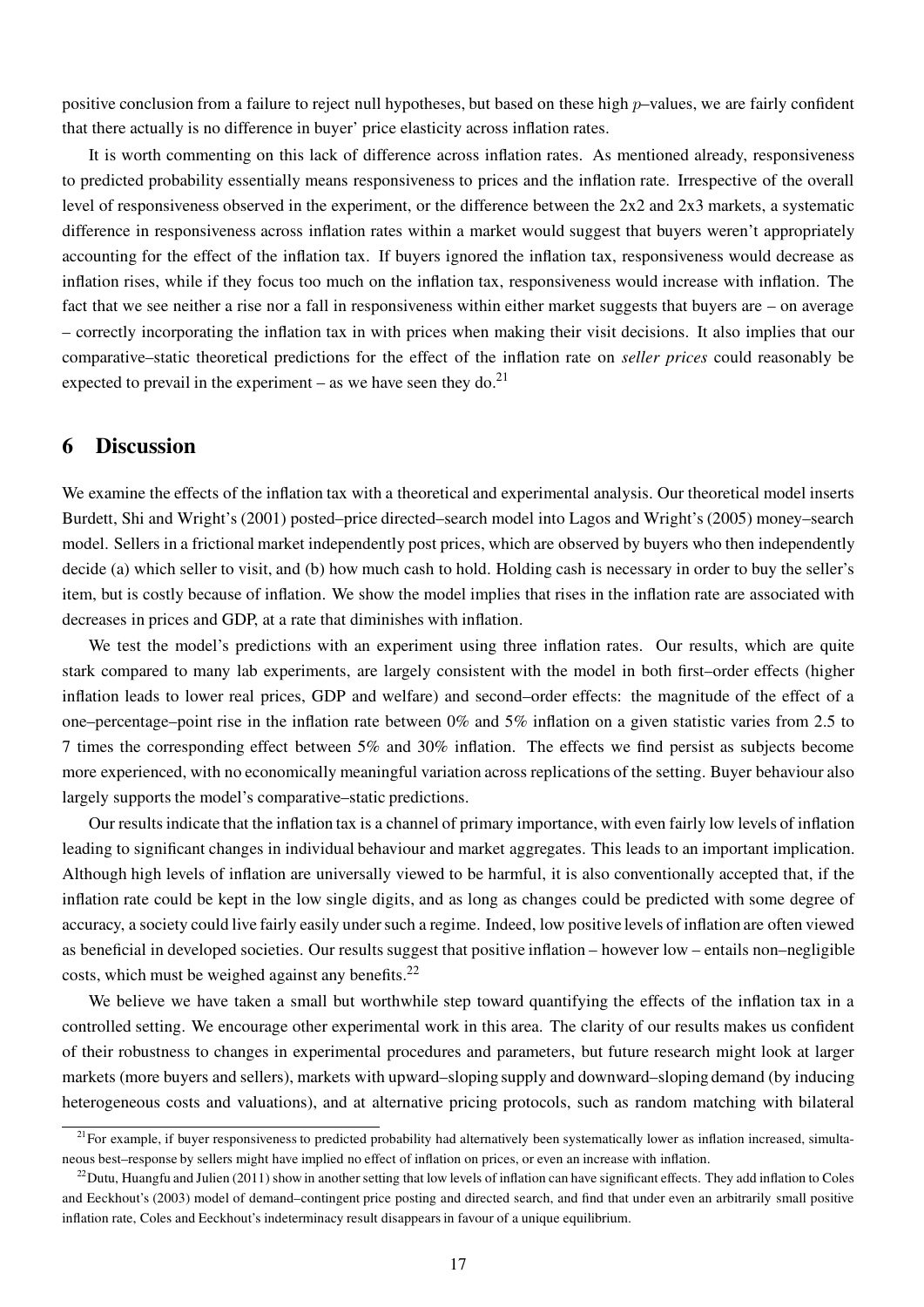positive conclusion from a failure to reject null hypotheses, but based on these high  $p$ –values, we are fairly confident that there actually is no difference in buyer' price elasticity across inflation rates.

It is worth commenting on this lack of difference across inflation rates. As mentioned already, responsiveness to predicted probability essentially means responsiveness to prices and the inflation rate. Irrespective of the overall level of responsiveness observed in the experiment, or the difference between the 2x2 and 2x3 markets, a systematic difference in responsiveness across inflation rates within a market would suggest that buyers weren't appropriately accounting for the effect of the inflation tax. If buyers ignored the inflation tax, responsiveness would decrease as inflation rises, while if they focus too much on the inflation tax, responsiveness would increase with inflation. The fact that we see neither a rise nor a fall in responsiveness within either market suggests that buyers are – on average – correctly incorporating the inflation tax in with prices when making their visit decisions. It also implies that our comparative–static theoretical predictions for the effect of the inflation rate on seller prices could reasonably be expected to prevail in the experiment  $-$  as we have seen they do.<sup>21</sup>

### 6 Discussion

We examine the effects of the inflation tax with a theoretical and experimental analysis. Our theoretical model inserts Burdett, Shi and Wright's (2001) posted–price directed–search model into Lagos and Wright's (2005) money–search model. Sellers in a frictional market independently post prices, which are observed by buyers who then independently decide (a) which seller to visit, and (b) how much cash to hold. Holding cash is necessary in order to buy the seller's item, but is costly because of inflation. We show the model implies that rises in the inflation rate are associated with decreases in prices and GDP, at a rate that diminishes with inflation.

We test the model's predictions with an experiment using three inflation rates. Our results, which are quite stark compared to many lab experiments, are largely consistent with the model in both first–order effects (higher inflation leads to lower real prices, GDP and welfare) and second–order effects: the magnitude of the effect of a one–percentage–point rise in the inflation rate between 0% and 5% inflation on a given statistic varies from 2.5 to 7 times the corresponding effect between 5% and 30% inflation. The effects we find persist as subjects become more experienced, with no economically meaningful variation across replications of the setting. Buyer behaviour also largely supports the model's comparative–static predictions.

Our results indicate that the inflation tax is a channel of primary importance, with even fairly low levels of inflation leading to significant changes in individual behaviour and market aggregates. This leads to an important implication. Although high levels of inflation are universally viewed to be harmful, it is also conventionally accepted that, if the inflation rate could be kept in the low single digits, and as long as changes could be predicted with some degree of accuracy, a society could live fairly easily under such a regime. Indeed, low positive levels of inflation are often viewed as beneficial in developed societies. Our results suggest that positive inflation – however low – entails non–negligible costs, which must be weighed against any benefits.<sup>22</sup>

We believe we have taken a small but worthwhile step toward quantifying the effects of the inflation tax in a controlled setting. We encourage other experimental work in this area. The clarity of our results makes us confident of their robustness to changes in experimental procedures and parameters, but future research might look at larger markets (more buyers and sellers), markets with upward–sloping supply and downward–sloping demand (by inducing heterogeneous costs and valuations), and at alternative pricing protocols, such as random matching with bilateral

 $21$  For example, if buyer responsiveness to predicted probability had alternatively been systematically lower as inflation increased, simultaneous best–response by sellers might have implied no effect of inflation on prices, or even an increase with inflation.

 $^{22}$ Dutu, Huangfu and Julien (2011) show in another setting that low levels of inflation can have significant effects. They add inflation to Coles and Eeckhout's (2003) model of demand–contingent price posting and directed search, and find that under even an arbitrarily small positive inflation rate, Coles and Eeckhout's indeterminacy result disappears in favour of a unique equilibrium.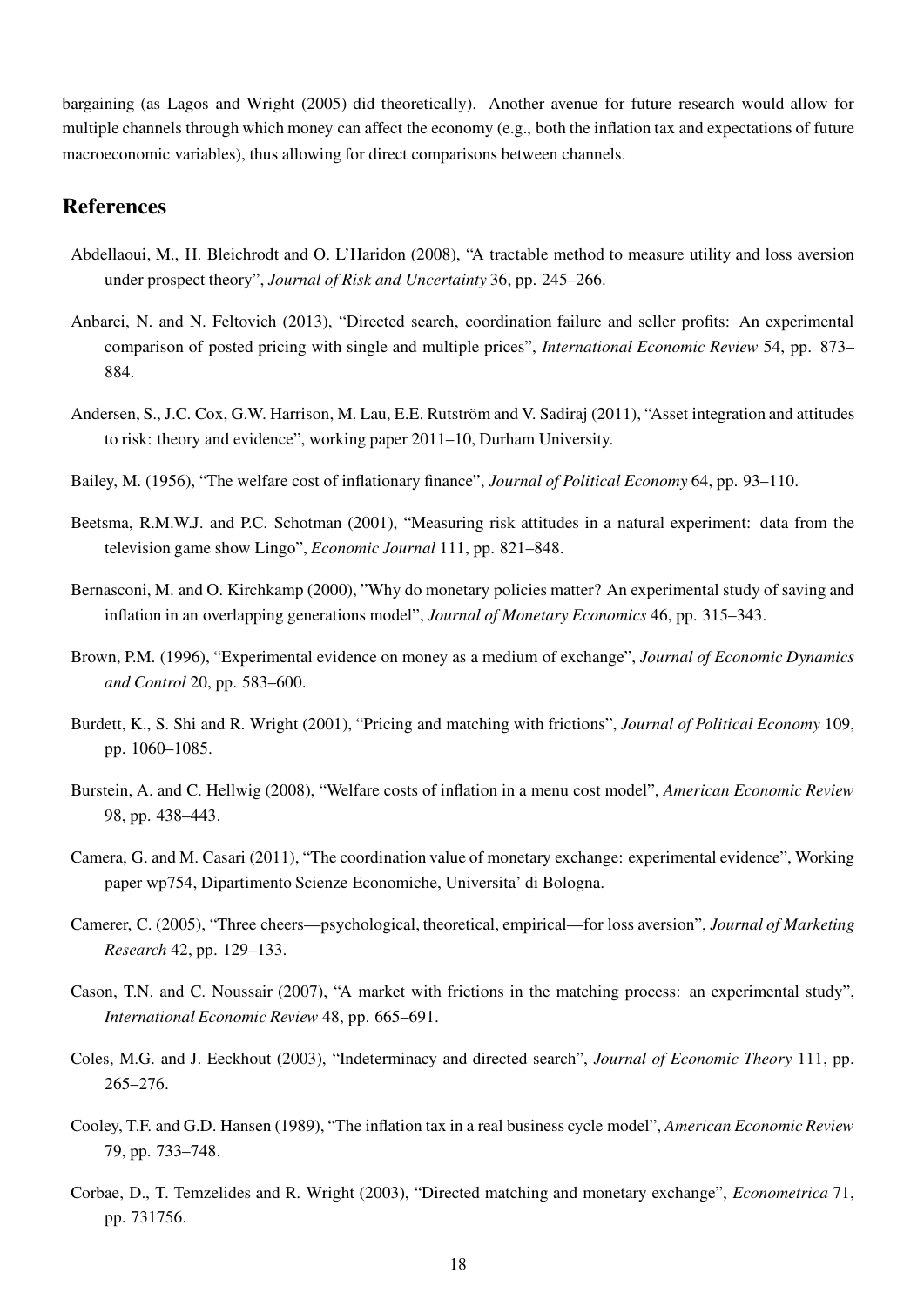bargaining (as Lagos and Wright (2005) did theoretically). Another avenue for future research would allow for multiple channels through which money can affect the economy (e.g., both the inflation tax and expectations of future macroeconomic variables), thus allowing for direct comparisons between channels.

#### References

- Abdellaoui, M., H. Bleichrodt and O. L'Haridon (2008), "A tractable method to measure utility and loss aversion under prospect theory", Journal of Risk and Uncertainty 36, pp. 245-266.
- Anbarci, N. and N. Feltovich (2013), "Directed search, coordination failure and seller profits: An experimental comparison of posted pricing with single and multiple prices", *International Economic Review* 54, pp. 873– 884.
- Andersen, S., J.C. Cox, G.W. Harrison, M. Lau, E.E. Rutström and V. Sadiraj (2011), "Asset integration and attitudes to risk: theory and evidence", working paper 2011–10, Durham University.
- Bailey, M. (1956), "The welfare cost of inflationary finance", Journal of Political Economy 64, pp. 93-110.
- Beetsma, R.M.W.J. and P.C. Schotman (2001), "Measuring risk attitudes in a natural experiment: data from the television game show Lingo", Economic Journal 111, pp. 821–848.
- Bernasconi, M. and O. Kirchkamp (2000), "Why do monetary policies matter? An experimental study of saving and inflation in an overlapping generations model", Journal of Monetary Economics 46, pp. 315–343.
- Brown, P.M. (1996), "Experimental evidence on money as a medium of exchange", Journal of Economic Dynamics and Control 20, pp. 583–600.
- Burdett, K., S. Shi and R. Wright (2001), "Pricing and matching with frictions", Journal of Political Economy 109, pp. 1060–1085.
- Burstein, A. and C. Hellwig (2008), "Welfare costs of inflation in a menu cost model", American Economic Review 98, pp. 438–443.
- Camera, G. and M. Casari (2011), "The coordination value of monetary exchange: experimental evidence", Working paper wp754, Dipartimento Scienze Economiche, Universita' di Bologna.
- Camerer, C. (2005), "Three cheers—psychological, theoretical, empirical—for loss aversion", Journal of Marketing Research 42, pp. 129–133.
- Cason, T.N. and C. Noussair (2007), "A market with frictions in the matching process: an experimental study", International Economic Review 48, pp. 665–691.
- Coles, M.G. and J. Eeckhout (2003), "Indeterminacy and directed search", Journal of Economic Theory 111, pp. 265–276.
- Cooley, T.F. and G.D. Hansen (1989), "The inflation tax in a real business cycle model", American Economic Review 79, pp. 733–748.
- Corbae, D., T. Temzelides and R. Wright (2003), "Directed matching and monetary exchange", Econometrica 71, pp. 731756.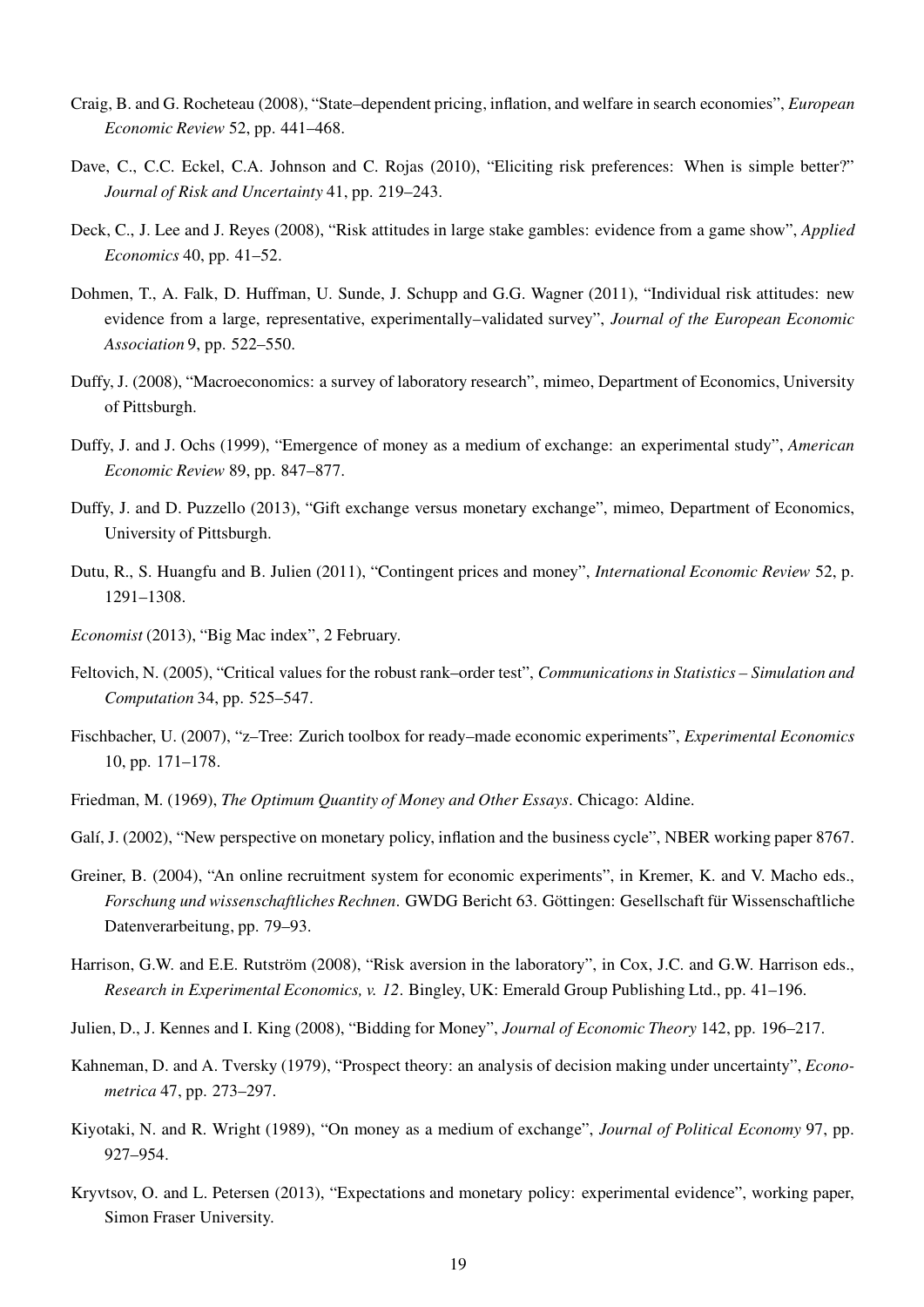- Craig, B. and G. Rocheteau (2008), "State–dependent pricing, inflation, and welfare in search economies", European Economic Review 52, pp. 441–468.
- Dave, C., C.C. Eckel, C.A. Johnson and C. Rojas (2010), "Eliciting risk preferences: When is simple better?" Journal of Risk and Uncertainty 41, pp. 219–243.
- Deck, C., J. Lee and J. Reyes (2008), "Risk attitudes in large stake gambles: evidence from a game show", Applied Economics 40, pp. 41–52.
- Dohmen, T., A. Falk, D. Huffman, U. Sunde, J. Schupp and G.G. Wagner (2011), "Individual risk attitudes: new evidence from a large, representative, experimentally–validated survey", Journal of the European Economic Association 9, pp. 522–550.
- Duffy, J. (2008), "Macroeconomics: a survey of laboratory research", mimeo, Department of Economics, University of Pittsburgh.
- Duffy, J. and J. Ochs (1999), "Emergence of money as a medium of exchange: an experimental study", American Economic Review 89, pp. 847–877.
- Duffy, J. and D. Puzzello (2013), "Gift exchange versus monetary exchange", mimeo, Department of Economics, University of Pittsburgh.
- Dutu, R., S. Huangfu and B. Julien (2011), "Contingent prices and money", International Economic Review 52, p. 1291–1308.
- Economist (2013), "Big Mac index", 2 February.
- Feltovich, N. (2005), "Critical values for the robust rank–order test", Communications in Statistics Simulation and Computation 34, pp. 525–547.
- Fischbacher, U. (2007), "z–Tree: Zurich toolbox for ready–made economic experiments", Experimental Economics 10, pp. 171–178.
- Friedman, M. (1969), The Optimum Quantity of Money and Other Essays. Chicago: Aldine.
- Galí, J. (2002), "New perspective on monetary policy, inflation and the business cycle", NBER working paper 8767.
- Greiner, B. (2004), "An online recruitment system for economic experiments", in Kremer, K. and V. Macho eds., Forschung und wissenschaftliches Rechnen. GWDG Bericht 63. Göttingen: Gesellschaft für Wissenschaftliche Datenverarbeitung, pp. 79–93.
- Harrison, G.W. and E.E. Rutström (2008), "Risk aversion in the laboratory", in Cox, J.C. and G.W. Harrison eds., Research in Experimental Economics, v. 12. Bingley, UK: Emerald Group Publishing Ltd., pp. 41–196.
- Julien, D., J. Kennes and I. King (2008), "Bidding for Money", Journal of Economic Theory 142, pp. 196–217.
- Kahneman, D. and A. Tversky (1979), "Prospect theory: an analysis of decision making under uncertainty", *Econo*metrica 47, pp. 273–297.
- Kiyotaki, N. and R. Wright (1989), "On money as a medium of exchange", Journal of Political Economy 97, pp. 927–954.
- Kryvtsov, O. and L. Petersen (2013), "Expectations and monetary policy: experimental evidence", working paper, Simon Fraser University.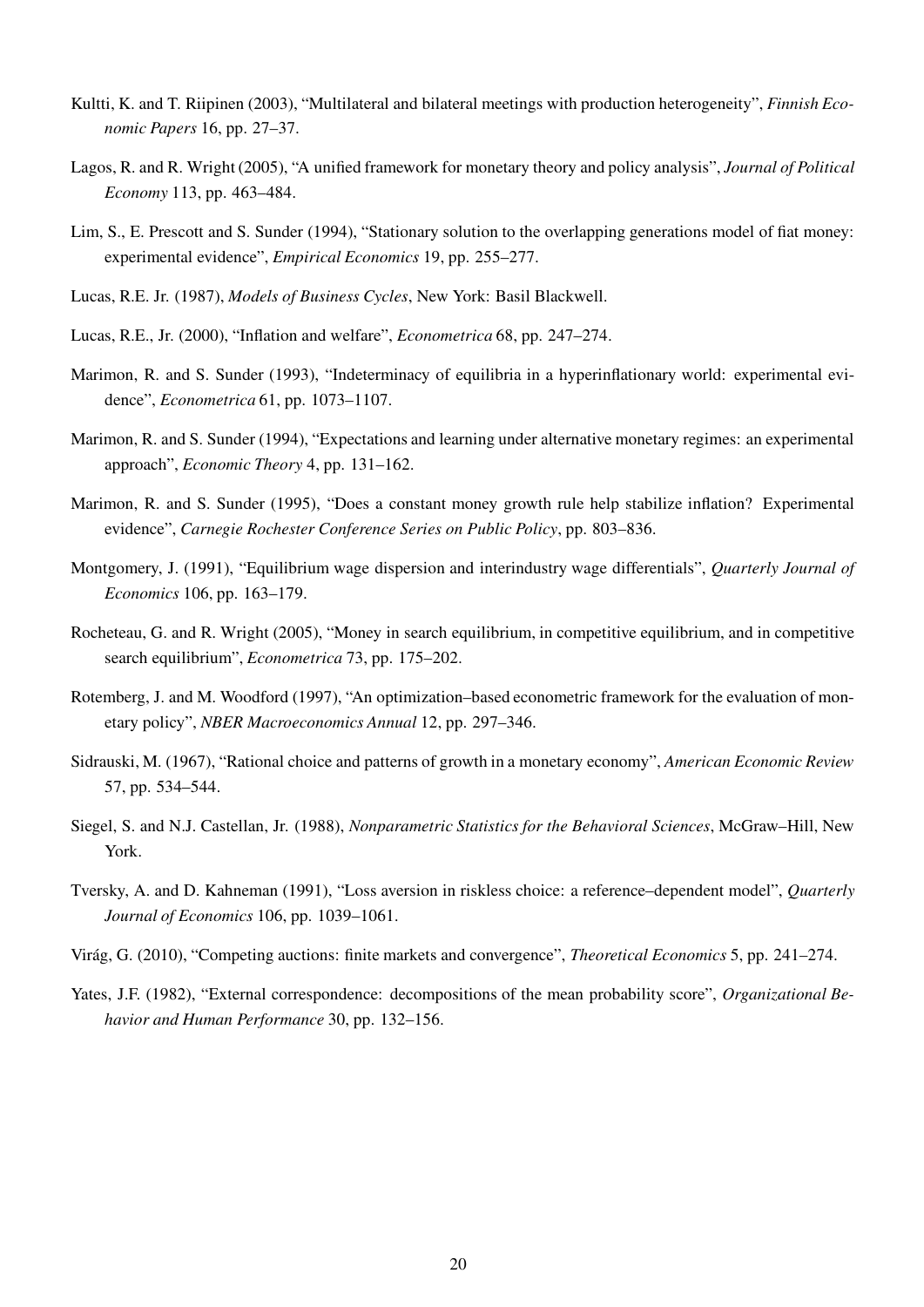- Kultti, K. and T. Riipinen (2003), "Multilateral and bilateral meetings with production heterogeneity", *Finnish Eco*nomic Papers 16, pp. 27–37.
- Lagos, R. and R. Wright (2005), "A unified framework for monetary theory and policy analysis", *Journal of Political* Economy 113, pp. 463–484.
- Lim, S., E. Prescott and S. Sunder (1994), "Stationary solution to the overlapping generations model of fiat money: experimental evidence", Empirical Economics 19, pp. 255–277.
- Lucas, R.E. Jr. (1987), Models of Business Cycles, New York: Basil Blackwell.
- Lucas, R.E., Jr. (2000), "Inflation and welfare", Econometrica 68, pp. 247–274.
- Marimon, R. and S. Sunder (1993), "Indeterminacy of equilibria in a hyperinflationary world: experimental evidence", Econometrica 61, pp. 1073–1107.
- Marimon, R. and S. Sunder (1994), "Expectations and learning under alternative monetary regimes: an experimental approach", Economic Theory 4, pp. 131–162.
- Marimon, R. and S. Sunder (1995), "Does a constant money growth rule help stabilize inflation? Experimental evidence", Carnegie Rochester Conference Series on Public Policy, pp. 803–836.
- Montgomery, J. (1991), "Equilibrium wage dispersion and interindustry wage differentials", Quarterly Journal of Economics 106, pp. 163–179.
- Rocheteau, G. and R. Wright (2005), "Money in search equilibrium, in competitive equilibrium, and in competitive search equilibrium", Econometrica 73, pp. 175–202.
- Rotemberg, J. and M. Woodford (1997), "An optimization–based econometric framework for the evaluation of monetary policy", NBER Macroeconomics Annual 12, pp. 297–346.
- Sidrauski, M. (1967), "Rational choice and patterns of growth in a monetary economy", American Economic Review 57, pp. 534–544.
- Siegel, S. and N.J. Castellan, Jr. (1988), Nonparametric Statistics for the Behavioral Sciences, McGraw–Hill, New York.
- Tversky, A. and D. Kahneman (1991), "Loss aversion in riskless choice: a reference–dependent model", Quarterly Journal of Economics 106, pp. 1039–1061.
- Virág, G. (2010), "Competing auctions: finite markets and convergence", Theoretical Economics 5, pp. 241–274.
- Yates, J.F. (1982), "External correspondence: decompositions of the mean probability score", Organizational Behavior and Human Performance 30, pp. 132-156.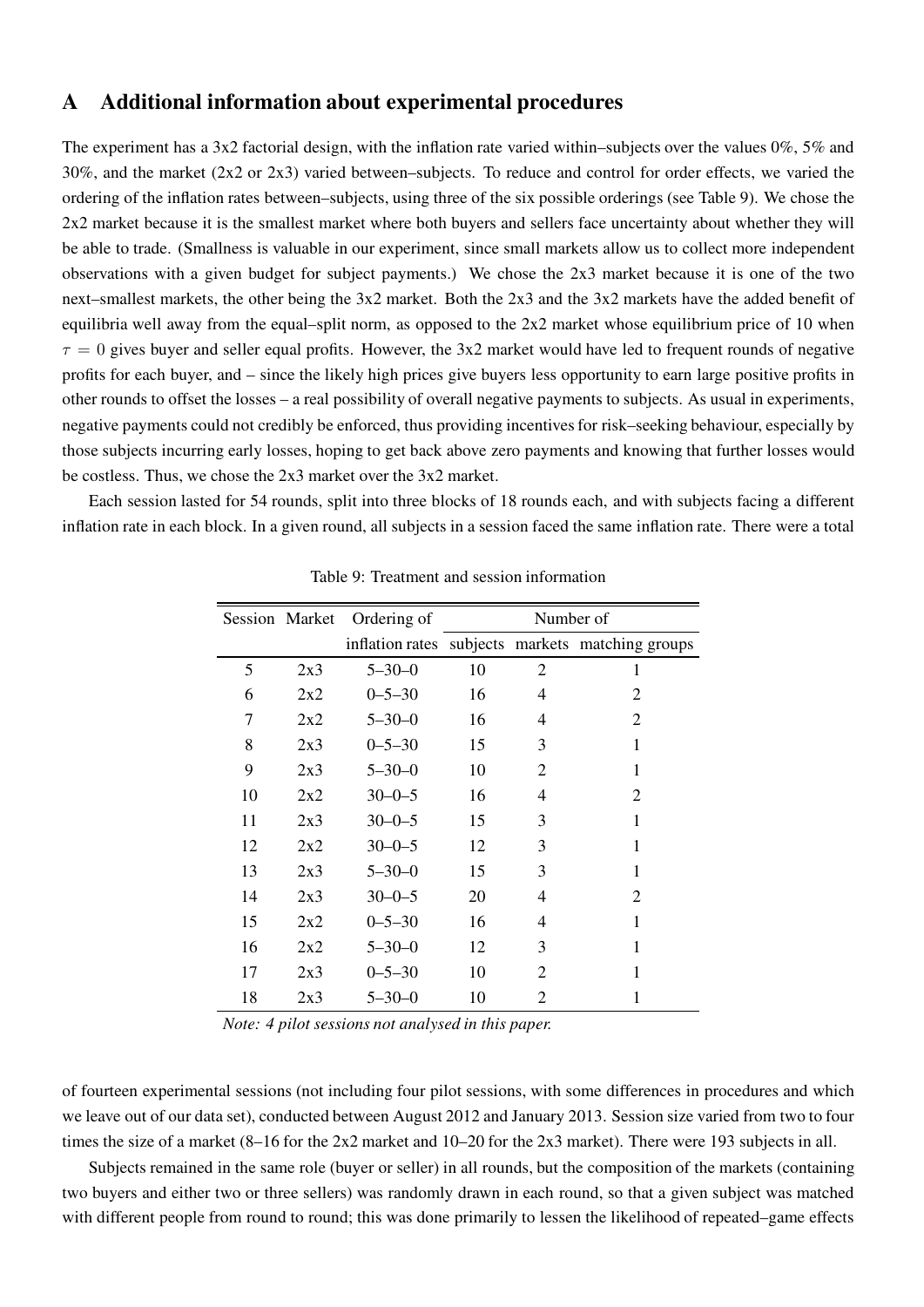### A Additional information about experimental procedures

The experiment has a  $3x2$  factorial design, with the inflation rate varied within–subjects over the values  $0\%$ ,  $5\%$  and 30%, and the market (2x2 or 2x3) varied between–subjects. To reduce and control for order effects, we varied the ordering of the inflation rates between–subjects, using three of the six possible orderings (see Table 9). We chose the 2x2 market because it is the smallest market where both buyers and sellers face uncertainty about whether they will be able to trade. (Smallness is valuable in our experiment, since small markets allow us to collect more independent observations with a given budget for subject payments.) We chose the 2x3 market because it is one of the two next–smallest markets, the other being the 3x2 market. Both the 2x3 and the 3x2 markets have the added benefit of equilibria well away from the equal–split norm, as opposed to the 2x2 market whose equilibrium price of 10 when  $\tau = 0$  gives buyer and seller equal profits. However, the 3x2 market would have led to frequent rounds of negative profits for each buyer, and – since the likely high prices give buyers less opportunity to earn large positive profits in other rounds to offset the losses – a real possibility of overall negative payments to subjects. As usual in experiments, negative payments could not credibly be enforced, thus providing incentives for risk–seeking behaviour, especially by those subjects incurring early losses, hoping to get back above zero payments and knowing that further losses would be costless. Thus, we chose the 2x3 market over the 3x2 market.

Each session lasted for 54 rounds, split into three blocks of 18 rounds each, and with subjects facing a different inflation rate in each block. In a given round, all subjects in a session faced the same inflation rate. There were a total

|    | Session Market | Ordering of  |    | Number of      |                                                  |  |
|----|----------------|--------------|----|----------------|--------------------------------------------------|--|
|    |                |              |    |                | inflation rates subjects markets matching groups |  |
| 5  | 2x3            | $5 - 30 - 0$ | 10 | $\overline{2}$ | 1                                                |  |
| 6  | 2x2            | $0 - 5 - 30$ | 16 | 4              | 2                                                |  |
| 7  | 2x2            | $5 - 30 - 0$ | 16 | 4              | 2                                                |  |
| 8  | 2x3            | $0 - 5 - 30$ | 15 | 3              | 1                                                |  |
| 9  | 2x3            | $5 - 30 - 0$ | 10 | $\overline{c}$ | $\mathbf{1}$                                     |  |
| 10 | 2x2            | $30 - 0 - 5$ | 16 | 4              | 2                                                |  |
| 11 | 2x3            | $30 - 0 - 5$ | 15 | 3              | 1                                                |  |
| 12 | 2x2            | $30 - 0 - 5$ | 12 | 3              | $\mathbf{1}$                                     |  |
| 13 | 2x3            | $5 - 30 - 0$ | 15 | 3              | $\mathbf{1}$                                     |  |
| 14 | 2x3            | $30 - 0 - 5$ | 20 | 4              | 2                                                |  |
| 15 | 2x2            | $0 - 5 - 30$ | 16 | 4              | 1                                                |  |
| 16 | 2x2            | $5 - 30 - 0$ | 12 | 3              | $\mathbf{1}$                                     |  |
| 17 | 2x3            | $0 - 5 - 30$ | 10 | $\overline{2}$ | 1                                                |  |
| 18 | 2x3            | $5 - 30 - 0$ | 10 | $\overline{2}$ |                                                  |  |

Table 9: Treatment and session information

Note: 4 pilot sessions not analysed in this paper.

of fourteen experimental sessions (not including four pilot sessions, with some differences in procedures and which we leave out of our data set), conducted between August 2012 and January 2013. Session size varied from two to four times the size of a market (8–16 for the 2x2 market and 10–20 for the 2x3 market). There were 193 subjects in all.

Subjects remained in the same role (buyer or seller) in all rounds, but the composition of the markets (containing two buyers and either two or three sellers) was randomly drawn in each round, so that a given subject was matched with different people from round to round; this was done primarily to lessen the likelihood of repeated–game effects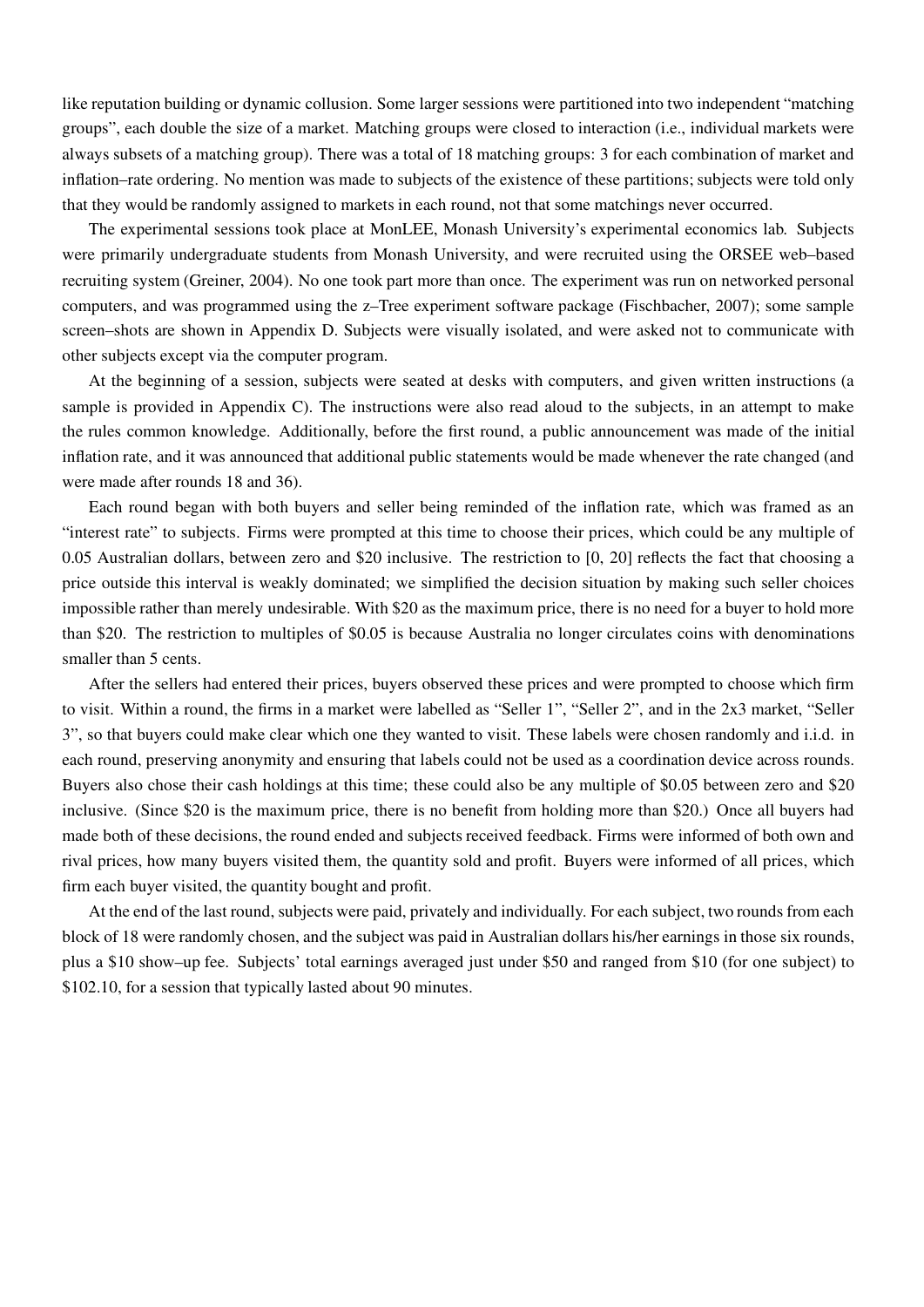like reputation building or dynamic collusion. Some larger sessions were partitioned into two independent "matching groups", each double the size of a market. Matching groups were closed to interaction (i.e., individual markets were always subsets of a matching group). There was a total of 18 matching groups: 3 for each combination of market and inflation–rate ordering. No mention was made to subjects of the existence of these partitions; subjects were told only that they would be randomly assigned to markets in each round, not that some matchings never occurred.

The experimental sessions took place at MonLEE, Monash University's experimental economics lab. Subjects were primarily undergraduate students from Monash University, and were recruited using the ORSEE web–based recruiting system (Greiner, 2004). No one took part more than once. The experiment was run on networked personal computers, and was programmed using the z–Tree experiment software package (Fischbacher, 2007); some sample screen–shots are shown in Appendix D. Subjects were visually isolated, and were asked not to communicate with other subjects except via the computer program.

At the beginning of a session, subjects were seated at desks with computers, and given written instructions (a sample is provided in Appendix C). The instructions were also read aloud to the subjects, in an attempt to make the rules common knowledge. Additionally, before the first round, a public announcement was made of the initial inflation rate, and it was announced that additional public statements would be made whenever the rate changed (and were made after rounds 18 and 36).

Each round began with both buyers and seller being reminded of the inflation rate, which was framed as an "interest rate" to subjects. Firms were prompted at this time to choose their prices, which could be any multiple of 0.05 Australian dollars, between zero and \$20 inclusive. The restriction to [0, 20] reflects the fact that choosing a price outside this interval is weakly dominated; we simplified the decision situation by making such seller choices impossible rather than merely undesirable. With \$20 as the maximum price, there is no need for a buyer to hold more than \$20. The restriction to multiples of \$0.05 is because Australia no longer circulates coins with denominations smaller than 5 cents.

After the sellers had entered their prices, buyers observed these prices and were prompted to choose which firm to visit. Within a round, the firms in a market were labelled as "Seller 1", "Seller 2", and in the 2x3 market, "Seller 3", so that buyers could make clear which one they wanted to visit. These labels were chosen randomly and i.i.d. in each round, preserving anonymity and ensuring that labels could not be used as a coordination device across rounds. Buyers also chose their cash holdings at this time; these could also be any multiple of \$0.05 between zero and \$20 inclusive. (Since \$20 is the maximum price, there is no benefit from holding more than \$20.) Once all buyers had made both of these decisions, the round ended and subjects received feedback. Firms were informed of both own and rival prices, how many buyers visited them, the quantity sold and profit. Buyers were informed of all prices, which firm each buyer visited, the quantity bought and profit.

At the end of the last round, subjects were paid, privately and individually. For each subject, two rounds from each block of 18 were randomly chosen, and the subject was paid in Australian dollars his/her earnings in those six rounds, plus a \$10 show–up fee. Subjects' total earnings averaged just under \$50 and ranged from \$10 (for one subject) to \$102.10, for a session that typically lasted about 90 minutes.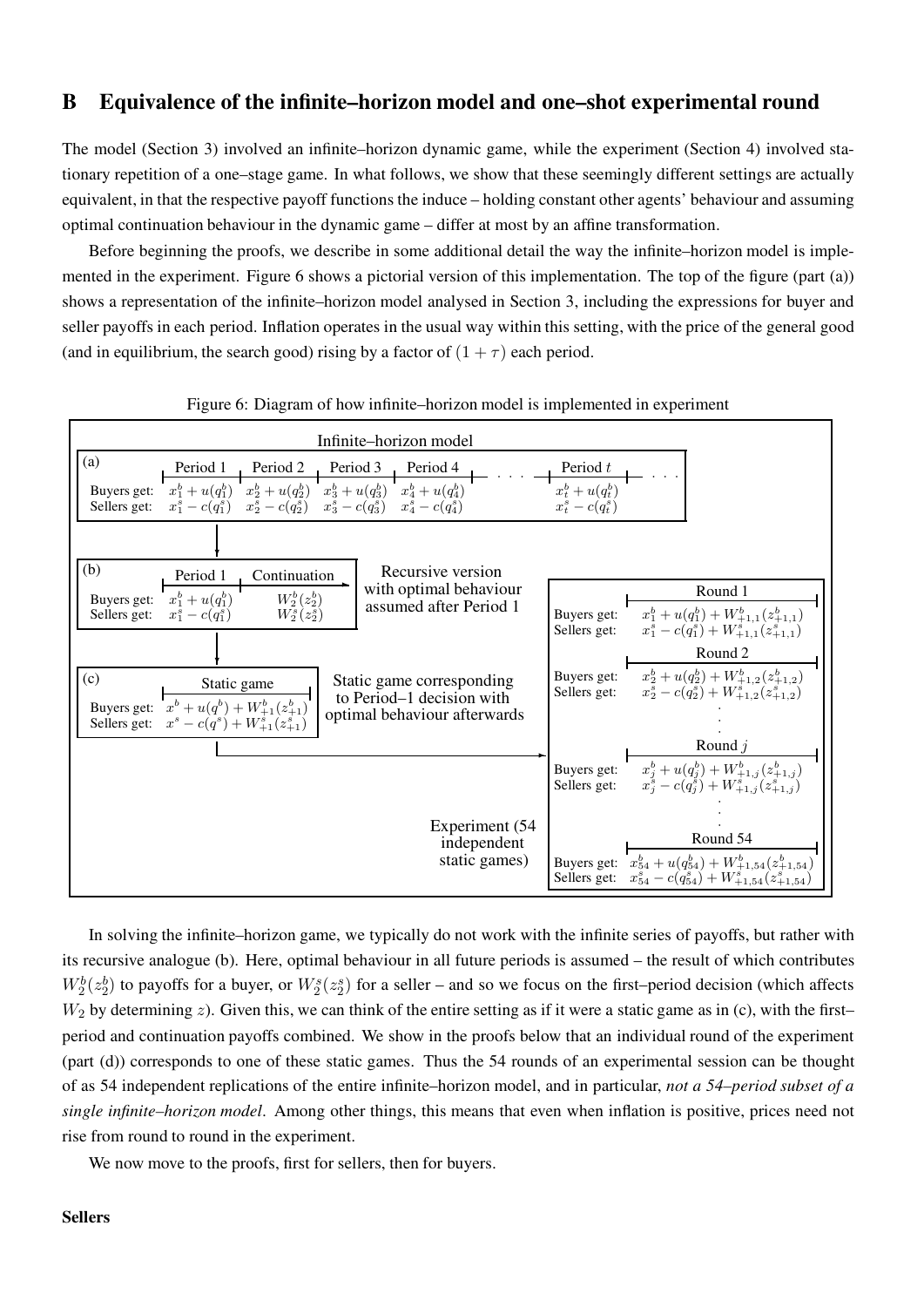### B Equivalence of the infinite–horizon model and one–shot experimental round

The model (Section 3) involved an infinite–horizon dynamic game, while the experiment (Section 4) involved stationary repetition of a one–stage game. In what follows, we show that these seemingly different settings are actually equivalent, in that the respective payoff functions the induce – holding constant other agents' behaviour and assuming optimal continuation behaviour in the dynamic game – differ at most by an affine transformation.

Before beginning the proofs, we describe in some additional detail the way the infinite–horizon model is implemented in the experiment. Figure 6 shows a pictorial version of this implementation. The top of the figure (part (a)) shows a representation of the infinite–horizon model analysed in Section 3, including the expressions for buyer and seller payoffs in each period. Inflation operates in the usual way within this setting, with the price of the general good (and in equilibrium, the search good) rising by a factor of  $(1 + \tau)$  each period.



Figure 6: Diagram of how infinite–horizon model is implemented in experiment

In solving the infinite–horizon game, we typically do not work with the infinite series of payoffs, but rather with its recursive analogue (b). Here, optimal behaviour in all future periods is assumed – the result of which contributes  $W_2^b(z_2^b)$  to payoffs for a buyer, or  $W_2^s(z_2^s)$  for a seller – and so we focus on the first–period decision (which affects  $W_2$  by determining z). Given this, we can think of the entire setting as if it were a static game as in (c), with the first– period and continuation payoffs combined. We show in the proofs below that an individual round of the experiment (part (d)) corresponds to one of these static games. Thus the 54 rounds of an experimental session can be thought of as 54 independent replications of the entire infinite–horizon model, and in particular, not a 54–period subset of a single infinite–horizon model. Among other things, this means that even when inflation is positive, prices need not rise from round to round in the experiment.

We now move to the proofs, first for sellers, then for buyers.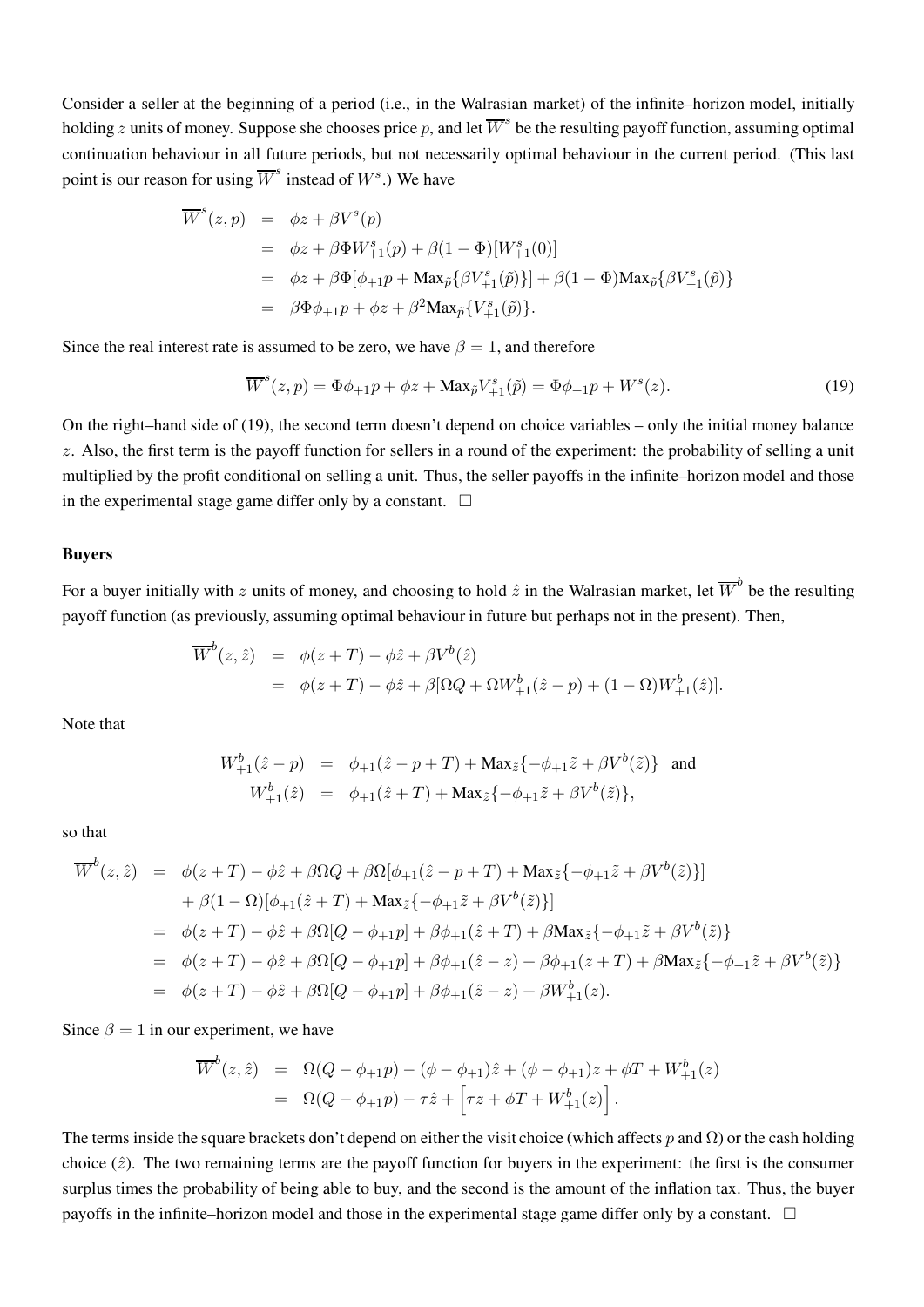Consider a seller at the beginning of a period (i.e., in the Walrasian market) of the infinite–horizon model, initially holding  $z$  units of money. Suppose she chooses price  $p$ , and let  $\overline{W}^s$  be the resulting payoff function, assuming optimal continuation behaviour in all future periods, but not necessarily optimal behaviour in the current period. (This last point is our reason for using  $\overline{W}^s$  instead of  $W^s$ .) We have

$$
\overline{W}^{s}(z, p) = \phi z + \beta V^{s}(p)
$$
  
=  $\phi z + \beta \Phi W^{s}_{+1}(p) + \beta (1 - \Phi)[W^{s}_{+1}(0)]$   
=  $\phi z + \beta \Phi [\phi_{+1}p + \text{Max}_{\tilde{p}} {\beta V^{s}_{+1}(\tilde{p})}] + \beta (1 - \Phi) \text{Max}_{\tilde{p}} {\beta V^{s}_{+1}(\tilde{p})}$   
=  $\beta \Phi \phi_{+1}p + \phi z + \beta^{2} \text{Max}_{\tilde{p}} {V^{s}_{+1}(\tilde{p})}.$ 

Since the real interest rate is assumed to be zero, we have  $\beta = 1$ , and therefore

$$
\overline{W}^{s}(z,p) = \Phi \phi_{+1} p + \phi z + \text{Max}_{\tilde{p}} V_{+1}^{s}(\tilde{p}) = \Phi \phi_{+1} p + W^{s}(z). \tag{19}
$$

On the right–hand side of (19), the second term doesn't depend on choice variables – only the initial money balance  $z$ . Also, the first term is the payoff function for sellers in a round of the experiment: the probability of selling a unit multiplied by the profit conditional on selling a unit. Thus, the seller payoffs in the infinite–horizon model and those in the experimental stage game differ only by a constant.  $\Box$ 

#### Buyers

For a buyer initially with z units of money, and choosing to hold  $\hat{z}$  in the Walrasian market, let  $\overline{W}^b$  be the resulting payoff function (as previously, assuming optimal behaviour in future but perhaps not in the present). Then,

$$
\overline{W}^b(z,\hat{z}) = \phi(z+T) - \phi\hat{z} + \beta V^b(\hat{z})
$$
  
=  $\phi(z+T) - \phi\hat{z} + \beta[\Omega Q + \Omega W^b_{+1}(\hat{z}-p) + (1-\Omega)W^b_{+1}(\hat{z})].$ 

Note that

$$
W_{+1}^{b}(\hat{z} - p) = \phi_{+1}(\hat{z} - p + T) + \text{Max}_{\tilde{z}}\{-\phi_{+1}\tilde{z} + \beta V^{b}(\tilde{z})\} \text{ and}
$$
  

$$
W_{+1}^{b}(\hat{z}) = \phi_{+1}(\hat{z} + T) + \text{Max}_{\tilde{z}}\{-\phi_{+1}\tilde{z} + \beta V^{b}(\tilde{z})\},
$$

so that

$$
\overline{W}^{b}(z, \hat{z}) = \phi(z+T) - \phi \hat{z} + \beta \Omega Q + \beta \Omega [\phi_{+1}(\hat{z} - p + T) + \text{Max}_{\tilde{z}} \{-\phi_{+1} \tilde{z} + \beta V^{b}(\tilde{z})\}] \n+ \beta (1 - \Omega) [\phi_{+1}(\hat{z} + T) + \text{Max}_{\tilde{z}} \{-\phi_{+1} \tilde{z} + \beta V^{b}(\tilde{z})\}] \n= \phi(z+T) - \phi \hat{z} + \beta \Omega [Q - \phi_{+1} p] + \beta \phi_{+1}(\hat{z} + T) + \beta \text{Max}_{\tilde{z}} \{-\phi_{+1} \tilde{z} + \beta V^{b}(\tilde{z})\} \n= \phi(z+T) - \phi \hat{z} + \beta \Omega [Q - \phi_{+1} p] + \beta \phi_{+1}(\hat{z} - z) + \beta \phi_{+1}(z+T) + \beta \text{Max}_{\tilde{z}} \{-\phi_{+1} \tilde{z} + \beta V^{b}(\tilde{z})\} \n= \phi(z+T) - \phi \hat{z} + \beta \Omega [Q - \phi_{+1} p] + \beta \phi_{+1}(\hat{z} - z) + \beta W^{b}_{+1}(z).
$$

Since  $\beta = 1$  in our experiment, we have

$$
\overline{W}^b(z, \hat{z}) = \Omega(Q - \phi_{+1}p) - (\phi - \phi_{+1})\hat{z} + (\phi - \phi_{+1})z + \phi T + W^b_{+1}(z)
$$
  
= 
$$
\Omega(Q - \phi_{+1}p) - \tau \hat{z} + \left[\tau z + \phi T + W^b_{+1}(z)\right].
$$

The terms inside the square brackets don't depend on either the visit choice (which affects p and  $\Omega$ ) or the cash holding choice  $(\hat{z})$ . The two remaining terms are the payoff function for buyers in the experiment: the first is the consumer surplus times the probability of being able to buy, and the second is the amount of the inflation tax. Thus, the buyer payoffs in the infinite–horizon model and those in the experimental stage game differ only by a constant. □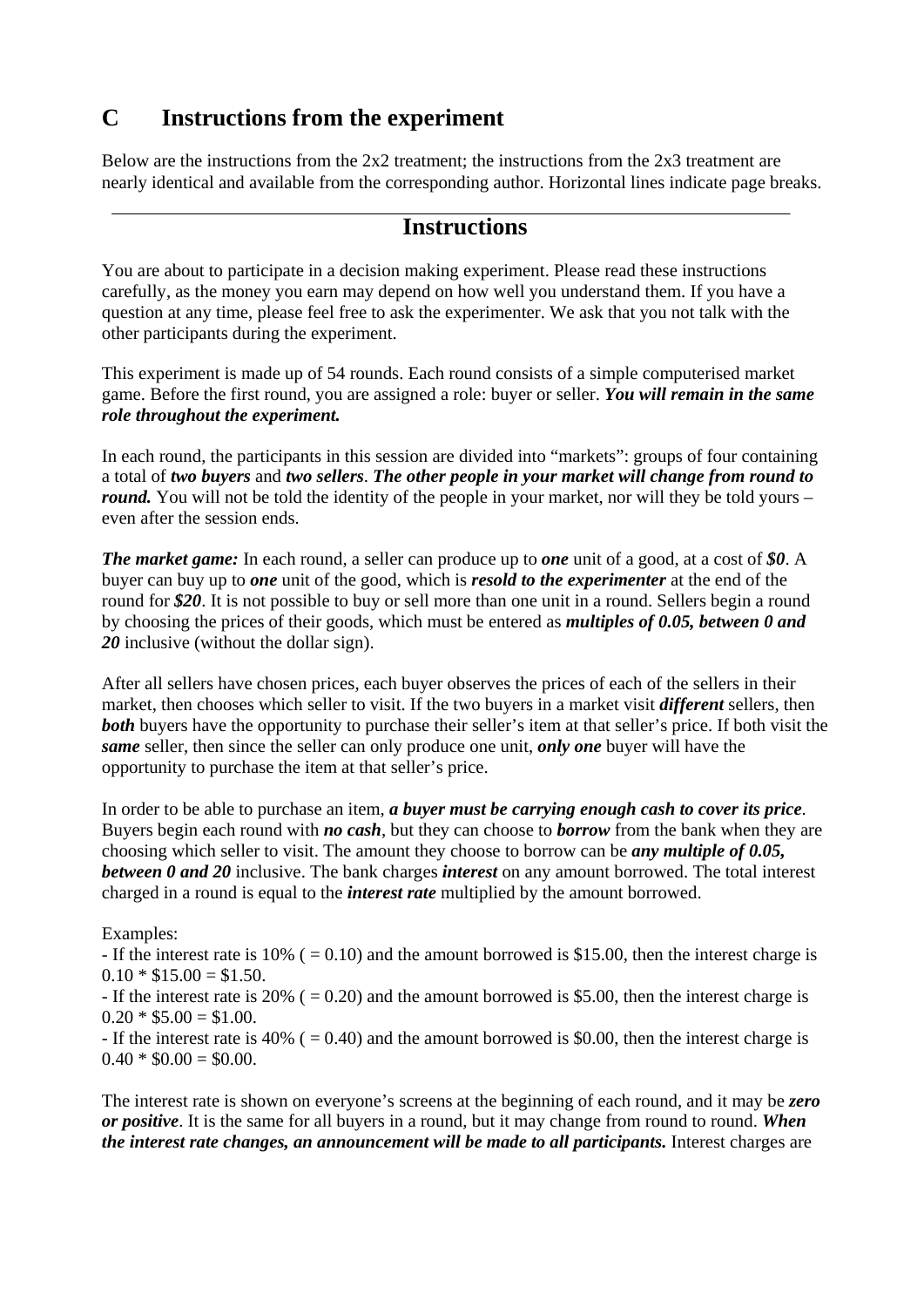## **C Instructions from the experiment**

Below are the instructions from the  $2x2$  treatment; the instructions from the  $2x3$  treatment are nearly identical and available from the corresponding author. Horizontal lines indicate page breaks.

### **Instructions**

You are about to participate in a decision making experiment. Please read these instructions carefully, as the money you earn may depend on how well you understand them. If you have a question at any time, please feel free to ask the experimenter. We ask that you not talk with the other participants during the experiment.

This experiment is made up of 54 rounds. Each round consists of a simple computerised market game. Before the first round, you are assigned a role: buyer or seller. *You will remain in the same role throughout the experiment.*

In each round, the participants in this session are divided into "markets": groups of four containing a total of *two buyers* and *two sellers*. *The other people in your market will change from round to round.* You will not be told the identity of the people in your market, nor will they be told yours – even after the session ends.

*The market game:* In each round, a seller can produce up to *one* unit of a good, at a cost of *\$0*. A buyer can buy up to *one* unit of the good, which is *resold to the experimenter* at the end of the round for *\$20*. It is not possible to buy or sell more than one unit in a round. Sellers begin a round by choosing the prices of their goods, which must be entered as *multiples of 0.05, between 0 and 20* inclusive (without the dollar sign).

After all sellers have chosen prices, each buyer observes the prices of each of the sellers in their market, then chooses which seller to visit. If the two buyers in a market visit *different* sellers, then **both** buyers have the opportunity to purchase their seller's item at that seller's price. If both visit the *same* seller, then since the seller can only produce one unit, *only one* buyer will have the opportunity to purchase the item at that seller's price.

In order to be able to purchase an item, *a buyer must be carrying enough cash to cover its price*. Buyers begin each round with *no cash*, but they can choose to *borrow* from the bank when they are choosing which seller to visit. The amount they choose to borrow can be *any multiple of 0.05, between 0 and 20* inclusive. The bank charges *interest* on any amount borrowed. The total interest charged in a round is equal to the *interest rate* multiplied by the amount borrowed.

#### Examples:

- If the interest rate is  $10\%$  ( = 0.10) and the amount borrowed is \$15.00, then the interest charge is  $0.10 * $15.00 = $1.50$ .

- If the interest rate is 20% ( $= 0.20$ ) and the amount borrowed is \$5.00, then the interest charge is  $0.20 * $5.00 = $1.00$ .

- If the interest rate is 40% ( $= 0.40$ ) and the amount borrowed is \$0.00, then the interest charge is  $0.40 * $0.00 = $0.00$ .

The interest rate is shown on everyone's screens at the beginning of each round, and it may be *zero or positive*. It is the same for all buyers in a round, but it may change from round to round. *When the interest rate changes, an announcement will be made to all participants.* Interest charges are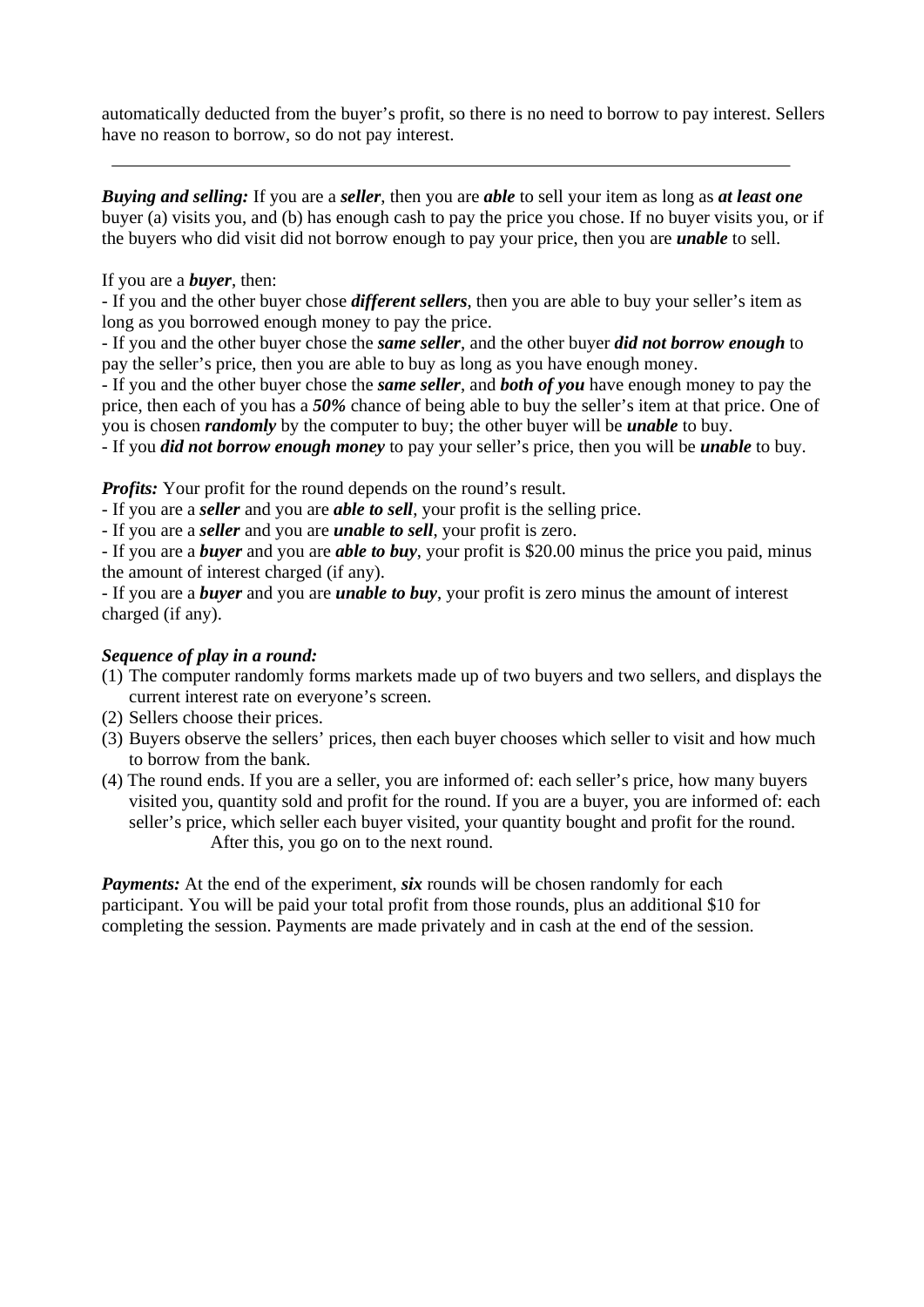automatically deducted from the buyer's profit, so there is no need to borrow to pay interest. Sellers have no reason to borrow, so do not pay interest.

*Buying and selling:* If you are a *seller*, then you are *able* to sell your item as long as *at least one* buyer (a) visits you, and (b) has enough cash to pay the price you chose. If no buyer visits you, or if the buyers who did visit did not borrow enough to pay your price, then you are *unable* to sell.

#### If you are a *buyer*, then:

- If you and the other buyer chose *different sellers*, then you are able to buy your seller's item as long as you borrowed enough money to pay the price.

- If you and the other buyer chose the *same seller*, and the other buyer *did not borrow enough* to pay the seller's price, then you are able to buy as long as you have enough money.

- If you and the other buyer chose the *same seller*, and *both of you* have enough money to pay the price, then each of you has a *50%* chance of being able to buy the seller's item at that price. One of you is chosen *randomly* by the computer to buy; the other buyer will be *unable* to buy.

- If you *did not borrow enough money* to pay your seller's price, then you will be *unable* to buy.

*Profits:* Your profit for the round depends on the round's result.

- If you are a *seller* and you are *able to sell*, your profit is the selling price.

- If you are a *seller* and you are *unable to sell*, your profit is zero.

- If you are a *buyer* and you are *able to buy*, your profit is \$20.00 minus the price you paid, minus the amount of interest charged (if any).

- If you are a *buyer* and you are *unable to buy*, your profit is zero minus the amount of interest charged (if any).

### *Sequence of play in a round:*

- (1) The computer randomly forms markets made up of two buyers and two sellers, and displays the current interest rate on everyone's screen.
- (2) Sellers choose their prices.
- (3) Buyers observe the sellers' prices, then each buyer chooses which seller to visit and how much to borrow from the bank.
- (4) The round ends. If you are a seller, you are informed of: each seller's price, how many buyers visited you, quantity sold and profit for the round. If you are a buyer, you are informed of: each seller's price, which seller each buyer visited, your quantity bought and profit for the round. After this, you go on to the next round.

*Payments:* At the end of the experiment, *six* rounds will be chosen randomly for each participant. You will be paid your total profit from those rounds, plus an additional \$10 for completing the session. Payments are made privately and in cash at the end of the session.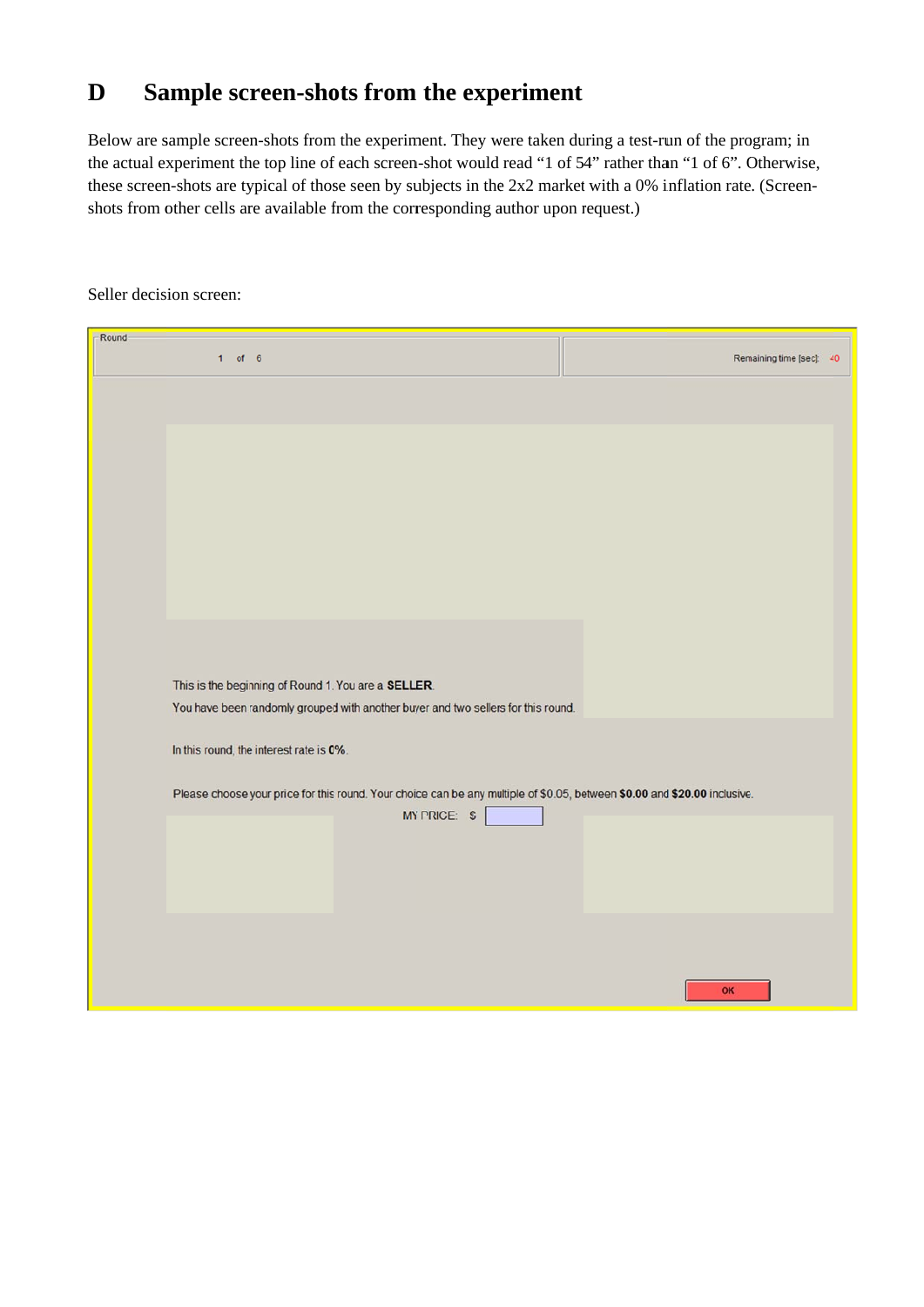## **D** Sample screen-shots from the experiment

Below are sample screen-shots from the experiment. They were taken during a test-run of the program; in the actual experiment the top line of each screen-shot would read "1 of 54" rather than "1 of 6". Otherwise, these screen-shots are typical of those seen by subjects in the 2x2 market with a 0% inflation rate. (Screenshots from other cells are available from the corresponding author upon request.)

| -Round |                                                                                                                                           |                          |
|--------|-------------------------------------------------------------------------------------------------------------------------------------------|--------------------------|
|        | $1$ of 6                                                                                                                                  | Remaining time [sec]: 40 |
|        |                                                                                                                                           |                          |
|        | This is the beginning of Round 1. You are a SELLER.<br>You have been randomly grouped with another buyer and two sellers for this round.  |                          |
|        | In this round, the interest rate is 0%.                                                                                                   |                          |
|        | Please choose your price for this round. Your choice can be any multiple of \$0.05, between \$0.00 and \$20.00 inclusive.<br>MY PRICE: \$ |                          |
|        |                                                                                                                                           | OK                       |

Seller decis ion screen: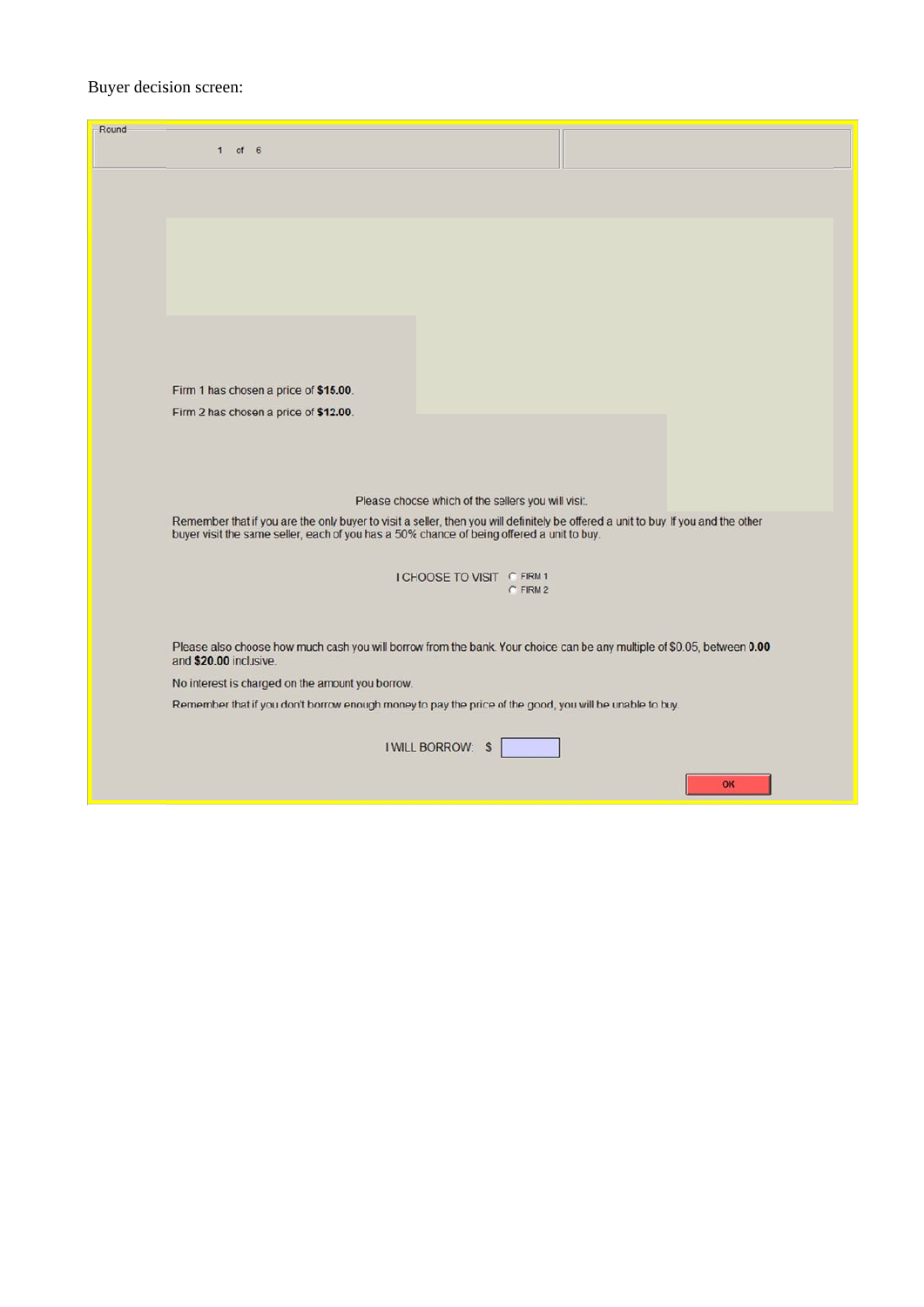### Buyer decision screen:

| Round | $1$ of 6                                                                                                                                                                                                                        |
|-------|---------------------------------------------------------------------------------------------------------------------------------------------------------------------------------------------------------------------------------|
|       |                                                                                                                                                                                                                                 |
|       |                                                                                                                                                                                                                                 |
|       |                                                                                                                                                                                                                                 |
|       |                                                                                                                                                                                                                                 |
|       |                                                                                                                                                                                                                                 |
|       |                                                                                                                                                                                                                                 |
|       |                                                                                                                                                                                                                                 |
|       | Firm 1 has chosen a price of \$15.00.<br>Firm 2 has chosen a price of \$12.00.                                                                                                                                                  |
|       |                                                                                                                                                                                                                                 |
|       |                                                                                                                                                                                                                                 |
|       | Please choose which of the sellers you will visit.                                                                                                                                                                              |
|       | Remember that if you are the only buyer to visit a seller, then you will definitely be offered a unit to buy. If you and the other<br>buyer visit the same seller, each of you has a 50% chance of being offered a unit to buy. |
|       | I CHOOSE TO VISIT C FIRM 1                                                                                                                                                                                                      |
|       | $C$ FIRM 2                                                                                                                                                                                                                      |
|       | Please also choose how much cash you will borrow from the bank. Your choice can be any multiple of \$0.05, between 0.00<br>and \$20.00 inclusive.                                                                               |
|       | No interest is charged on the amount you borrow.                                                                                                                                                                                |
|       | Remember that if you don't borrow enough money to pay the price of the good, you will be unable to buy.                                                                                                                         |
|       | <b>I WILL BORROW: \$</b>                                                                                                                                                                                                        |
|       | OK                                                                                                                                                                                                                              |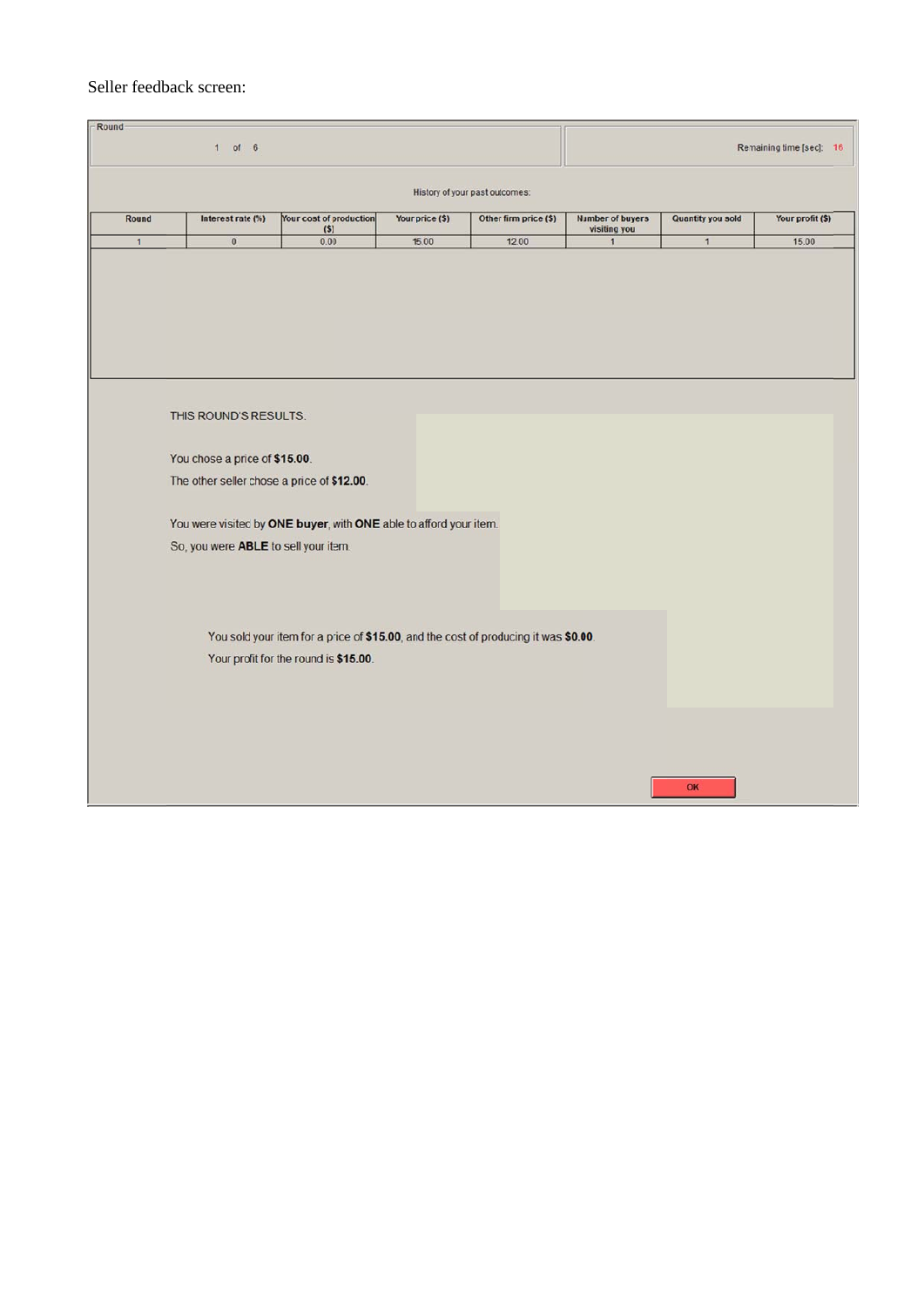#### Seller feedback screen:

| Round          | $1$ of 6                                                                                                                                     |                                                                                                                                                                                                   |                 |                                |                                         |                   | Remaining time [sec]: 16 |
|----------------|----------------------------------------------------------------------------------------------------------------------------------------------|---------------------------------------------------------------------------------------------------------------------------------------------------------------------------------------------------|-----------------|--------------------------------|-----------------------------------------|-------------------|--------------------------|
|                |                                                                                                                                              |                                                                                                                                                                                                   |                 | History of your past outcomes: |                                         |                   |                          |
| Round          | Interest rate (%)                                                                                                                            | Your cost of production<br>(S)                                                                                                                                                                    | Your price (\$) | Other firm price (\$)          | <b>Number of buyers</b><br>visiting you | Quantity you sold | Your profit (\$)         |
| $\overline{1}$ | $\mathbf 0$                                                                                                                                  | 0.00                                                                                                                                                                                              | 15.00           | 12.00                          | $\mathbf{1}$                            | $\mathbf{1}$      | 15.00                    |
|                | THIS ROUND'S RESULTS:<br>You chose a price of \$15.00.<br>The other seller chose a price of \$12.00.<br>So, you were ABLE to sell your item. | You were visited by ONE buyer, with ONE able to afford your item.<br>You sold your item for a price of \$15.00, and the cost of producing it was \$0.00.<br>Your profit for the round is \$15.00. |                 |                                |                                         |                   |                          |
|                |                                                                                                                                              |                                                                                                                                                                                                   |                 |                                |                                         | OK                |                          |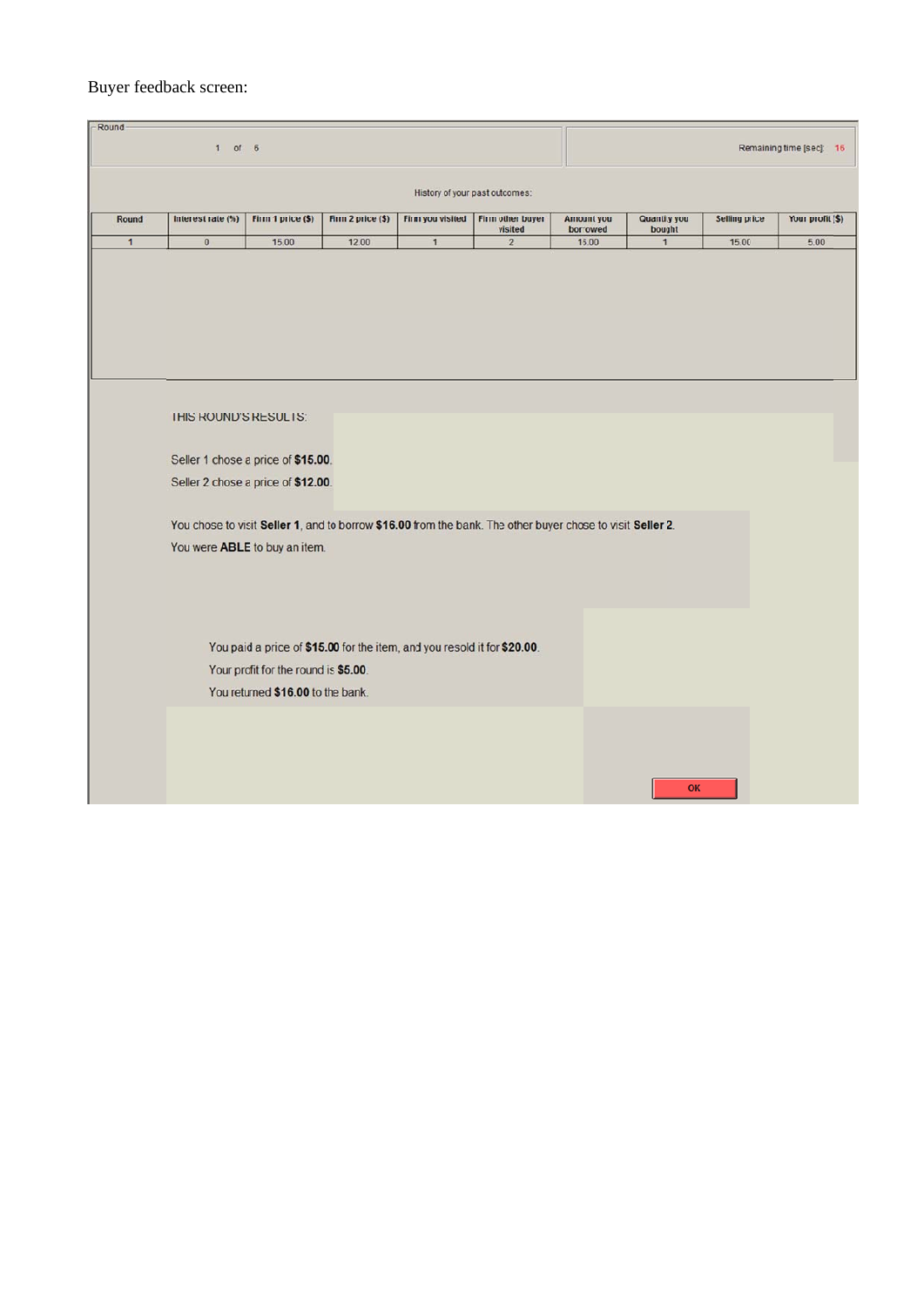### Buyer feedback screen:

| $1$ of $6$   |                                                                                                            |                                      |                                                                          |                  |                                | Remaining time [sec]: 16 |                               |                      |                  |
|--------------|------------------------------------------------------------------------------------------------------------|--------------------------------------|--------------------------------------------------------------------------|------------------|--------------------------------|--------------------------|-------------------------------|----------------------|------------------|
|              |                                                                                                            |                                      |                                                                          |                  | History of your past outcomes: |                          |                               |                      |                  |
| Round        | Interest rate (%)                                                                                          | Firm 1 price (\$)                    | Firm 2 price (\$)                                                        | Firm you visited | Firm other buyer<br>visited    | Amount you<br>borrowed   | <b>Quantity you</b><br>bought | <b>Selling price</b> | Your profit (\$) |
| $\mathbf{1}$ | $\mathbf 0$                                                                                                | 15.00                                | 12.00                                                                    | $\mathbf{1}$     | $\overline{2}$                 | 16.00                    | $\mathbf{1}$                  | 15.00                | 5.00             |
|              |                                                                                                            |                                      |                                                                          |                  |                                |                          |                               |                      |                  |
|              |                                                                                                            |                                      |                                                                          |                  |                                |                          |                               |                      |                  |
|              |                                                                                                            |                                      |                                                                          |                  |                                |                          |                               |                      |                  |
|              |                                                                                                            |                                      |                                                                          |                  |                                |                          |                               |                      |                  |
|              |                                                                                                            |                                      |                                                                          |                  |                                |                          |                               |                      |                  |
|              | THIS ROUND'S RESULTS:                                                                                      |                                      |                                                                          |                  |                                |                          |                               |                      |                  |
|              | Seller 1 chose a price of \$15.00.                                                                         |                                      |                                                                          |                  |                                |                          |                               |                      |                  |
|              | Seller 2 chose a price of \$12.00.                                                                         |                                      |                                                                          |                  |                                |                          |                               |                      |                  |
|              |                                                                                                            |                                      |                                                                          |                  |                                |                          |                               |                      |                  |
|              | You chose to visit Seller 1, and to borrow \$16.00 from the bank. The other buyer chose to visit Seller 2. |                                      |                                                                          |                  |                                |                          |                               |                      |                  |
|              | You were ABLE to buy an item.                                                                              |                                      |                                                                          |                  |                                |                          |                               |                      |                  |
|              |                                                                                                            |                                      |                                                                          |                  |                                |                          |                               |                      |                  |
|              |                                                                                                            |                                      |                                                                          |                  |                                |                          |                               |                      |                  |
|              |                                                                                                            |                                      |                                                                          |                  |                                |                          |                               |                      |                  |
|              |                                                                                                            |                                      | You paid a price of \$15.00 for the item, and you resold it for \$20.00. |                  |                                |                          |                               |                      |                  |
|              |                                                                                                            | Your profit for the round is \$5.00. |                                                                          |                  |                                |                          |                               |                      |                  |
|              |                                                                                                            | You returned \$16.00 to the bank.    |                                                                          |                  |                                |                          |                               |                      |                  |
|              |                                                                                                            |                                      |                                                                          |                  |                                |                          |                               |                      |                  |
|              |                                                                                                            |                                      |                                                                          |                  |                                |                          |                               |                      |                  |
|              |                                                                                                            |                                      |                                                                          |                  |                                |                          |                               |                      |                  |
|              |                                                                                                            |                                      |                                                                          |                  |                                |                          | OK                            |                      |                  |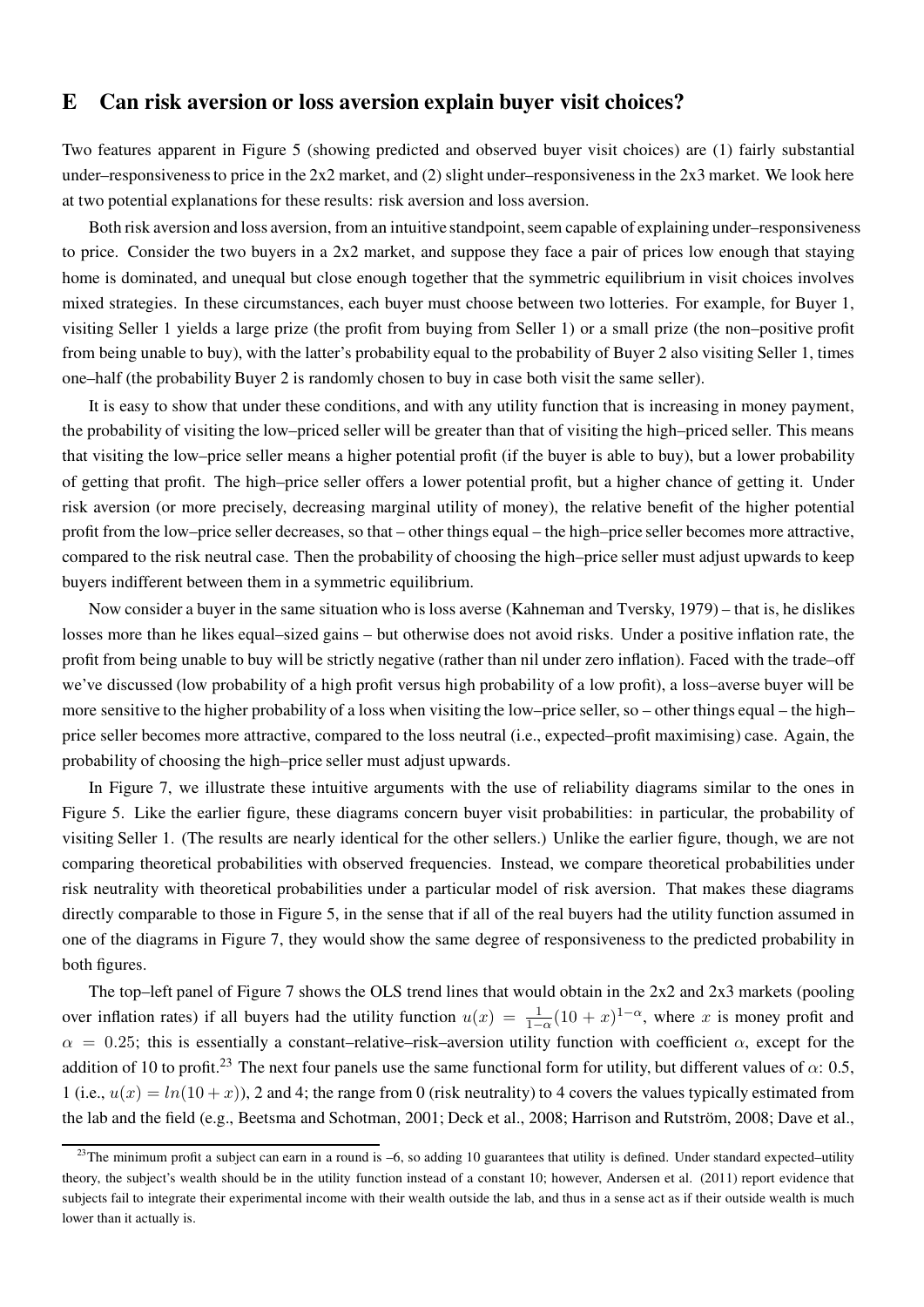### E Can risk aversion or loss aversion explain buyer visit choices?

Two features apparent in Figure 5 (showing predicted and observed buyer visit choices) are (1) fairly substantial under–responsiveness to price in the 2x2 market, and (2) slight under–responsiveness in the 2x3 market. We look here at two potential explanations for these results: risk aversion and loss aversion.

Both risk aversion and loss aversion, from an intuitive standpoint, seem capable of explaining under–responsiveness to price. Consider the two buyers in a  $2x2$  market, and suppose they face a pair of prices low enough that staying home is dominated, and unequal but close enough together that the symmetric equilibrium in visit choices involves mixed strategies. In these circumstances, each buyer must choose between two lotteries. For example, for Buyer 1, visiting Seller 1 yields a large prize (the profit from buying from Seller 1) or a small prize (the non–positive profit from being unable to buy), with the latter's probability equal to the probability of Buyer 2 also visiting Seller 1, times one–half (the probability Buyer 2 is randomly chosen to buy in case both visit the same seller).

It is easy to show that under these conditions, and with any utility function that is increasing in money payment, the probability of visiting the low–priced seller will be greater than that of visiting the high–priced seller. This means that visiting the low–price seller means a higher potential profit (if the buyer is able to buy), but a lower probability of getting that profit. The high–price seller offers a lower potential profit, but a higher chance of getting it. Under risk aversion (or more precisely, decreasing marginal utility of money), the relative benefit of the higher potential profit from the low–price seller decreases, so that – other things equal – the high–price seller becomes more attractive, compared to the risk neutral case. Then the probability of choosing the high–price seller must adjust upwards to keep buyers indifferent between them in a symmetric equilibrium.

Now consider a buyer in the same situation who is loss averse (Kahneman and Tversky, 1979) – that is, he dislikes losses more than he likes equal–sized gains – but otherwise does not avoid risks. Under a positive inflation rate, the profit from being unable to buy will be strictly negative (rather than nil under zero inflation). Faced with the trade–off we've discussed (low probability of a high profit versus high probability of a low profit), a loss–averse buyer will be more sensitive to the higher probability of a loss when visiting the low–price seller, so – other things equal – the high– price seller becomes more attractive, compared to the loss neutral (i.e., expected–profit maximising) case. Again, the probability of choosing the high–price seller must adjust upwards.

In Figure 7, we illustrate these intuitive arguments with the use of reliability diagrams similar to the ones in Figure 5. Like the earlier figure, these diagrams concern buyer visit probabilities: in particular, the probability of visiting Seller 1. (The results are nearly identical for the other sellers.) Unlike the earlier figure, though, we are not comparing theoretical probabilities with observed frequencies. Instead, we compare theoretical probabilities under risk neutrality with theoretical probabilities under a particular model of risk aversion. That makes these diagrams directly comparable to those in Figure 5, in the sense that if all of the real buyers had the utility function assumed in one of the diagrams in Figure 7, they would show the same degree of responsiveness to the predicted probability in both figures.

The top–left panel of Figure 7 shows the OLS trend lines that would obtain in the 2x2 and 2x3 markets (pooling over inflation rates) if all buyers had the utility function  $u(x) = \frac{1}{1-\alpha}(10+x)^{1-\alpha}$ , where x is money profit and  $\alpha = 0.25$ ; this is essentially a constant–relative–risk–aversion utility function with coefficient  $\alpha$ , except for the addition of 10 to profit.<sup>23</sup> The next four panels use the same functional form for utility, but different values of  $\alpha$ : 0.5, 1 (i.e.,  $u(x) = ln(10 + x)$ ), 2 and 4; the range from 0 (risk neutrality) to 4 covers the values typically estimated from the lab and the field (e.g., Beetsma and Schotman, 2001; Deck et al., 2008; Harrison and Rutström, 2008; Dave et al.,

<sup>&</sup>lt;sup>23</sup>The minimum profit a subject can earn in a round is  $-6$ , so adding 10 guarantees that utility is defined. Under standard expected–utility theory, the subject's wealth should be in the utility function instead of a constant 10; however, Andersen et al. (2011) report evidence that subjects fail to integrate their experimental income with their wealth outside the lab, and thus in a sense act as if their outside wealth is much lower than it actually is.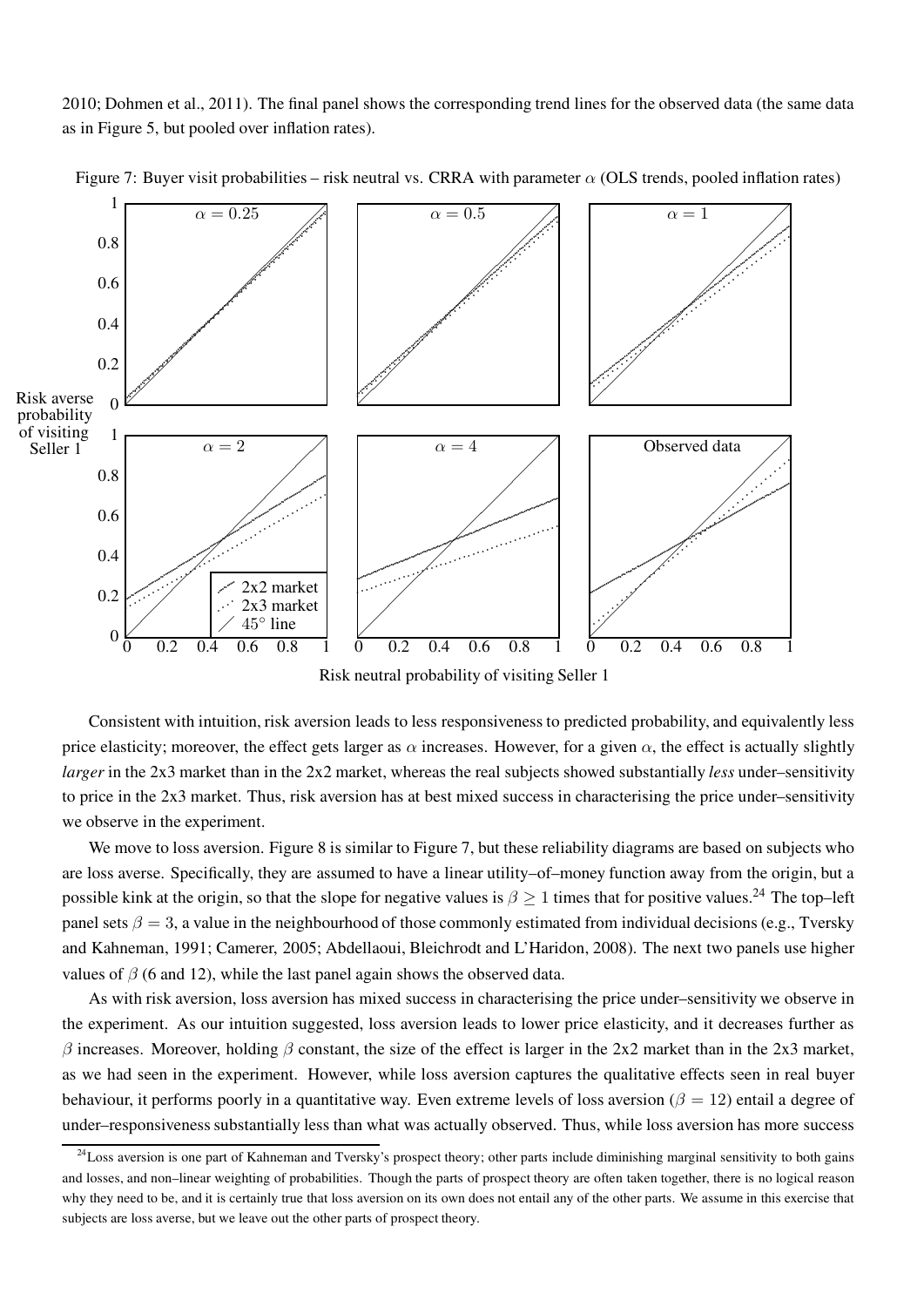2010; Dohmen et al., 2011). The final panel shows the corresponding trend lines for the observed data (the same data as in Figure 5, but pooled over inflation rates).



Figure 7: Buyer visit probabilities – risk neutral vs. CRRA with parameter  $\alpha$  (OLS trends, pooled inflation rates)

Risk neutral probability of visiting Seller 1

Consistent with intuition, risk aversion leads to less responsiveness to predicted probability, and equivalently less price elasticity; moreover, the effect gets larger as  $\alpha$  increases. However, for a given  $\alpha$ , the effect is actually slightly larger in the 2x3 market than in the 2x2 market, whereas the real subjects showed substantially less under–sensitivity to price in the 2x3 market. Thus, risk aversion has at best mixed success in characterising the price under–sensitivity we observe in the experiment.

We move to loss aversion. Figure 8 is similar to Figure 7, but these reliability diagrams are based on subjects who are loss averse. Specifically, they are assumed to have a linear utility–of–money function away from the origin, but a possible kink at the origin, so that the slope for negative values is  $\beta \ge 1$  times that for positive values.<sup>24</sup> The top–left panel sets  $\beta = 3$ , a value in the neighbourhood of those commonly estimated from individual decisions (e.g., Tversky and Kahneman, 1991; Camerer, 2005; Abdellaoui, Bleichrodt and L'Haridon, 2008). The next two panels use higher values of  $\beta$  (6 and 12), while the last panel again shows the observed data.

As with risk aversion, loss aversion has mixed success in characterising the price under–sensitivity we observe in the experiment. As our intuition suggested, loss aversion leads to lower price elasticity, and it decreases further as β increases. Moreover, holding β constant, the size of the effect is larger in the 2x2 market than in the 2x3 market, as we had seen in the experiment. However, while loss aversion captures the qualitative effects seen in real buyer behaviour, it performs poorly in a quantitative way. Even extreme levels of loss aversion ( $\beta = 12$ ) entail a degree of under–responsiveness substantially less than what was actually observed. Thus, while loss aversion has more success

 $^{24}$ Loss aversion is one part of Kahneman and Tversky's prospect theory; other parts include diminishing marginal sensitivity to both gains and losses, and non–linear weighting of probabilities. Though the parts of prospect theory are often taken together, there is no logical reason why they need to be, and it is certainly true that loss aversion on its own does not entail any of the other parts. We assume in this exercise that subjects are loss averse, but we leave out the other parts of prospect theory.